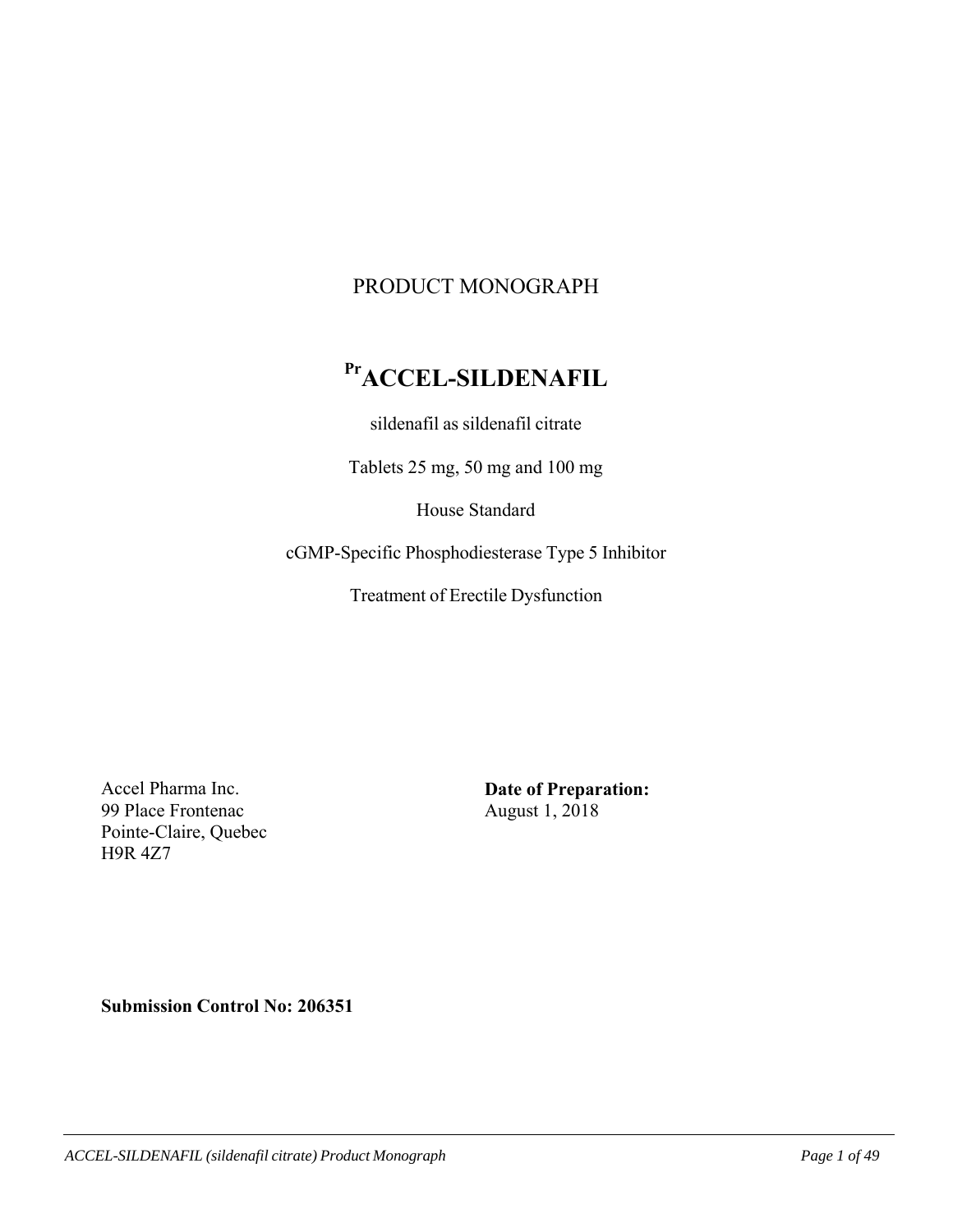# PRODUCT MONOGRAPH

# **PrACCEL-SILDENAFIL**

sildenafil as sildenafil citrate

Tablets 25 mg, 50 mg and 100 mg

House Standard

cGMP-Specific Phosphodiesterase Type 5 Inhibitor

Treatment of Erectile Dysfunction

Accel Pharma Inc. 99 Place Frontenac Pointe-Claire, Quebec H9R 4Z7

**Date of Preparation:**  August 1, 2018

**Submission Control No: 206351**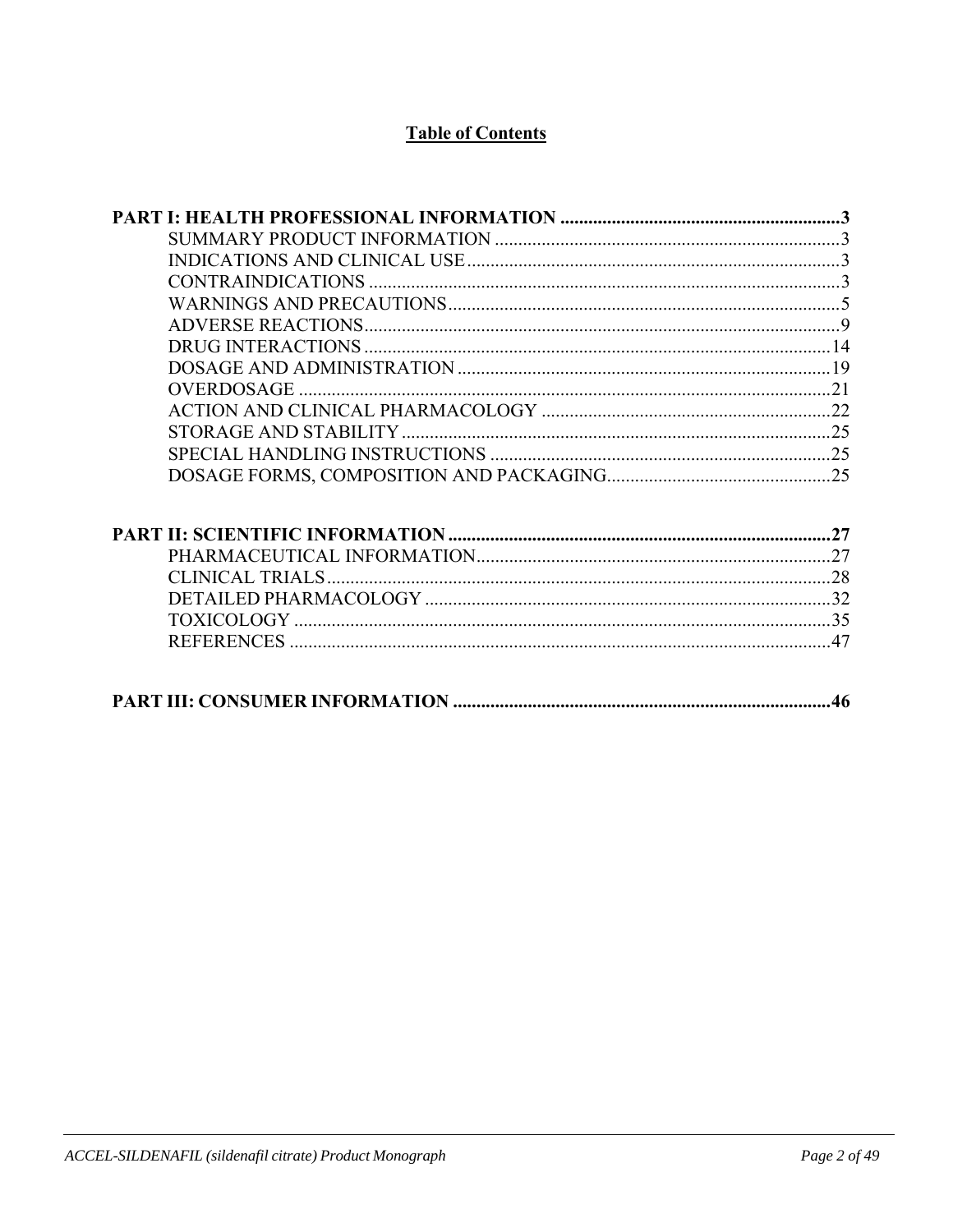# **Table of Contents**

| <b>OVERDOSAGE</b> |  |
|-------------------|--|
|                   |  |
|                   |  |
|                   |  |
|                   |  |
|                   |  |
|                   |  |
|                   |  |
|                   |  |
|                   |  |
|                   |  |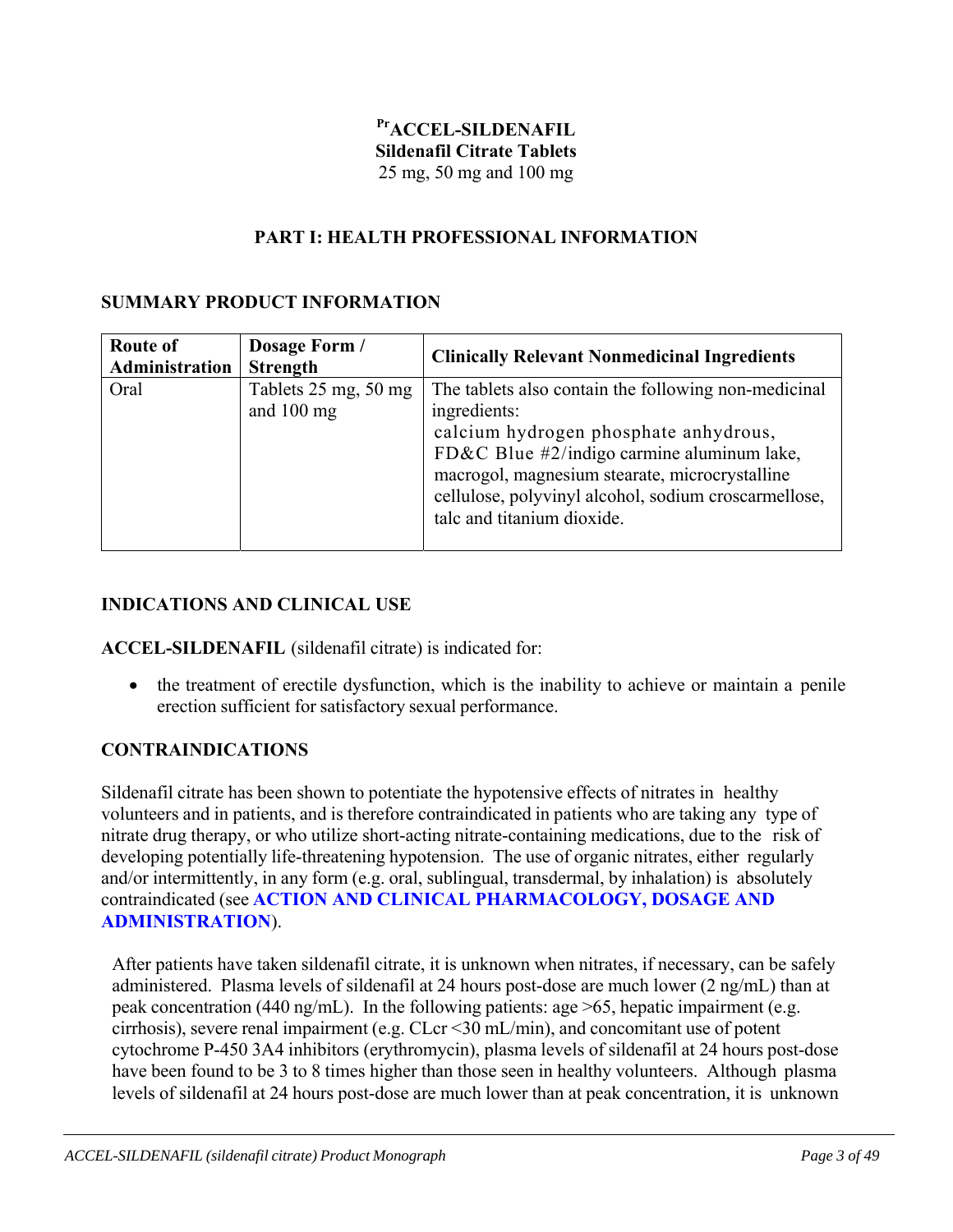# **PrACCEL-SILDENAFIL Sildenafil Citrate Tablets**  25 mg, 50 mg and 100 mg

### **PART I: HEALTH PROFESSIONAL INFORMATION**

### **SUMMARY PRODUCT INFORMATION**

| <b>Route of</b><br>Administration | Dosage Form /<br><b>Strength</b>     | <b>Clinically Relevant Nonmedicinal Ingredients</b>                                                                                                                                                                                                                                                 |
|-----------------------------------|--------------------------------------|-----------------------------------------------------------------------------------------------------------------------------------------------------------------------------------------------------------------------------------------------------------------------------------------------------|
| Oral                              | Tablets 25 mg, 50 mg<br>and $100$ mg | The tablets also contain the following non-medicinal<br>ingredients:<br>calcium hydrogen phosphate anhydrous,<br>FD&C Blue #2/indigo carmine aluminum lake,<br>macrogol, magnesium stearate, microcrystalline<br>cellulose, polyvinyl alcohol, sodium croscarmellose,<br>talc and titanium dioxide. |

#### **INDICATIONS AND CLINICAL USE**

**ACCEL-SILDENAFIL** (sildenafil citrate) is indicated for:

• the treatment of erectile dysfunction, which is the inability to achieve or maintain a penile erection sufficient for satisfactory sexual performance.

#### **CONTRAINDICATIONS**

Sildenafil citrate has been shown to potentiate the hypotensive effects of nitrates in healthy volunteers and in patients, and is therefore contraindicated in patients who are taking any type of nitrate drug therapy, or who utilize short-acting nitrate-containing medications, due to the risk of developing potentially life-threatening hypotension. The use of organic nitrates, either regularly and/or intermittently, in any form (e.g. oral, sublingual, transdermal, by inhalation) is absolutely contraindicated (see **ACTION AND CLINICAL PHARMACOLOGY, DOSAGE AND ADMINISTRATION**).

After patients have taken sildenafil citrate, it is unknown when nitrates, if necessary, can be safely administered. Plasma levels of sildenafil at 24 hours post-dose are much lower (2 ng/mL) than at peak concentration (440 ng/mL). In the following patients: age >65, hepatic impairment (e.g. cirrhosis), severe renal impairment (e.g. CLcr <30 mL/min), and concomitant use of potent cytochrome P-450 3A4 inhibitors (erythromycin), plasma levels of sildenafil at 24 hours post-dose have been found to be 3 to 8 times higher than those seen in healthy volunteers. Although plasma levels of sildenafil at 24 hours post-dose are much lower than at peak concentration, it is unknown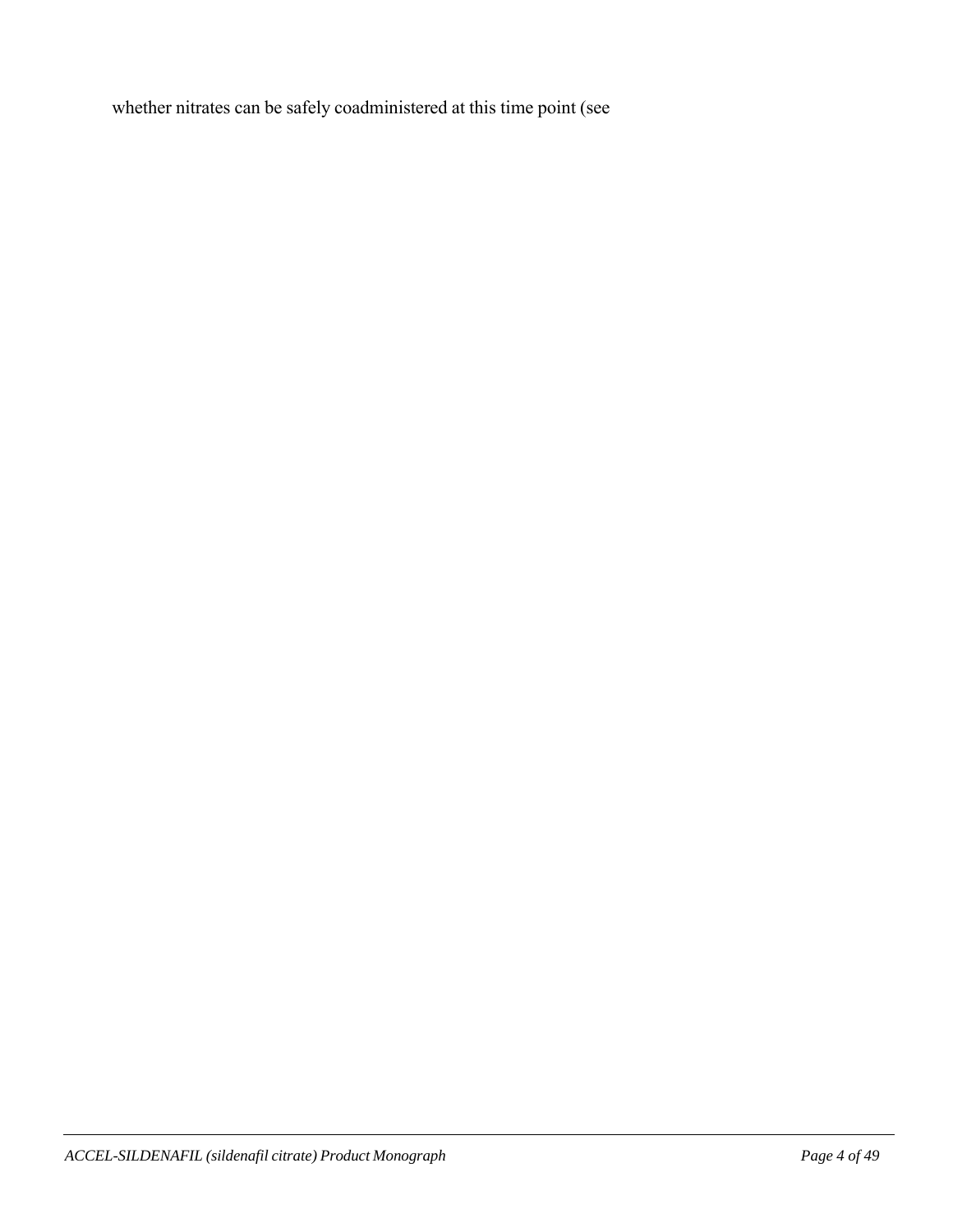whether nitrates can be safely coadministered at this time point (see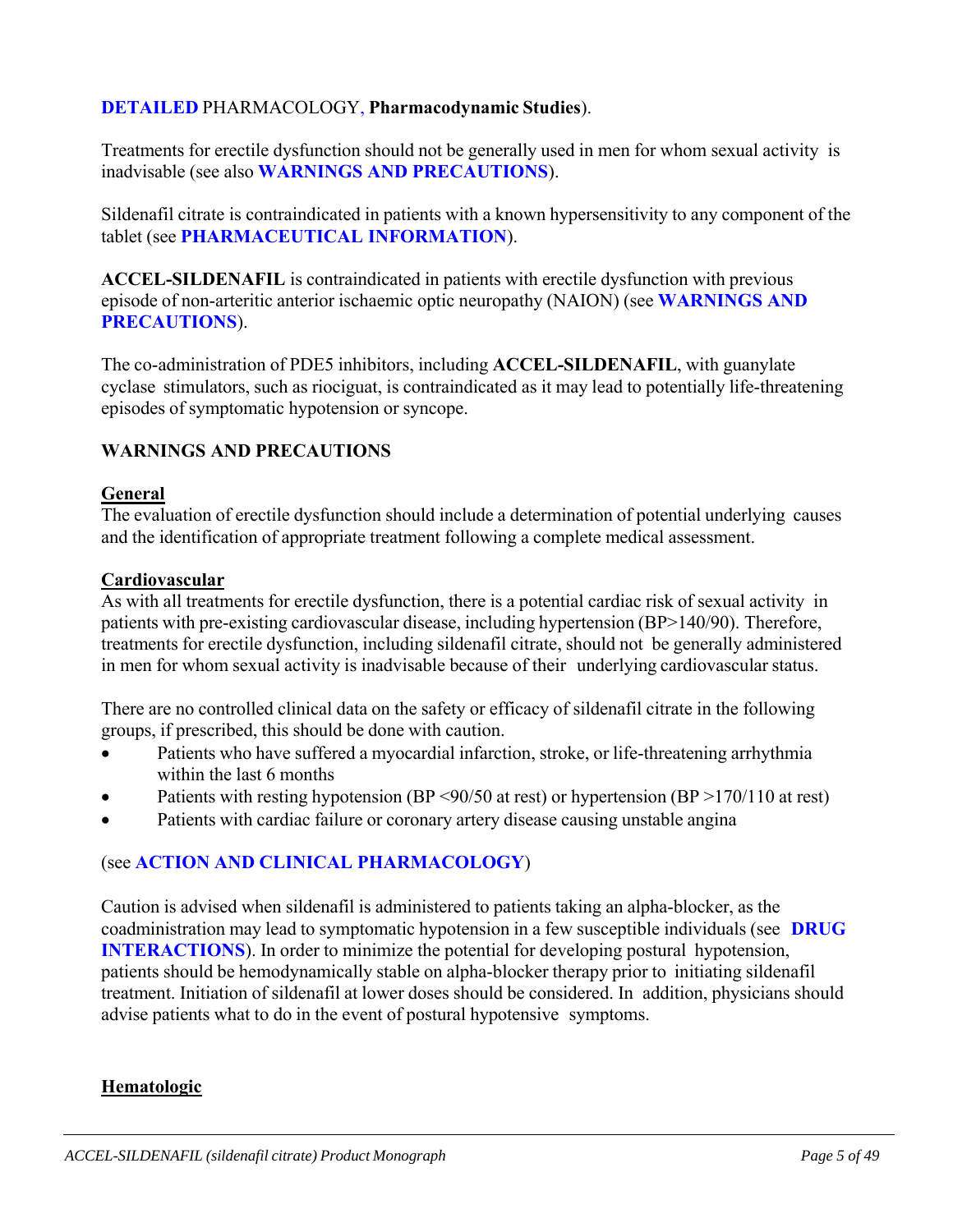### **DETAILED** PHARMACOLOGY, **Pharmacodynamic Studies**).

Treatments for erectile dysfunction should not be generally used in men for whom sexual activity is inadvisable (see also **WARNINGS AND PRECAUTIONS**).

Sildenafil citrate is contraindicated in patients with a known hypersensitivity to any component of the tablet (see **PHARMACEUTICAL INFORMATION**).

**ACCEL-SILDENAFIL** is contraindicated in patients with erectile dysfunction with previous episode of non-arteritic anterior ischaemic optic neuropathy (NAION) (see **WARNINGS AND PRECAUTIONS**).

The co-administration of PDE5 inhibitors, including **ACCEL-SILDENAFIL**, with guanylate cyclase stimulators, such as riociguat, is contraindicated as it may lead to potentially life-threatening episodes of symptomatic hypotension or syncope.

### **WARNINGS AND PRECAUTIONS**

#### **General**

The evaluation of erectile dysfunction should include a determination of potential underlying causes and the identification of appropriate treatment following a complete medical assessment.

#### **Cardiovascular**

As with all treatments for erectile dysfunction, there is a potential cardiac risk of sexual activity in patients with pre-existing cardiovascular disease, including hypertension (BP>140/90). Therefore, treatments for erectile dysfunction, including sildenafil citrate, should not be generally administered in men for whom sexual activity is inadvisable because of their underlying cardiovascular status.

There are no controlled clinical data on the safety or efficacy of sildenafil citrate in the following groups, if prescribed, this should be done with caution.

- Patients who have suffered a myocardial infarction, stroke, or life-threatening arrhythmia within the last 6 months
- Patients with resting hypotension (BP <90/50 at rest) or hypertension (BP >170/110 at rest)
- Patients with cardiac failure or coronary artery disease causing unstable angina

#### (see **ACTION AND CLINICAL PHARMACOLOGY**)

Caution is advised when sildenafil is administered to patients taking an alpha-blocker, as the coadministration may lead to symptomatic hypotension in a few susceptible individuals (see **DRUG INTERACTIONS**). In order to minimize the potential for developing postural hypotension, patients should be hemodynamically stable on alpha-blocker therapy prior to initiating sildenafil treatment. Initiation of sildenafil at lower doses should be considered. In addition, physicians should advise patients what to do in the event of postural hypotensive symptoms.

#### **Hematologic**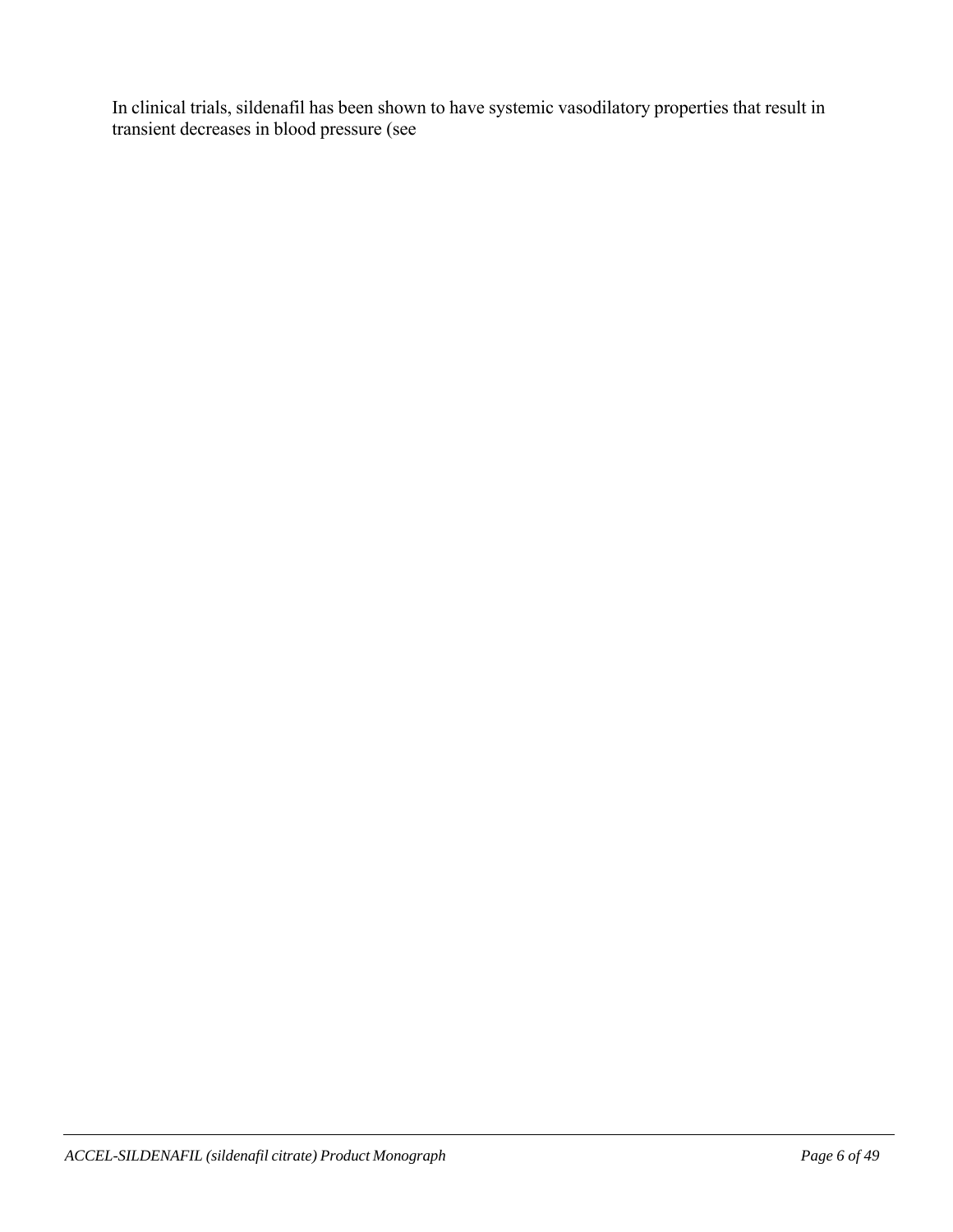In clinical trials, sildenafil has been shown to have systemic vasodilatory properties that result in transient decreases in blood pressure (see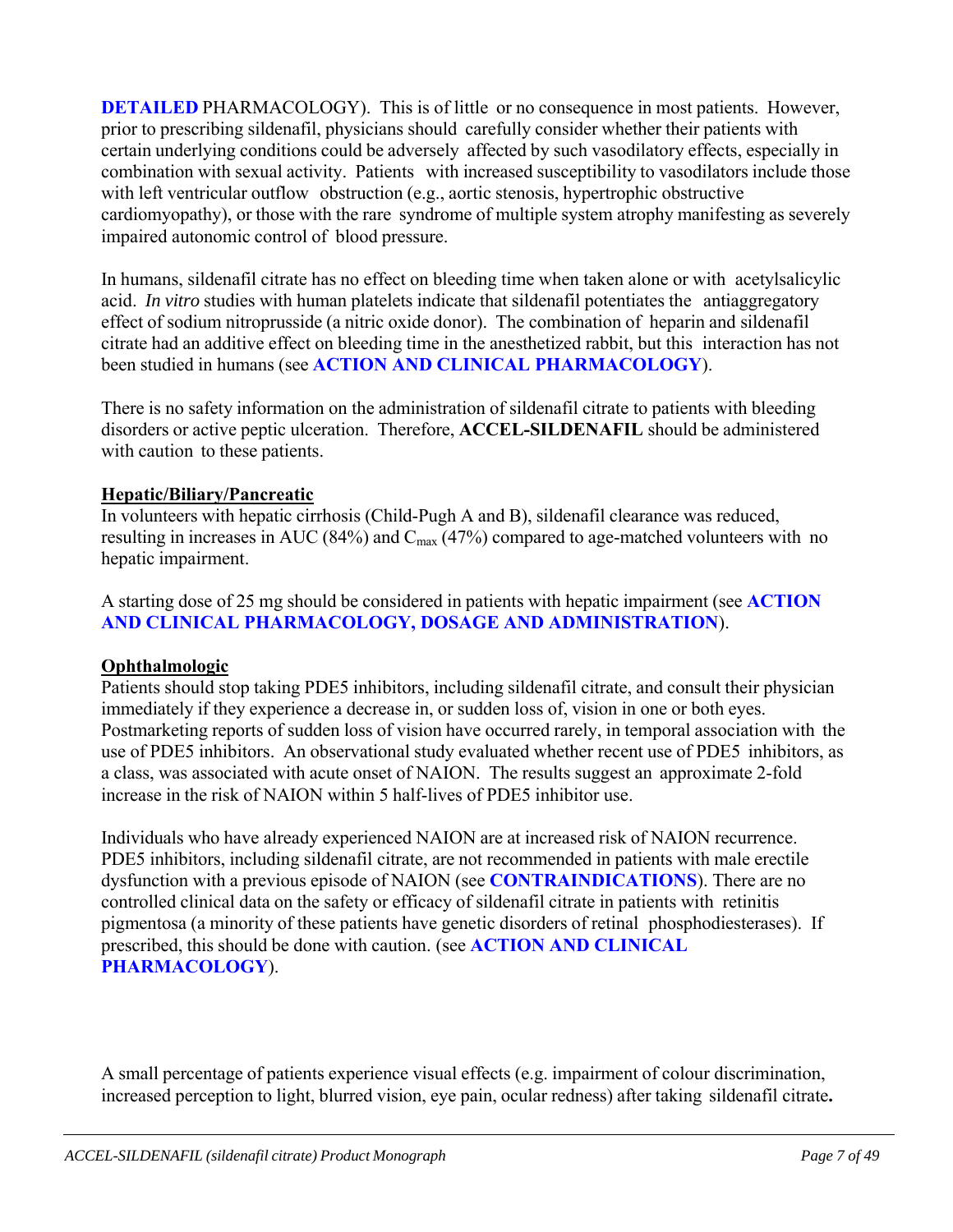**DETAILED** PHARMACOLOGY). This is of little or no consequence in most patients. However, prior to prescribing sildenafil, physicians should carefully consider whether their patients with certain underlying conditions could be adversely affected by such vasodilatory effects, especially in combination with sexual activity. Patients with increased susceptibility to vasodilators include those with left ventricular outflow obstruction (e.g., aortic stenosis, hypertrophic obstructive cardiomyopathy), or those with the rare syndrome of multiple system atrophy manifesting as severely impaired autonomic control of blood pressure.

In humans, sildenafil citrate has no effect on bleeding time when taken alone or with acetylsalicylic acid. *In vitro* studies with human platelets indicate that sildenafil potentiates the antiaggregatory effect of sodium nitroprusside (a nitric oxide donor). The combination of heparin and sildenafil citrate had an additive effect on bleeding time in the anesthetized rabbit, but this interaction has not been studied in humans (see **ACTION AND CLINICAL PHARMACOLOGY**).

There is no safety information on the administration of sildenafil citrate to patients with bleeding disorders or active peptic ulceration. Therefore, **ACCEL-SILDENAFIL** should be administered with caution to these patients.

#### **Hepatic/Biliary/Pancreatic**

In volunteers with hepatic cirrhosis (Child-Pugh A and B), sildenafil clearance was reduced, resulting in increases in AUC (84%) and  $C_{\text{max}}(47%)$  compared to age-matched volunteers with no hepatic impairment.

A starting dose of 25 mg should be considered in patients with hepatic impairment (see **ACTION AND CLINICAL PHARMACOLOGY, DOSAGE AND ADMINISTRATION**).

#### **Ophthalmologic**

Patients should stop taking PDE5 inhibitors, including sildenafil citrate, and consult their physician immediately if they experience a decrease in, or sudden loss of, vision in one or both eyes. Postmarketing reports of sudden loss of vision have occurred rarely, in temporal association with the use of PDE5 inhibitors. An observational study evaluated whether recent use of PDE5 inhibitors, as a class, was associated with acute onset of NAION. The results suggest an approximate 2-fold increase in the risk of NAION within 5 half-lives of PDE5 inhibitor use.

Individuals who have already experienced NAION are at increased risk of NAION recurrence. PDE5 inhibitors, including sildenafil citrate, are not recommended in patients with male erectile dysfunction with a previous episode of NAION (see **CONTRAINDICATIONS**). There are no controlled clinical data on the safety or efficacy of sildenafil citrate in patients with retinitis pigmentosa (a minority of these patients have genetic disorders of retinal phosphodiesterases). If prescribed, this should be done with caution. (see **ACTION AND CLINICAL PHARMACOLOGY**).

A small percentage of patients experience visual effects (e.g. impairment of colour discrimination, increased perception to light, blurred vision, eye pain, ocular redness) after taking sildenafil citrate**.**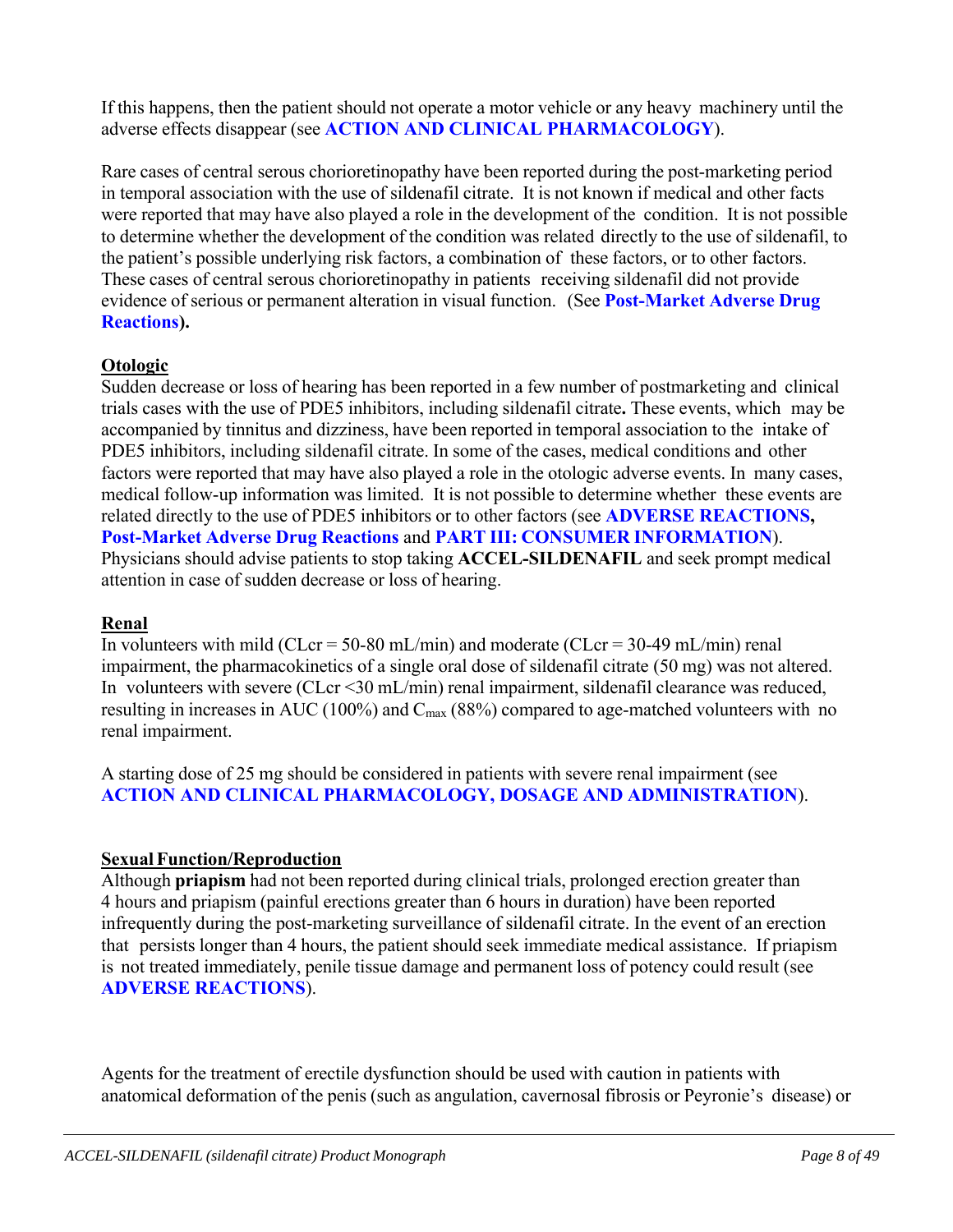If this happens, then the patient should not operate a motor vehicle or any heavy machinery until the adverse effects disappear (see **ACTION AND CLINICAL PHARMACOLOGY**).

Rare cases of central serous chorioretinopathy have been reported during the post-marketing period in temporal association with the use of sildenafil citrate. It is not known if medical and other facts were reported that may have also played a role in the development of the condition. It is not possible to determine whether the development of the condition was related directly to the use of sildenafil, to the patient's possible underlying risk factors, a combination of these factors, or to other factors. These cases of central serous chorioretinopathy in patients receiving sildenafil did not provide evidence of serious or permanent alteration in visual function. (See **Post-Market Adverse Drug Reactions).**

# **Otologic**

Sudden decrease or loss of hearing has been reported in a few number of postmarketing and clinical trials cases with the use of PDE5 inhibitors, including sildenafil citrate**.** These events, which may be accompanied by tinnitus and dizziness, have been reported in temporal association to the intake of PDE5 inhibitors, including sildenafil citrate. In some of the cases, medical conditions and other factors were reported that may have also played a role in the otologic adverse events. In many cases, medical follow-up information was limited. It is not possible to determine whether these events are related directly to the use of PDE5 inhibitors or to other factors (see **ADVERSE REACTIONS, Post-Market Adverse Drug Reactions** and **PART III: CONSUMER INFORMATION**). Physicians should advise patients to stop taking **ACCEL-SILDENAFIL** and seek prompt medical attention in case of sudden decrease or loss of hearing.

# **Renal**

In volunteers with mild (CLcr = 50-80 mL/min) and moderate (CLcr = 30-49 mL/min) renal impairment, the pharmacokinetics of a single oral dose of sildenafil citrate (50 mg) was not altered. In volunteers with severe (CLcr <30 mL/min) renal impairment, sildenafil clearance was reduced, resulting in increases in AUC (100%) and  $C_{\text{max}}$  (88%) compared to age-matched volunteers with no renal impairment.

A starting dose of 25 mg should be considered in patients with severe renal impairment (see **ACTION AND CLINICAL PHARMACOLOGY, DOSAGE AND ADMINISTRATION**).

# **Sexual Function/Reproduction**

Although **priapism** had not been reported during clinical trials, prolonged erection greater than 4 hours and priapism (painful erections greater than 6 hours in duration) have been reported infrequently during the post-marketing surveillance of sildenafil citrate. In the event of an erection that persists longer than 4 hours, the patient should seek immediate medical assistance. If priapism is not treated immediately, penile tissue damage and permanent loss of potency could result (see **ADVERSE REACTIONS**).

Agents for the treatment of erectile dysfunction should be used with caution in patients with anatomical deformation of the penis (such as angulation, cavernosal fibrosis or Peyronie's disease) or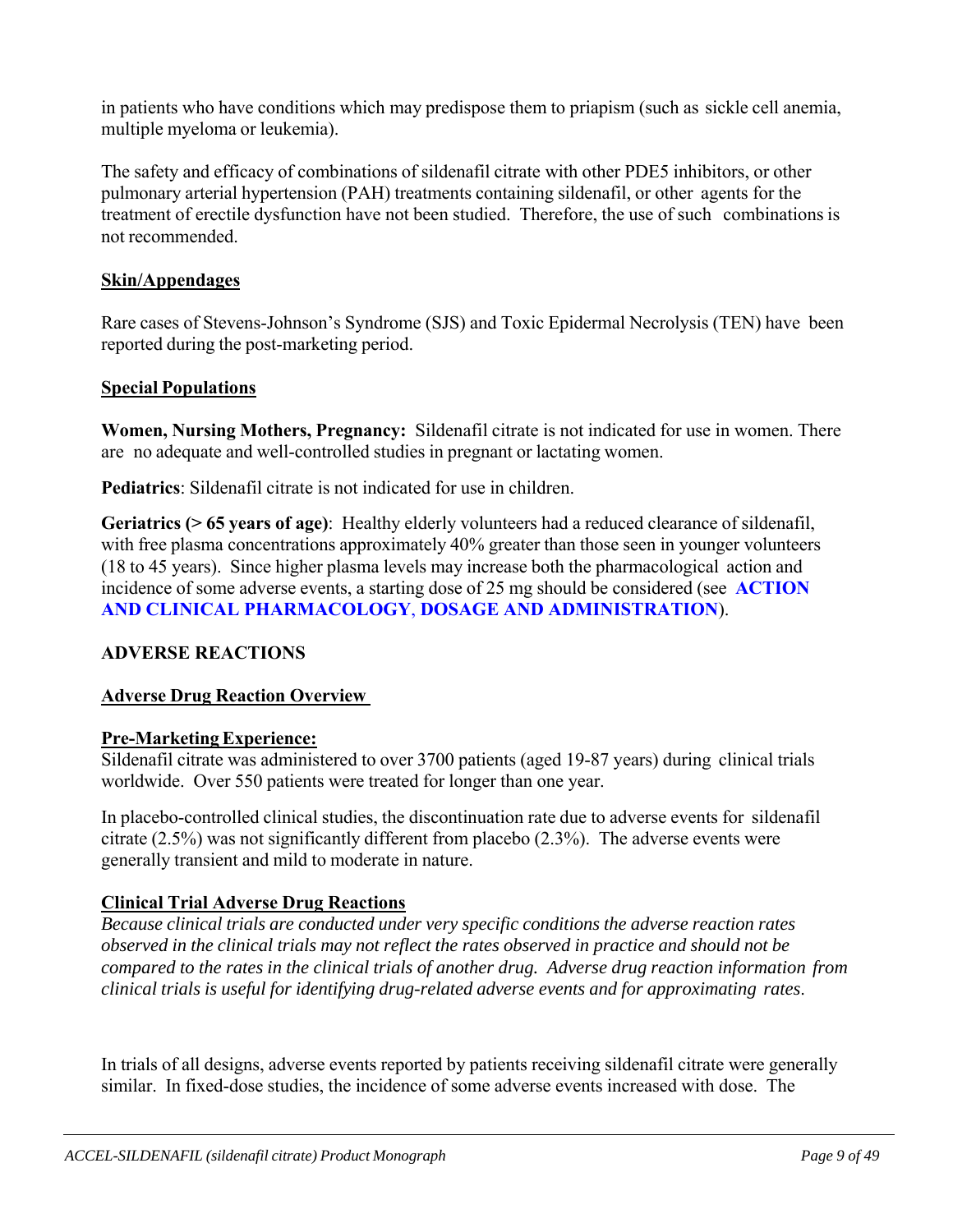in patients who have conditions which may predispose them to priapism (such as sickle cell anemia, multiple myeloma or leukemia).

The safety and efficacy of combinations of sildenafil citrate with other PDE5 inhibitors, or other pulmonary arterial hypertension (PAH) treatments containing sildenafil, or other agents for the treatment of erectile dysfunction have not been studied. Therefore, the use of such combinations is not recommended.

### **Skin/Appendages**

Rare cases of Stevens-Johnson's Syndrome (SJS) and Toxic Epidermal Necrolysis (TEN) have been reported during the post-marketing period.

### **Special Populations**

**Women, Nursing Mothers, Pregnancy:** Sildenafil citrate is not indicated for use in women. There are no adequate and well-controlled studies in pregnant or lactating women.

**Pediatrics**: Sildenafil citrate is not indicated for use in children.

**Geriatrics (> 65 years of age)**: Healthy elderly volunteers had a reduced clearance of sildenafil, with free plasma concentrations approximately 40% greater than those seen in younger volunteers (18 to 45 years). Since higher plasma levels may increase both the pharmacological action and incidence of some adverse events, a starting dose of 25 mg should be considered (see **ACTION AND CLINICAL PHARMACOLOGY**, **DOSAGE AND ADMINISTRATION**).

# **ADVERSE REACTIONS**

# **Adverse Drug Reaction Overview**

#### **Pre-Marketing Experience:**

Sildenafil citrate was administered to over 3700 patients (aged 19-87 years) during clinical trials worldwide. Over 550 patients were treated for longer than one year.

In placebo-controlled clinical studies, the discontinuation rate due to adverse events for sildenafil citrate (2.5%) was not significantly different from placebo (2.3%). The adverse events were generally transient and mild to moderate in nature.

# **Clinical Trial Adverse Drug Reactions**

*Because clinical trials are conducted under very specific conditions the adverse reaction rates observed in the clinical trials may not reflect the rates observed in practice and should not be compared to the rates in the clinical trials of another drug. Adverse drug reaction information from clinical trials is useful for identifying drug-related adverse events and for approximating rates*.

In trials of all designs, adverse events reported by patients receiving sildenafil citrate were generally similar. In fixed-dose studies, the incidence of some adverse events increased with dose. The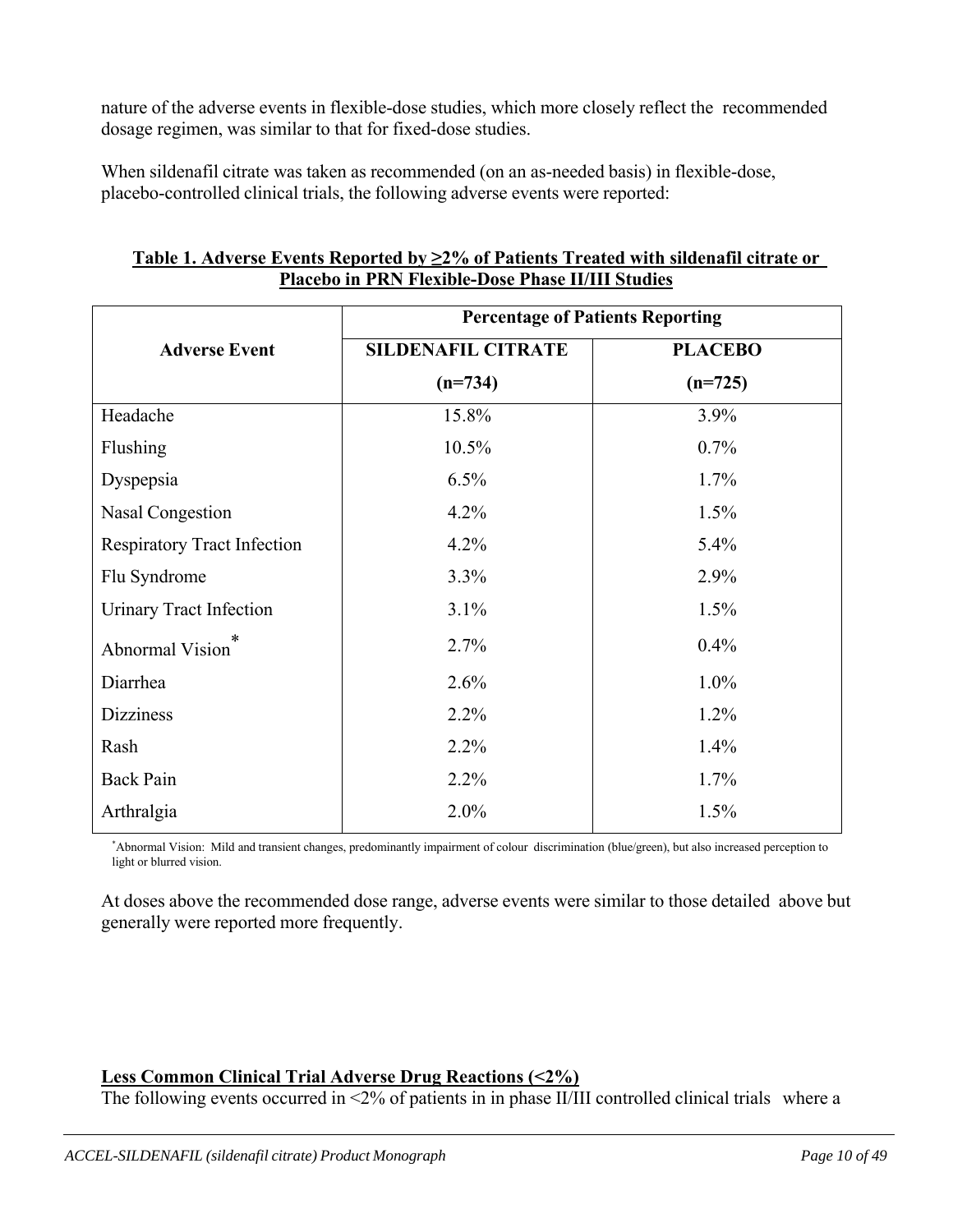nature of the adverse events in flexible-dose studies, which more closely reflect the recommended dosage regimen, was similar to that for fixed-dose studies.

When sildenafil citrate was taken as recommended (on an as-needed basis) in flexible-dose, placebo-controlled clinical trials, the following adverse events were reported:

|                                    | <b>Percentage of Patients Reporting</b> |                |
|------------------------------------|-----------------------------------------|----------------|
| <b>Adverse Event</b>               | <b>SILDENAFIL CITRATE</b>               | <b>PLACEBO</b> |
|                                    | $(n=734)$                               | $(n=725)$      |
| Headache                           | 15.8%                                   | 3.9%           |
| Flushing                           | 10.5%                                   | 0.7%           |
| Dyspepsia                          | 6.5%                                    | 1.7%           |
| <b>Nasal Congestion</b>            | 4.2%                                    | 1.5%           |
| <b>Respiratory Tract Infection</b> | 4.2%                                    | 5.4%           |
| Flu Syndrome                       | 3.3%                                    | 2.9%           |
| <b>Urinary Tract Infection</b>     | 3.1%                                    | 1.5%           |
| Abnormal Vision                    | 2.7%                                    | 0.4%           |
| Diarrhea                           | 2.6%                                    | 1.0%           |
| <b>Dizziness</b>                   | 2.2%                                    | 1.2%           |
| Rash                               | 2.2%                                    | 1.4%           |
| <b>Back Pain</b>                   | 2.2%                                    | 1.7%           |
| Arthralgia                         | 2.0%                                    | 1.5%           |

## **Table 1. Adverse Events Reported by ≥2% of Patients Treated with sildenafil citrate or Placebo in PRN Flexible-Dose Phase II/III Studies**

\* Abnormal Vision: Mild and transient changes, predominantly impairment of colour discrimination (blue/green), but also increased perception to light or blurred vision.

At doses above the recommended dose range, adverse events were similar to those detailed above but generally were reported more frequently.

# **Less Common Clinical Trial Adverse Drug Reactions (<2%)**

The following events occurred in <2% of patients in in phase II/III controlled clinical trials where a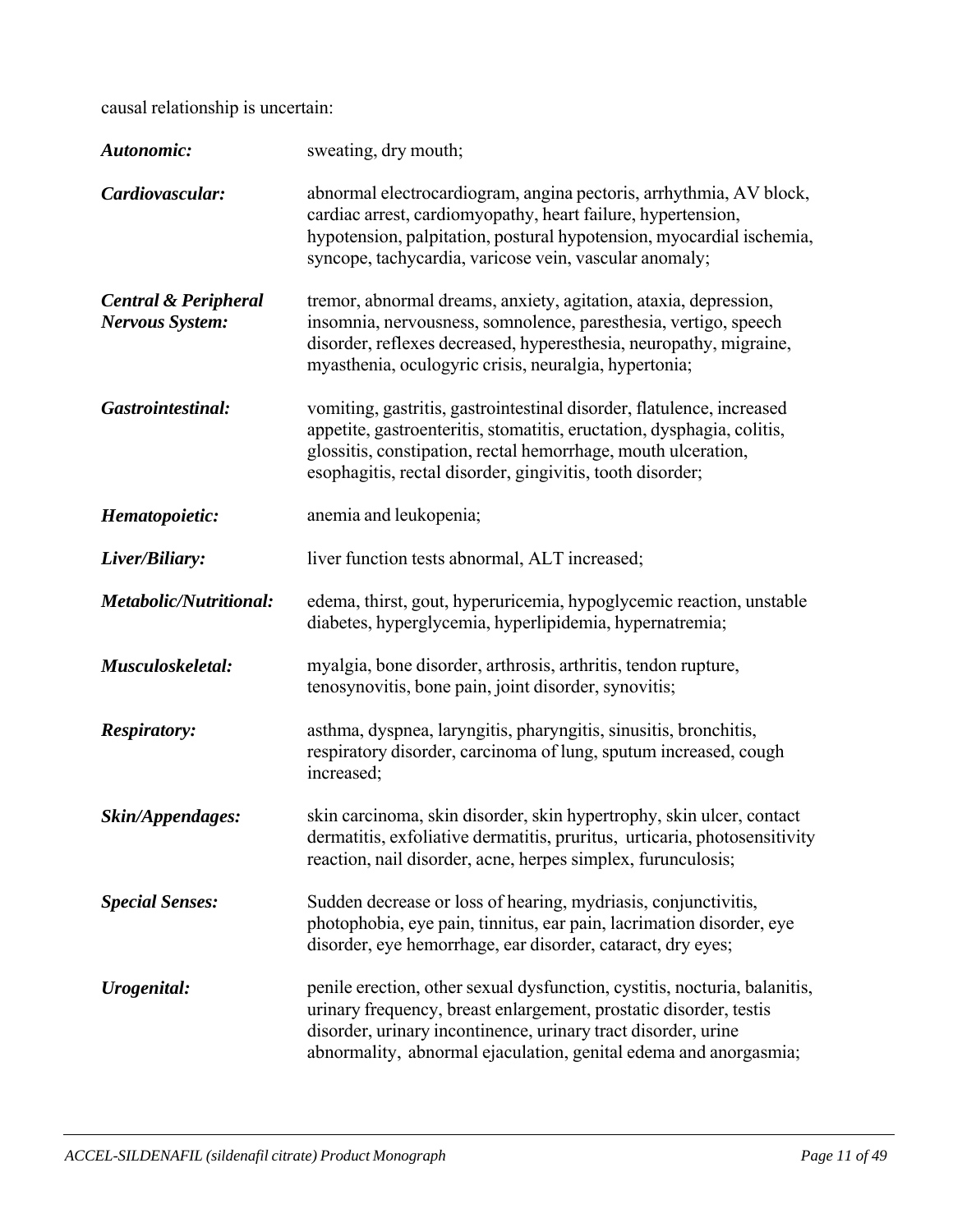causal relationship is uncertain:

| Autonomic:                                                | sweating, dry mouth;                                                                                                                                                                                                                                                                |
|-----------------------------------------------------------|-------------------------------------------------------------------------------------------------------------------------------------------------------------------------------------------------------------------------------------------------------------------------------------|
| Cardiovascular:                                           | abnormal electrocardiogram, angina pectoris, arrhythmia, AV block,<br>cardiac arrest, cardiomyopathy, heart failure, hypertension,<br>hypotension, palpitation, postural hypotension, myocardial ischemia,<br>syncope, tachycardia, varicose vein, vascular anomaly;                |
| <b>Central &amp; Peripheral</b><br><b>Nervous System:</b> | tremor, abnormal dreams, anxiety, agitation, ataxia, depression,<br>insomnia, nervousness, somnolence, paresthesia, vertigo, speech<br>disorder, reflexes decreased, hyperesthesia, neuropathy, migraine,<br>myasthenia, oculogyric crisis, neuralgia, hypertonia;                  |
| Gastrointestinal:                                         | vomiting, gastritis, gastrointestinal disorder, flatulence, increased<br>appetite, gastroenteritis, stomatitis, eructation, dysphagia, colitis,<br>glossitis, constipation, rectal hemorrhage, mouth ulceration,<br>esophagitis, rectal disorder, gingivitis, tooth disorder;       |
| Hematopoietic:                                            | anemia and leukopenia;                                                                                                                                                                                                                                                              |
| Liver/Biliary:                                            | liver function tests abnormal, ALT increased;                                                                                                                                                                                                                                       |
| <b>Metabolic/Nutritional:</b>                             | edema, thirst, gout, hyperuricemia, hypoglycemic reaction, unstable<br>diabetes, hyperglycemia, hyperlipidemia, hypernatremia;                                                                                                                                                      |
| Musculoskeletal:                                          | myalgia, bone disorder, arthrosis, arthritis, tendon rupture,<br>tenosynovitis, bone pain, joint disorder, synovitis;                                                                                                                                                               |
| <b>Respiratory:</b>                                       | asthma, dyspnea, laryngitis, pharyngitis, sinusitis, bronchitis,<br>respiratory disorder, carcinoma of lung, sputum increased, cough<br>increased;                                                                                                                                  |
| Skin/Appendages:                                          | skin carcinoma, skin disorder, skin hypertrophy, skin ulcer, contact<br>dermatitis, exfoliative dermatitis, pruritus, urticaria, photosensitivity<br>reaction, nail disorder, acne, herpes simplex, furunculosis;                                                                   |
| <b>Special Senses:</b>                                    | Sudden decrease or loss of hearing, mydriasis, conjunctivitis,<br>photophobia, eye pain, tinnitus, ear pain, lacrimation disorder, eye<br>disorder, eye hemorrhage, ear disorder, cataract, dry eyes;                                                                               |
| Urogenital:                                               | penile erection, other sexual dysfunction, cystitis, nocturia, balanitis,<br>urinary frequency, breast enlargement, prostatic disorder, testis<br>disorder, urinary incontinence, urinary tract disorder, urine<br>abnormality, abnormal ejaculation, genital edema and anorgasmia; |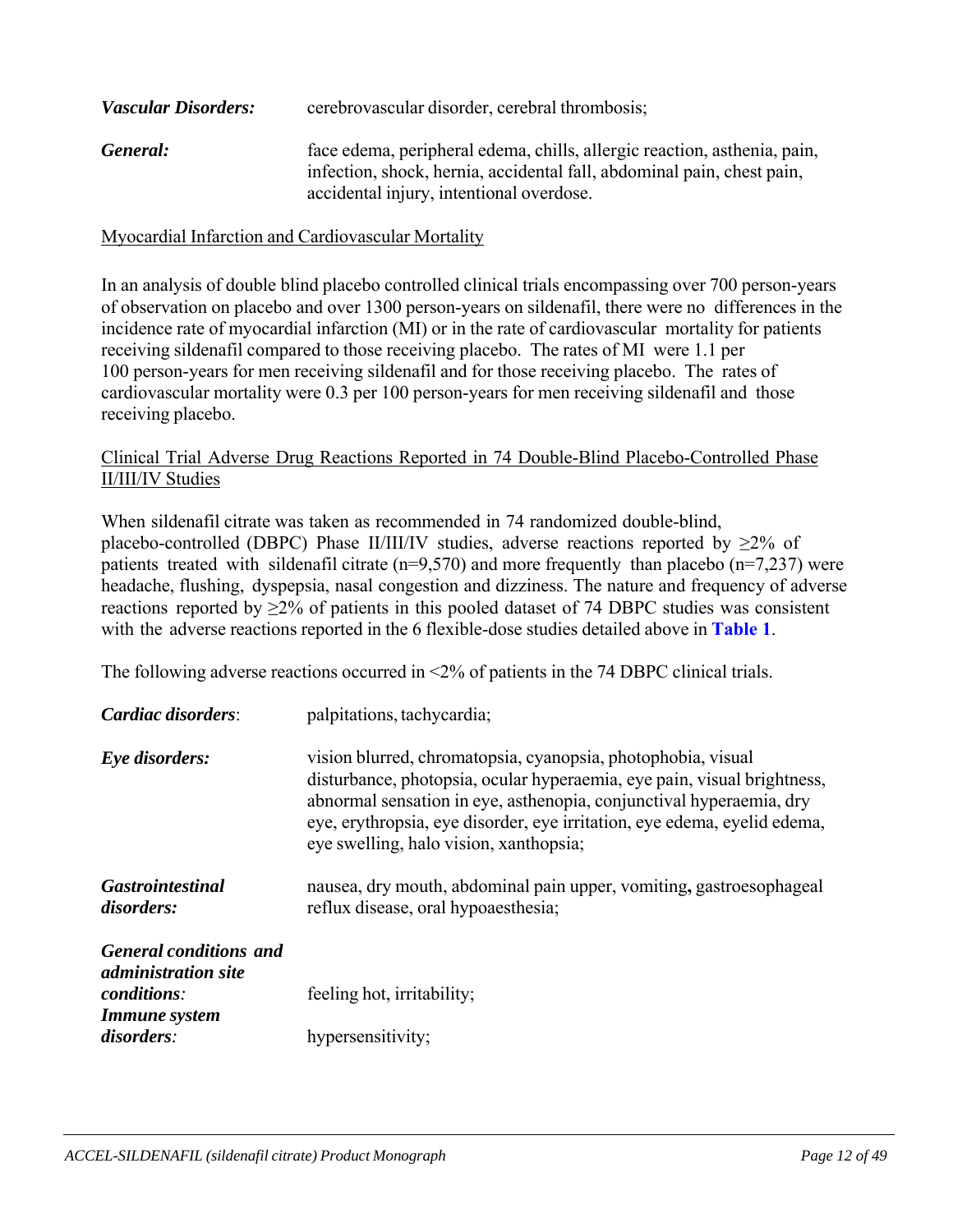| <b>Vascular Disorders:</b> | cerebrovascular disorder, cerebral thrombosis;                                                                                                     |  |  |
|----------------------------|----------------------------------------------------------------------------------------------------------------------------------------------------|--|--|
| General:                   | face edema, peripheral edema, chills, allergic reaction, asthenia, pain,<br>infection, shock, hernia, accidental fall, abdominal pain, chest pain, |  |  |
|                            | accidental injury, intentional overdose.                                                                                                           |  |  |

Myocardial Infarction and Cardiovascular Mortality

In an analysis of double blind placebo controlled clinical trials encompassing over 700 person-years of observation on placebo and over 1300 person-years on sildenafil, there were no differences in the incidence rate of myocardial infarction (MI) or in the rate of cardiovascular mortality for patients receiving sildenafil compared to those receiving placebo. The rates of MI were 1.1 per 100 person-years for men receiving sildenafil and for those receiving placebo. The rates of cardiovascular mortality were 0.3 per 100 person-years for men receiving sildenafil and those receiving placebo.

#### Clinical Trial Adverse Drug Reactions Reported in 74 Double-Blind Placebo-Controlled Phase II/III/IV Studies

When sildenafil citrate was taken as recommended in 74 randomized double-blind, placebo-controlled (DBPC) Phase II/III/IV studies, adverse reactions reported by  $\geq 2\%$  of patients treated with sildenafil citrate (n=9,570) and more frequently than placebo (n=7,237) were headache, flushing, dyspepsia, nasal congestion and dizziness. The nature and frequency of adverse reactions reported by  $\geq 2\%$  of patients in this pooled dataset of 74 DBPC studies was consistent with the adverse reactions reported in the 6 flexible-dose studies detailed above in **Table 1**.

The following adverse reactions occurred in <2% of patients in the 74 DBPC clinical trials.

| Cardiac disorders:                                                                | palpitations, tachycardia;                                                                                                                                                                                                                                                                                                           |
|-----------------------------------------------------------------------------------|--------------------------------------------------------------------------------------------------------------------------------------------------------------------------------------------------------------------------------------------------------------------------------------------------------------------------------------|
| Eye disorders:                                                                    | vision blurred, chromatopsia, cyanopsia, photophobia, visual<br>disturbance, photopsia, ocular hyperaemia, eye pain, visual brightness,<br>abnormal sensation in eye, asthenopia, conjunctival hyperaemia, dry<br>eye, erythropsia, eye disorder, eye irritation, eye edema, eyelid edema,<br>eye swelling, halo vision, xanthopsia; |
| <i><b>Gastrointestinal</b></i><br>disorders:                                      | nausea, dry mouth, abdominal pain upper, vomiting, gastroesophageal<br>reflux disease, oral hypoaesthesia;                                                                                                                                                                                                                           |
| <b>General conditions and</b><br><i>administration site</i><br><i>conditions:</i> | feeling hot, irritability;                                                                                                                                                                                                                                                                                                           |
| <b>Immune</b> system<br>disorders:                                                | hypersensitivity;                                                                                                                                                                                                                                                                                                                    |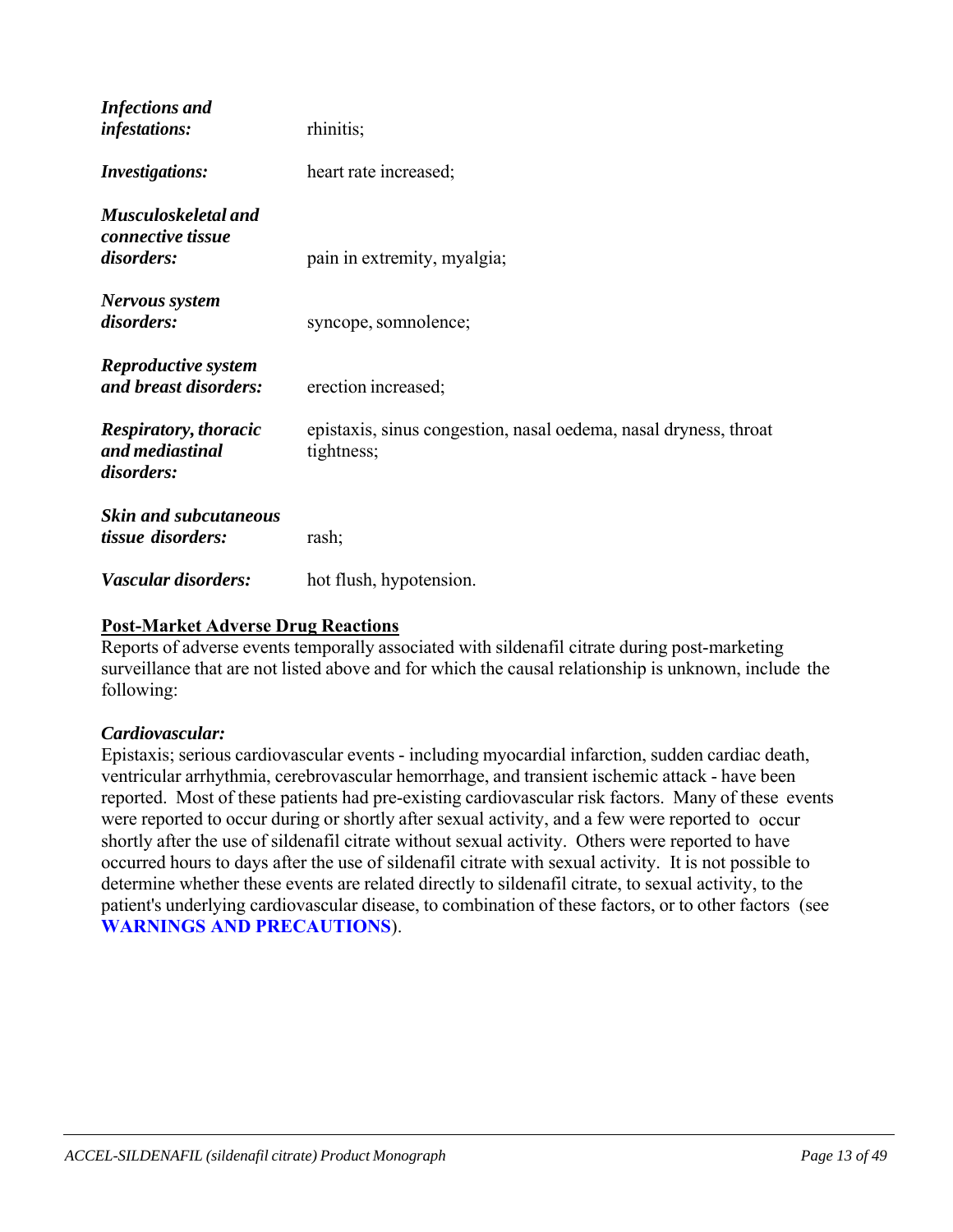| <b>Infections</b> and<br><i>infestations:</i>                 | rhinitis;                                                                      |
|---------------------------------------------------------------|--------------------------------------------------------------------------------|
| <b>Investigations:</b>                                        | heart rate increased;                                                          |
| Musculoskeletal and<br>connective tissue<br>disorders:        | pain in extremity, myalgia;                                                    |
| Nervous system<br>disorders:                                  | syncope, somnolence;                                                           |
| <b>Reproductive system</b><br>and breast disorders:           | erection increased;                                                            |
| <b>Respiratory, thoracic</b><br>and mediastinal<br>disorders: | epistaxis, sinus congestion, nasal oedema, nasal dryness, throat<br>tightness; |
| <b>Skin and subcutaneous</b><br>tissue disorders:             | rash;                                                                          |
| Vascular disorders:                                           | hot flush, hypotension.                                                        |

### **Post-Market Adverse Drug Reactions**

Reports of adverse events temporally associated with sildenafil citrate during post-marketing surveillance that are not listed above and for which the causal relationship is unknown, include the following:

#### *Cardiovascular:*

Epistaxis; serious cardiovascular events - including myocardial infarction, sudden cardiac death, ventricular arrhythmia, cerebrovascular hemorrhage, and transient ischemic attack - have been reported. Most of these patients had pre-existing cardiovascular risk factors. Many of these events were reported to occur during or shortly after sexual activity, and a few were reported to occur shortly after the use of sildenafil citrate without sexual activity. Others were reported to have occurred hours to days after the use of sildenafil citrate with sexual activity. It is not possible to determine whether these events are related directly to sildenafil citrate, to sexual activity, to the patient's underlying cardiovascular disease, to combination of these factors, or to other factors (see **WARNINGS AND PRECAUTIONS**).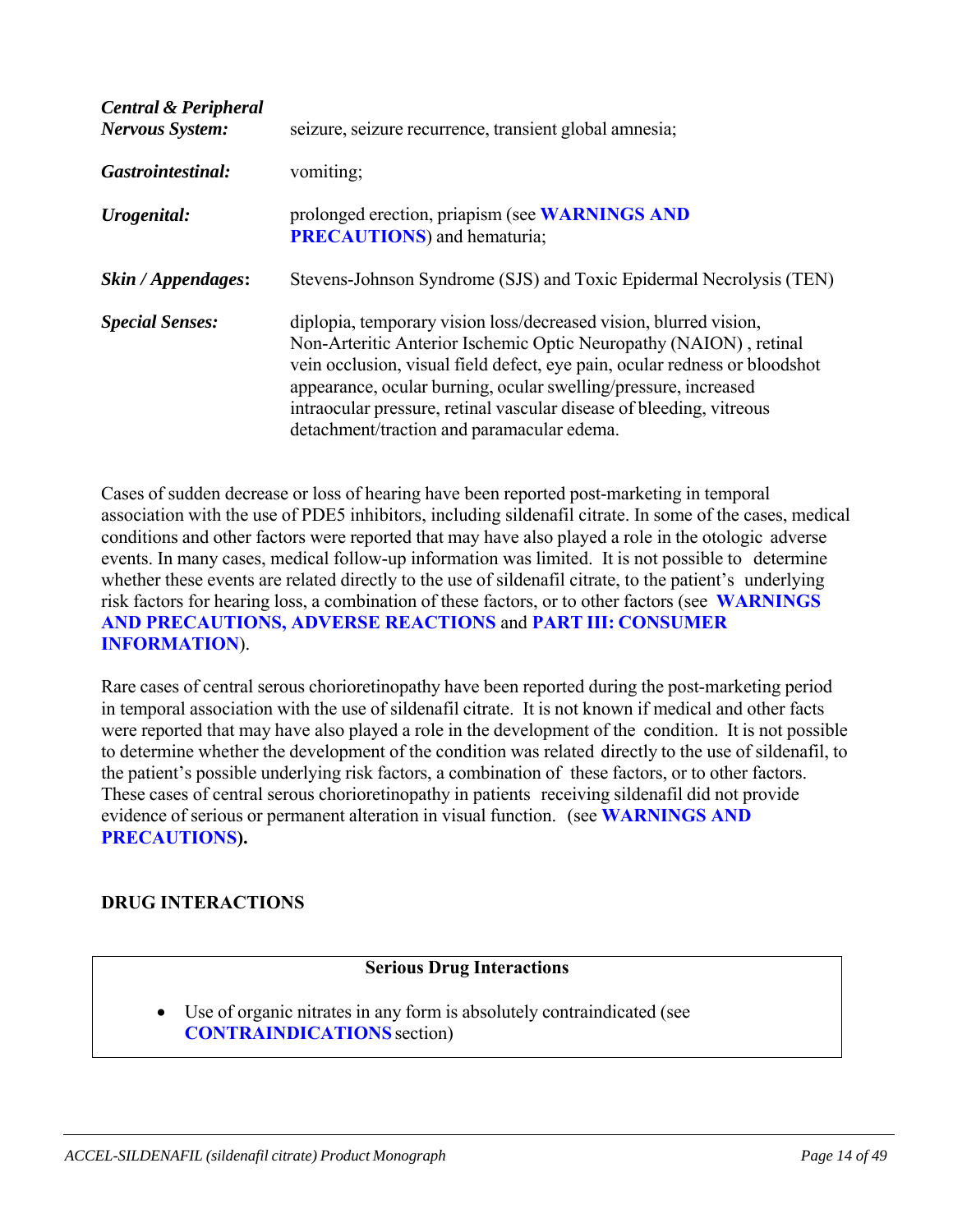| <b>Central &amp; Peripheral</b><br><b>Nervous System:</b> | seizure, seizure recurrence, transient global amnesia;                                                                                                                                                                                                                                                                                                                                                        |
|-----------------------------------------------------------|---------------------------------------------------------------------------------------------------------------------------------------------------------------------------------------------------------------------------------------------------------------------------------------------------------------------------------------------------------------------------------------------------------------|
| Gastrointestinal:                                         | vomiting;                                                                                                                                                                                                                                                                                                                                                                                                     |
| Urogenital:                                               | prolonged erection, priapism (see WARNINGS AND<br><b>PRECAUTIONS</b> ) and hematuria;                                                                                                                                                                                                                                                                                                                         |
| Skin / Appendages:                                        | Stevens-Johnson Syndrome (SJS) and Toxic Epidermal Necrolysis (TEN)                                                                                                                                                                                                                                                                                                                                           |
| <b>Special Senses:</b>                                    | diplopia, temporary vision loss/decreased vision, blurred vision,<br>Non-Arteritic Anterior Ischemic Optic Neuropathy (NAION), retinal<br>vein occlusion, visual field defect, eye pain, ocular redness or bloodshot<br>appearance, ocular burning, ocular swelling/pressure, increased<br>intraocular pressure, retinal vascular disease of bleeding, vitreous<br>detachment/traction and paramacular edema. |

Cases of sudden decrease or loss of hearing have been reported post-marketing in temporal association with the use of PDE5 inhibitors, including sildenafil citrate. In some of the cases, medical conditions and other factors were reported that may have also played a role in the otologic adverse events. In many cases, medical follow-up information was limited. It is not possible to determine whether these events are related directly to the use of sildenafil citrate, to the patient's underlying risk factors for hearing loss, a combination of these factors, or to other factors (see **WARNINGS AND PRECAUTIONS, ADVERSE REACTIONS** and **PART III: CONSUMER INFORMATION**).

Rare cases of central serous chorioretinopathy have been reported during the post-marketing period in temporal association with the use of sildenafil citrate. It is not known if medical and other facts were reported that may have also played a role in the development of the condition. It is not possible to determine whether the development of the condition was related directly to the use of sildenafil, to the patient's possible underlying risk factors, a combination of these factors, or to other factors. These cases of central serous chorioretinopathy in patients receiving sildenafil did not provide evidence of serious or permanent alteration in visual function. (see **WARNINGS AND PRECAUTIONS).**

# **DRUG INTERACTIONS**

### **Serious Drug Interactions**

 Use of organic nitrates in any form is absolutely contraindicated (see **CONTRAINDICATIONS** section)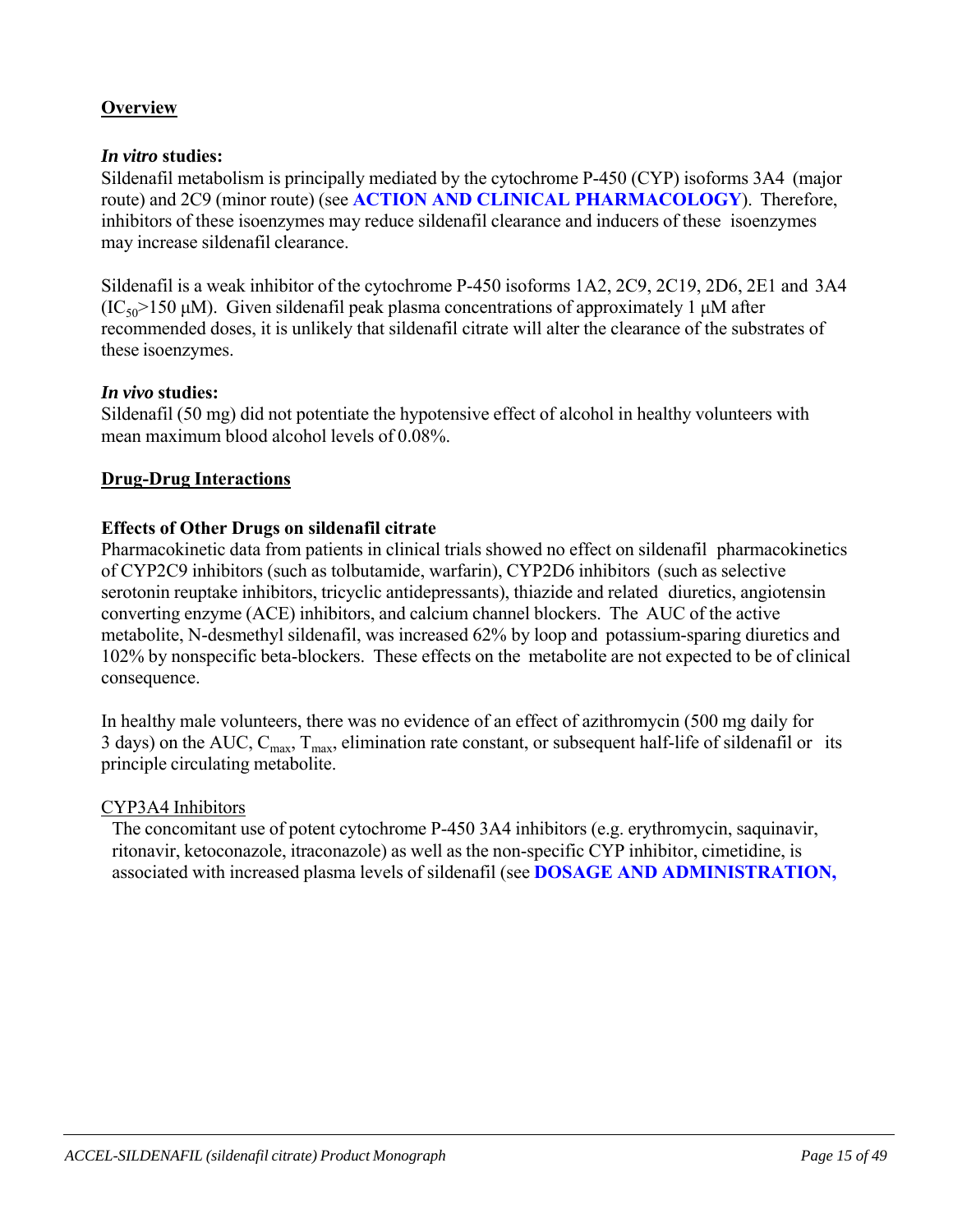# **Overview**

# *In vitro* **studies:**

Sildenafil metabolism is principally mediated by the cytochrome P-450 (CYP) isoforms 3A4 (major route) and 2C9 (minor route) (see **ACTION AND CLINICAL PHARMACOLOGY**). Therefore, inhibitors of these isoenzymes may reduce sildenafil clearance and inducers of these isoenzymes may increase sildenafil clearance.

Sildenafil is a weak inhibitor of the cytochrome P-450 isoforms 1A2, 2C9, 2C19, 2D6, 2E1 and 3A4  $(IC_{50} > 150 \mu M)$ . Given sildenafil peak plasma concentrations of approximately 1  $\mu$ M after recommended doses, it is unlikely that sildenafil citrate will alter the clearance of the substrates of these isoenzymes.

# *In vivo* **studies:**

Sildenafil (50 mg) did not potentiate the hypotensive effect of alcohol in healthy volunteers with mean maximum blood alcohol levels of 0.08%.

# **Drug-Drug Interactions**

# **Effects of Other Drugs on sildenafil citrate**

Pharmacokinetic data from patients in clinical trials showed no effect on sildenafil pharmacokinetics of CYP2C9 inhibitors (such as tolbutamide, warfarin), CYP2D6 inhibitors (such as selective serotonin reuptake inhibitors, tricyclic antidepressants), thiazide and related diuretics, angiotensin converting enzyme (ACE) inhibitors, and calcium channel blockers. The AUC of the active metabolite, N-desmethyl sildenafil, was increased 62% by loop and potassium-sparing diuretics and 102% by nonspecific beta-blockers. These effects on the metabolite are not expected to be of clinical consequence.

In healthy male volunteers, there was no evidence of an effect of azithromycin (500 mg daily for 3 days) on the AUC,  $C_{\text{max}}$ ,  $T_{\text{max}}$ , elimination rate constant, or subsequent half-life of sildenafil or its principle circulating metabolite.

# CYP3A4 Inhibitors

The concomitant use of potent cytochrome P-450 3A4 inhibitors (e.g. erythromycin, saquinavir, ritonavir, ketoconazole, itraconazole) as well as the non-specific CYP inhibitor, cimetidine, is associated with increased plasma levels of sildenafil (see **DOSAGE AND ADMINISTRATION,**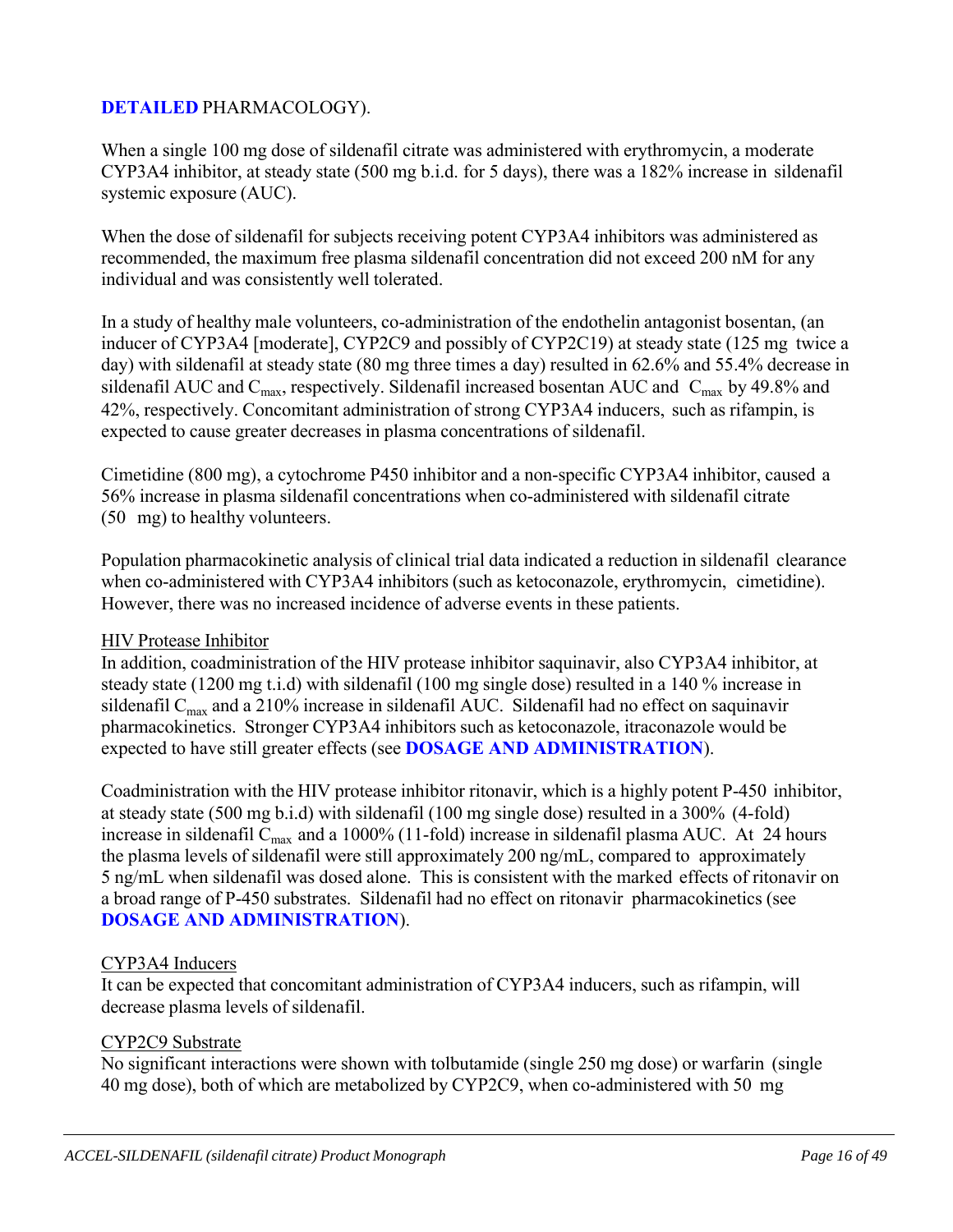# **DETAILED** PHARMACOLOGY).

When a single 100 mg dose of sildenafil citrate was administered with erythromycin, a moderate CYP3A4 inhibitor, at steady state (500 mg b.i.d. for 5 days), there was a 182% increase in sildenafil systemic exposure (AUC).

When the dose of sildenafil for subjects receiving potent CYP3A4 inhibitors was administered as recommended, the maximum free plasma sildenafil concentration did not exceed 200 nM for any individual and was consistently well tolerated.

In a study of healthy male volunteers, co-administration of the endothelin antagonist bosentan, (an inducer of CYP3A4 [moderate], CYP2C9 and possibly of CYP2C19) at steady state (125 mg twice a day) with sildenafil at steady state (80 mg three times a day) resulted in 62.6% and 55.4% decrease in sildenafil AUC and  $C_{\text{max}}$ , respectively. Sildenafil increased bosentan AUC and  $C_{\text{max}}$  by 49.8% and 42%, respectively. Concomitant administration of strong CYP3A4 inducers, such as rifampin, is expected to cause greater decreases in plasma concentrations of sildenafil.

Cimetidine (800 mg), a cytochrome P450 inhibitor and a non-specific CYP3A4 inhibitor, caused a 56% increase in plasma sildenafil concentrations when co-administered with sildenafil citrate (50 mg) to healthy volunteers.

Population pharmacokinetic analysis of clinical trial data indicated a reduction in sildenafil clearance when co-administered with CYP3A4 inhibitors (such as ketoconazole, erythromycin, cimetidine). However, there was no increased incidence of adverse events in these patients.

#### HIV Protease Inhibitor

In addition, coadministration of the HIV protease inhibitor saquinavir, also CYP3A4 inhibitor, at steady state (1200 mg t.i.d) with sildenafil (100 mg single dose) resulted in a 140 % increase in sildenafil  $C_{\text{max}}$  and a 210% increase in sildenafil AUC. Sildenafil had no effect on saquinavir pharmacokinetics. Stronger CYP3A4 inhibitors such as ketoconazole, itraconazole would be expected to have still greater effects (see **DOSAGE AND ADMINISTRATION**).

Coadministration with the HIV protease inhibitor ritonavir, which is a highly potent P-450 inhibitor, at steady state (500 mg b.i.d) with sildenafil (100 mg single dose) resulted in a 300% (4-fold) increase in sildenafil  $C_{\text{max}}$  and a 1000% (11-fold) increase in sildenafil plasma AUC. At 24 hours the plasma levels of sildenafil were still approximately 200 ng/mL, compared to approximately 5 ng/mL when sildenafil was dosed alone. This is consistent with the marked effects of ritonavir on a broad range of P-450 substrates. Sildenafil had no effect on ritonavir pharmacokinetics (see **DOSAGE AND ADMINISTRATION**).

#### CYP3A4 Inducers

It can be expected that concomitant administration of CYP3A4 inducers, such as rifampin, will decrease plasma levels of sildenafil.

#### CYP2C9 Substrate

No significant interactions were shown with tolbutamide (single 250 mg dose) or warfarin (single 40 mg dose), both of which are metabolized by CYP2C9, when co-administered with 50 mg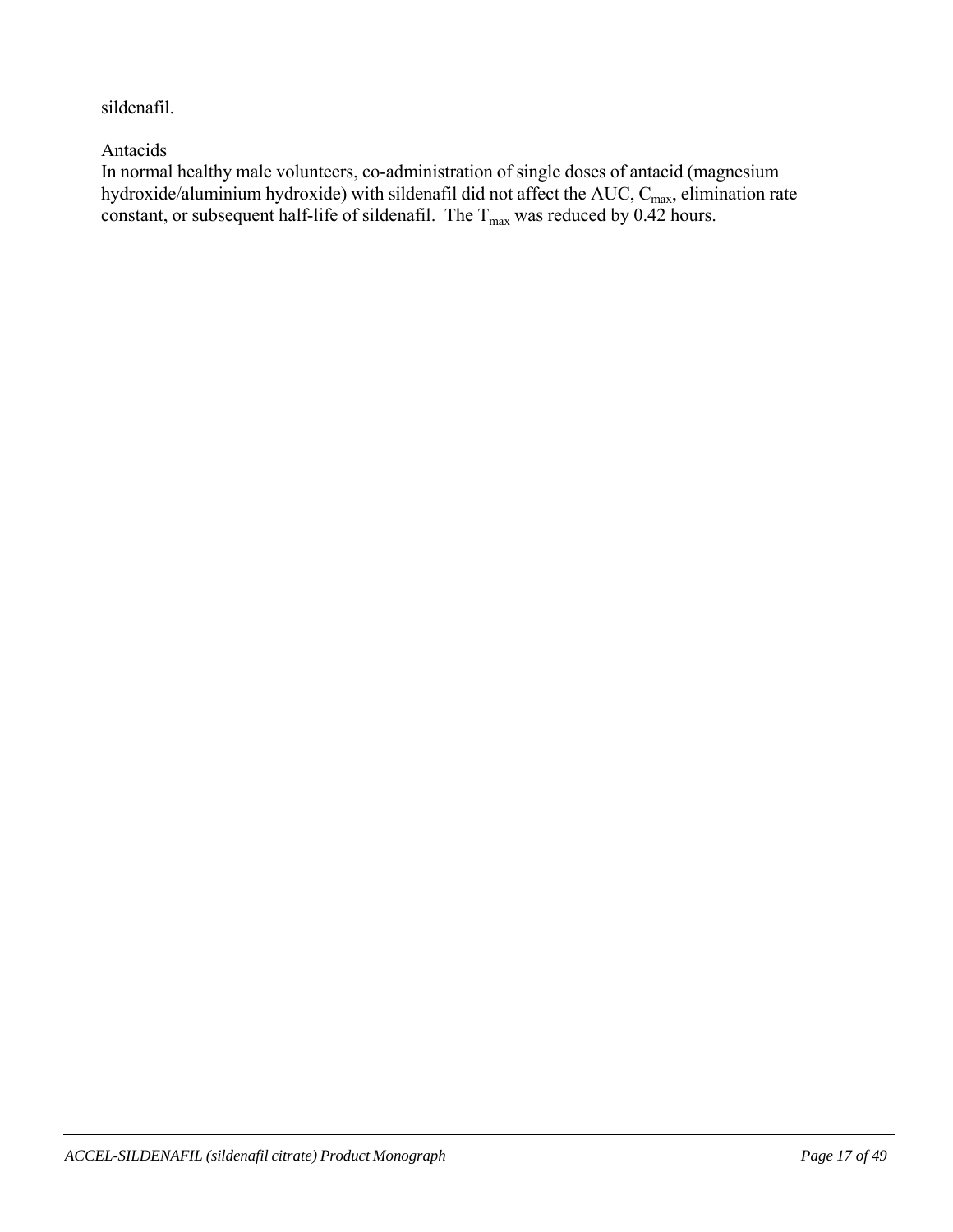sildenafil.

# Antacids

In normal healthy male volunteers, co-administration of single doses of antacid (magnesium hydroxide/aluminium hydroxide) with sildenafil did not affect the AUC,  $C_{\text{max}}$ , elimination rate constant, or subsequent half-life of sildenafil. The  $T_{\text{max}}$  was reduced by 0.42 hours.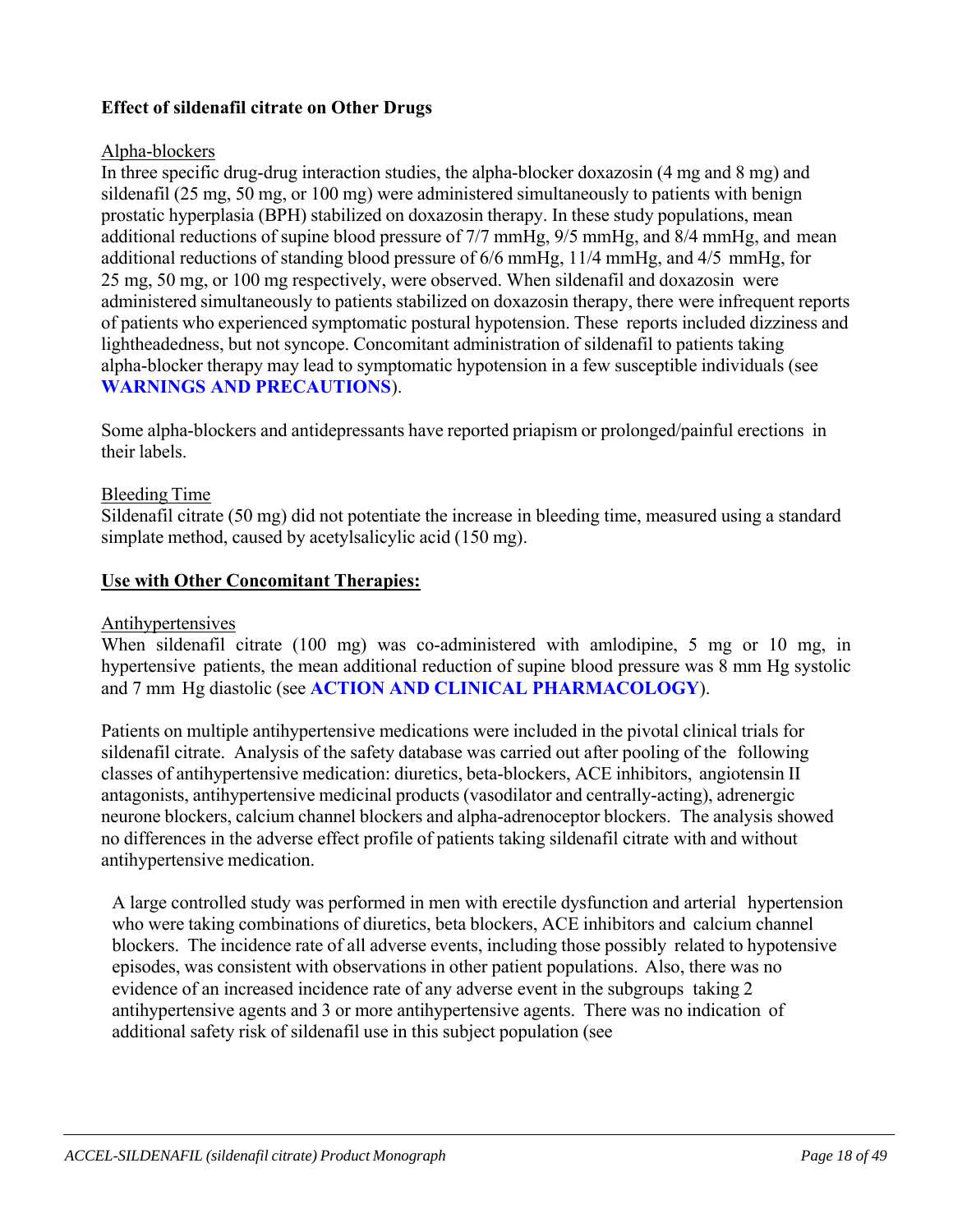# **Effect of sildenafil citrate on Other Drugs**

#### Alpha-blockers

In three specific drug-drug interaction studies, the alpha-blocker doxazosin (4 mg and 8 mg) and sildenafil (25 mg, 50 mg, or 100 mg) were administered simultaneously to patients with benign prostatic hyperplasia (BPH) stabilized on doxazosin therapy. In these study populations, mean additional reductions of supine blood pressure of 7/7 mmHg, 9/5 mmHg, and 8/4 mmHg, and mean additional reductions of standing blood pressure of 6/6 mmHg, 11/4 mmHg, and 4/5 mmHg, for 25 mg, 50 mg, or 100 mg respectively, were observed. When sildenafil and doxazosin were administered simultaneously to patients stabilized on doxazosin therapy, there were infrequent reports of patients who experienced symptomatic postural hypotension. These reports included dizziness and lightheadedness, but not syncope. Concomitant administration of sildenafil to patients taking alpha-blocker therapy may lead to symptomatic hypotension in a few susceptible individuals (see **WARNINGS AND PRECAUTIONS**).

Some alpha-blockers and antidepressants have reported priapism or prolonged/painful erections in their labels.

#### Bleeding Time

Sildenafil citrate (50 mg) did not potentiate the increase in bleeding time, measured using a standard simplate method, caused by acetylsalicylic acid (150 mg).

#### **Use with Other Concomitant Therapies:**

#### **Antihypertensives**

When sildenafil citrate (100 mg) was co-administered with amlodipine, 5 mg or 10 mg, in hypertensive patients, the mean additional reduction of supine blood pressure was 8 mm Hg systolic and 7 mm Hg diastolic (see **ACTION AND CLINICAL PHARMACOLOGY**).

Patients on multiple antihypertensive medications were included in the pivotal clinical trials for sildenafil citrate. Analysis of the safety database was carried out after pooling of the following classes of antihypertensive medication: diuretics, beta-blockers, ACE inhibitors, angiotensin II antagonists, antihypertensive medicinal products (vasodilator and centrally-acting), adrenergic neurone blockers, calcium channel blockers and alpha-adrenoceptor blockers. The analysis showed no differences in the adverse effect profile of patients taking sildenafil citrate with and without antihypertensive medication.

A large controlled study was performed in men with erectile dysfunction and arterial hypertension who were taking combinations of diuretics, beta blockers, ACE inhibitors and calcium channel blockers. The incidence rate of all adverse events, including those possibly related to hypotensive episodes, was consistent with observations in other patient populations. Also, there was no evidence of an increased incidence rate of any adverse event in the subgroups taking 2 antihypertensive agents and 3 or more antihypertensive agents. There was no indication of additional safety risk of sildenafil use in this subject population (see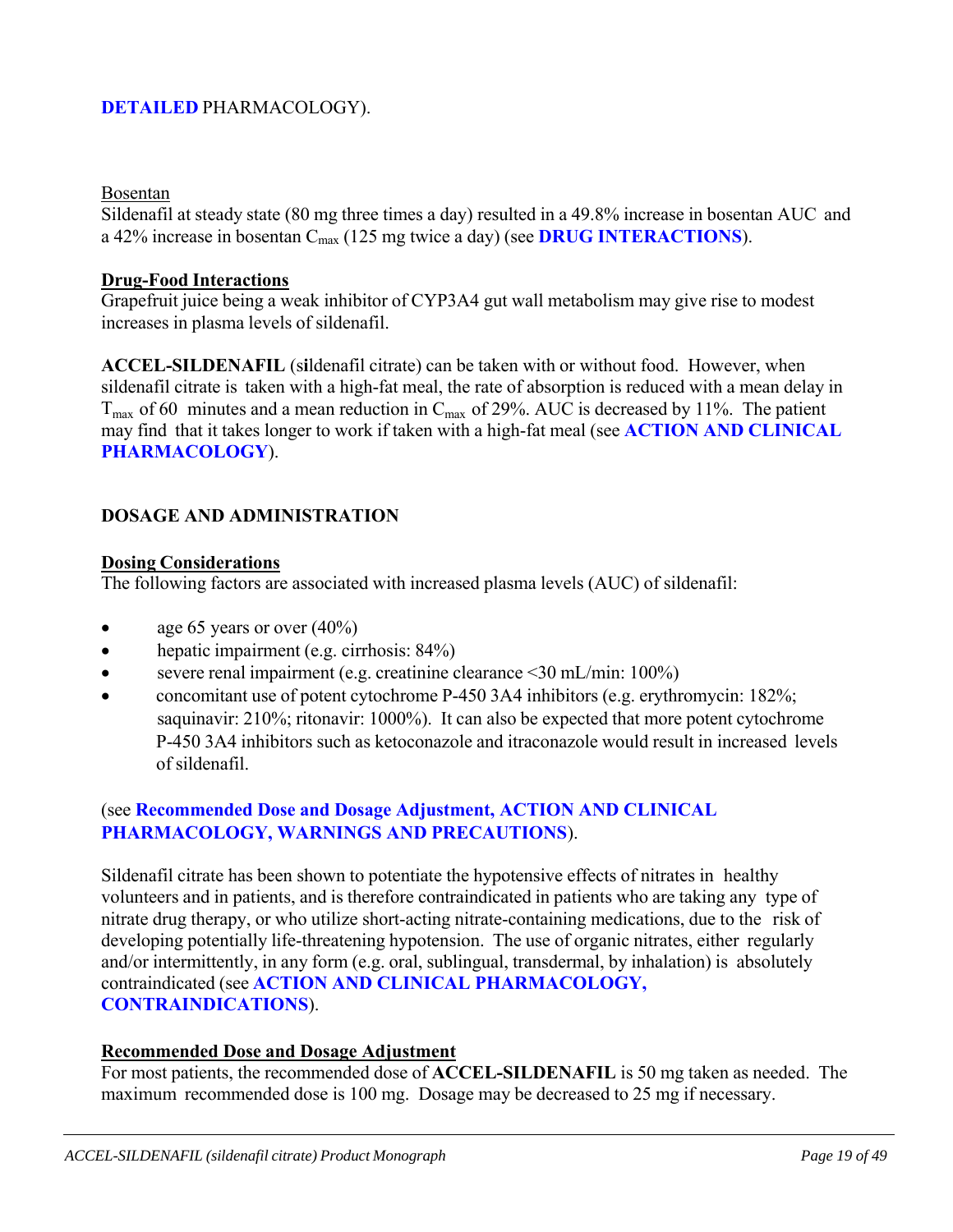# **DETAILED** PHARMACOLOGY).

#### Bosentan

Sildenafil at steady state (80 mg three times a day) resulted in a 49.8% increase in bosentan AUC and a 42% increase in bosentan Cmax (125 mg twice a day) (see **DRUG INTERACTIONS**).

#### **Drug-Food Interactions**

Grapefruit juice being a weak inhibitor of CYP3A4 gut wall metabolism may give rise to modest increases in plasma levels of sildenafil.

**ACCEL-SILDENAFIL** (s**i**ldenafil citrate) can be taken with or without food. However, when sildenafil citrate is taken with a high-fat meal, the rate of absorption is reduced with a mean delay in  $T_{\text{max}}$  of 60 minutes and a mean reduction in  $C_{\text{max}}$  of 29%. AUC is decreased by 11%. The patient may find that it takes longer to work if taken with a high-fat meal (see **ACTION AND CLINICAL PHARMACOLOGY**).

#### **DOSAGE AND ADMINISTRATION**

#### **Dosing Considerations**

The following factors are associated with increased plasma levels (AUC) of sildenafil:

- age 65 years or over  $(40\%)$
- hepatic impairment (e.g. cirrhosis: 84%)
- severe renal impairment (e.g. creatinine clearance <30 mL/min: 100%)
- concomitant use of potent cytochrome P-450 3A4 inhibitors (e.g. erythromycin: 182%; saquinavir: 210%; ritonavir: 1000%). It can also be expected that more potent cytochrome P-450 3A4 inhibitors such as ketoconazole and itraconazole would result in increased levels of sildenafil.

### (see **Recommended Dose and Dosage Adjustment, ACTION AND CLINICAL PHARMACOLOGY, WARNINGS AND PRECAUTIONS**).

Sildenafil citrate has been shown to potentiate the hypotensive effects of nitrates in healthy volunteers and in patients, and is therefore contraindicated in patients who are taking any type of nitrate drug therapy, or who utilize short-acting nitrate-containing medications, due to the risk of developing potentially life-threatening hypotension. The use of organic nitrates, either regularly and/or intermittently, in any form (e.g. oral, sublingual, transdermal, by inhalation) is absolutely contraindicated (see **ACTION AND CLINICAL PHARMACOLOGY, CONTRAINDICATIONS**).

#### **Recommended Dose and Dosage Adjustment**

For most patients, the recommended dose of **ACCEL-SILDENAFIL** is 50 mg taken as needed. The maximum recommended dose is 100 mg. Dosage may be decreased to 25 mg if necessary.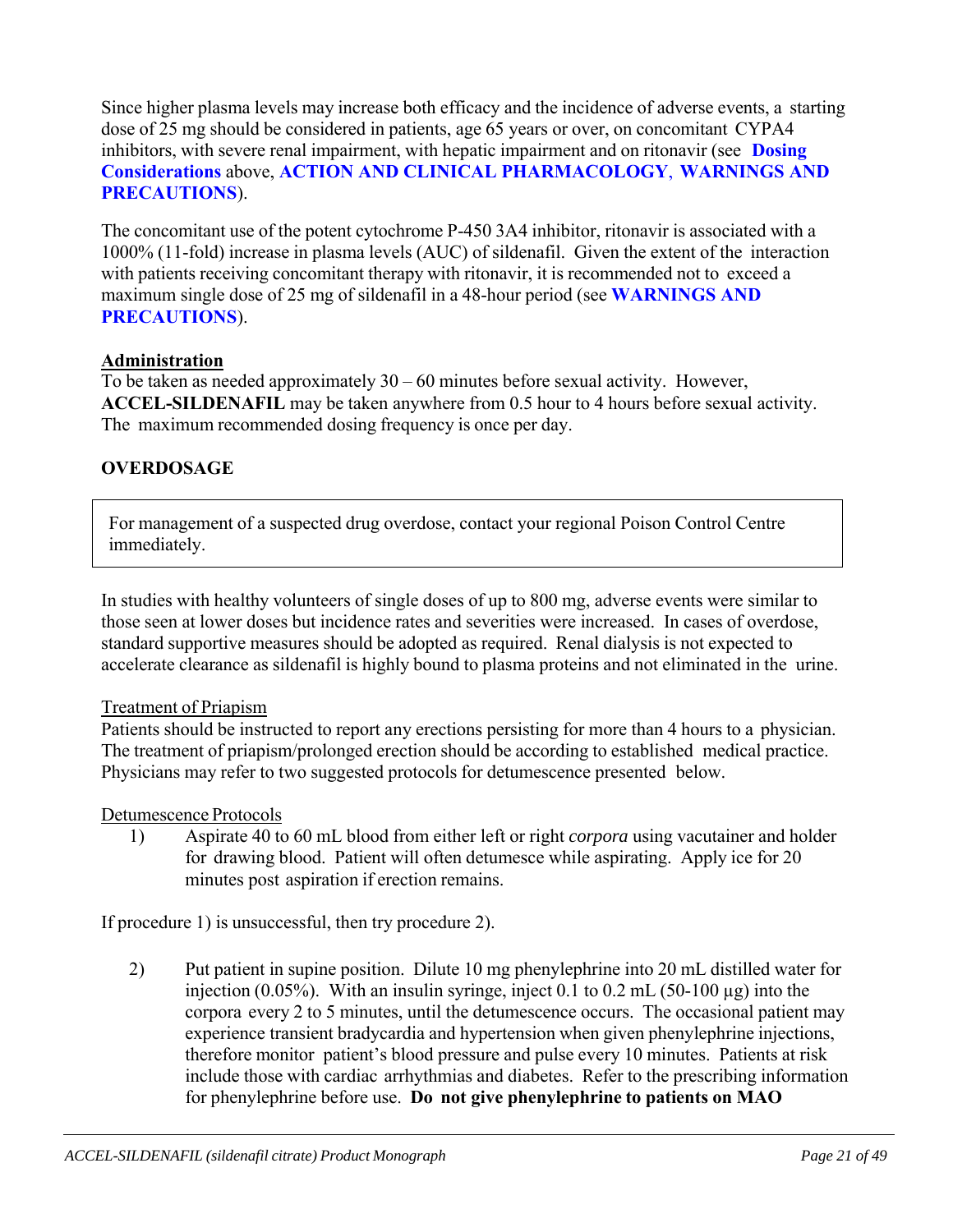Since higher plasma levels may increase both efficacy and the incidence of adverse events, a starting dose of 25 mg should be considered in patients, age 65 years or over, on concomitant CYPA4 inhibitors, with severe renal impairment, with hepatic impairment and on ritonavir (see **Dosing Considerations** above, **ACTION AND CLINICAL PHARMACOLOGY**, **WARNINGS AND PRECAUTIONS**).

The concomitant use of the potent cytochrome P-450 3A4 inhibitor, ritonavir is associated with a 1000% (11-fold) increase in plasma levels (AUC) of sildenafil. Given the extent of the interaction with patients receiving concomitant therapy with ritonavir, it is recommended not to exceed a maximum single dose of 25 mg of sildenafil in a 48-hour period (see **WARNINGS AND PRECAUTIONS**).

#### **Administration**

To be taken as needed approximately 30 – 60 minutes before sexual activity. However, **ACCEL-SILDENAFIL** may be taken anywhere from 0.5 hour to 4 hours before sexual activity. The maximum recommended dosing frequency is once per day.

### **OVERDOSAGE**

For management of a suspected drug overdose, contact your regional Poison Control Centre immediately.

In studies with healthy volunteers of single doses of up to 800 mg, adverse events were similar to those seen at lower doses but incidence rates and severities were increased. In cases of overdose, standard supportive measures should be adopted as required. Renal dialysis is not expected to accelerate clearance as sildenafil is highly bound to plasma proteins and not eliminated in the urine.

#### Treatment of Priapism

Patients should be instructed to report any erections persisting for more than 4 hours to a physician. The treatment of priapism/prolonged erection should be according to established medical practice. Physicians may refer to two suggested protocols for detumescence presented below.

#### Detumescence Protocols

1) Aspirate 40 to 60 mL blood from either left or right *corpora* using vacutainer and holder for drawing blood. Patient will often detumesce while aspirating. Apply ice for 20 minutes post aspiration if erection remains.

If procedure 1) is unsuccessful, then try procedure 2).

2) Put patient in supine position. Dilute 10 mg phenylephrine into 20 mL distilled water for injection (0.05%). With an insulin syringe, inject 0.1 to 0.2 mL (50-100 µg) into the corpora every 2 to 5 minutes, until the detumescence occurs. The occasional patient may experience transient bradycardia and hypertension when given phenylephrine injections, therefore monitor patient's blood pressure and pulse every 10 minutes. Patients at risk include those with cardiac arrhythmias and diabetes. Refer to the prescribing information for phenylephrine before use. **Do not give phenylephrine to patients on MAO**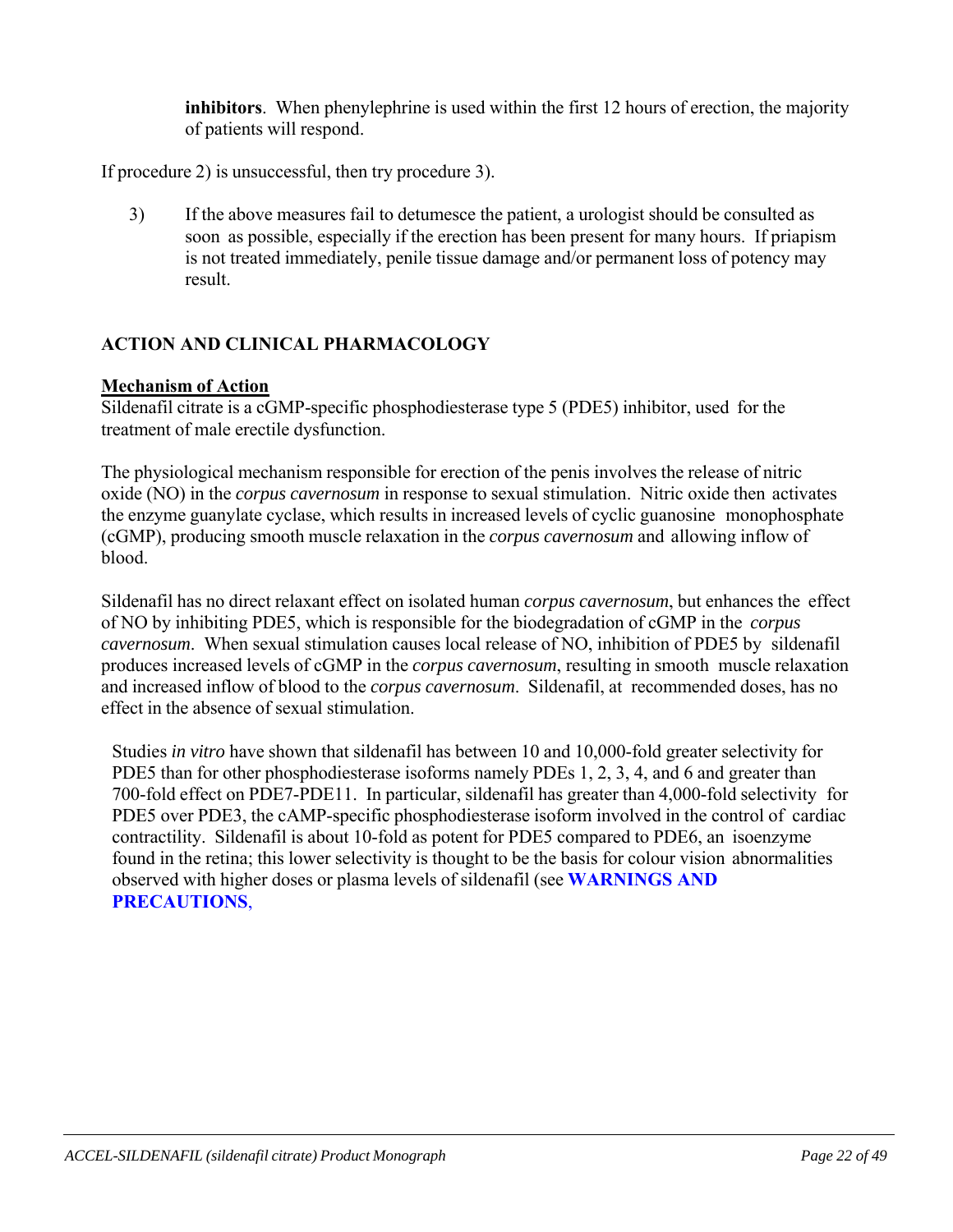**inhibitors**. When phenylephrine is used within the first 12 hours of erection, the majority of patients will respond.

If procedure 2) is unsuccessful, then try procedure 3).

3) If the above measures fail to detumesce the patient, a urologist should be consulted as soon as possible, especially if the erection has been present for many hours. If priapism is not treated immediately, penile tissue damage and/or permanent loss of potency may result.

# **ACTION AND CLINICAL PHARMACOLOGY**

#### **Mechanism of Action**

Sildenafil citrate is a cGMP-specific phosphodiesterase type 5 (PDE5) inhibitor, used for the treatment of male erectile dysfunction.

The physiological mechanism responsible for erection of the penis involves the release of nitric oxide (NO) in the *corpus cavernosum* in response to sexual stimulation. Nitric oxide then activates the enzyme guanylate cyclase, which results in increased levels of cyclic guanosine monophosphate (cGMP), producing smooth muscle relaxation in the *corpus cavernosum* and allowing inflow of blood.

Sildenafil has no direct relaxant effect on isolated human *corpus cavernosum*, but enhances the effect of NO by inhibiting PDE5, which is responsible for the biodegradation of cGMP in the *corpus cavernosum*. When sexual stimulation causes local release of NO, inhibition of PDE5 by sildenafil produces increased levels of cGMP in the *corpus cavernosum*, resulting in smooth muscle relaxation and increased inflow of blood to the *corpus cavernosum*. Sildenafil, at recommended doses, has no effect in the absence of sexual stimulation.

Studies *in vitro* have shown that sildenafil has between 10 and 10,000-fold greater selectivity for PDE5 than for other phosphodiesterase isoforms namely PDEs 1, 2, 3, 4, and 6 and greater than 700-fold effect on PDE7-PDE11. In particular, sildenafil has greater than 4,000-fold selectivity for PDE5 over PDE3, the cAMP-specific phosphodiesterase isoform involved in the control of cardiac contractility. Sildenafil is about 10-fold as potent for PDE5 compared to PDE6, an isoenzyme found in the retina; this lower selectivity is thought to be the basis for colour vision abnormalities observed with higher doses or plasma levels of sildenafil (see **WARNINGS AND PRECAUTIONS**,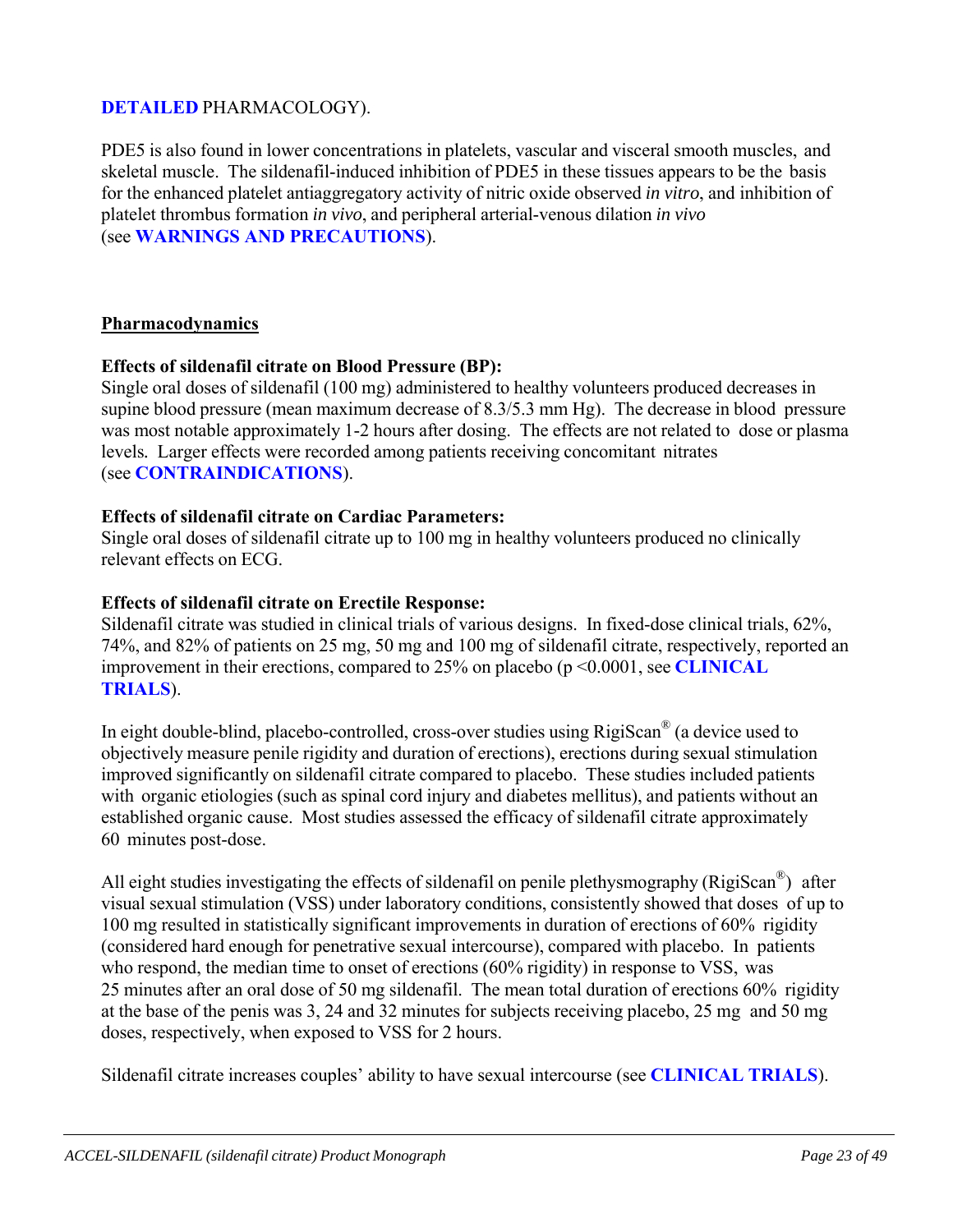# **DETAILED** PHARMACOLOGY).

PDE5 is also found in lower concentrations in platelets, vascular and visceral smooth muscles, and skeletal muscle. The sildenafil-induced inhibition of PDE5 in these tissues appears to be the basis for the enhanced platelet antiaggregatory activity of nitric oxide observed *in vitro*, and inhibition of platelet thrombus formation *in vivo*, and peripheral arterial-venous dilation *in vivo* (see **WARNINGS AND PRECAUTIONS**).

#### **Pharmacodynamics**

#### **Effects of sildenafil citrate on Blood Pressure (BP):**

Single oral doses of sildenafil (100 mg) administered to healthy volunteers produced decreases in supine blood pressure (mean maximum decrease of 8.3/5.3 mm Hg). The decrease in blood pressure was most notable approximately 1-2 hours after dosing. The effects are not related to dose or plasma levels*.* Larger effects were recorded among patients receiving concomitant nitrates (see **CONTRAINDICATIONS**).

#### **Effects of sildenafil citrate on Cardiac Parameters:**

Single oral doses of sildenafil citrate up to 100 mg in healthy volunteers produced no clinically relevant effects on ECG.

#### **Effects of sildenafil citrate on Erectile Response:**

Sildenafil citrate was studied in clinical trials of various designs. In fixed-dose clinical trials, 62%, 74%, and 82% of patients on 25 mg, 50 mg and 100 mg of sildenafil citrate, respectively, reported an improvement in their erections, compared to 25% on placebo (p <0.0001, see **CLINICAL TRIALS**).

In eight double-blind, placebo-controlled, cross-over studies using RigiScan® (a device used to objectively measure penile rigidity and duration of erections), erections during sexual stimulation improved significantly on sildenafil citrate compared to placebo. These studies included patients with organic etiologies (such as spinal cord injury and diabetes mellitus), and patients without an established organic cause. Most studies assessed the efficacy of sildenafil citrate approximately 60 minutes post-dose.

All eight studies investigating the effects of sildenafil on penile plethysmography (RigiScan<sup>®</sup>) after visual sexual stimulation (VSS) under laboratory conditions, consistently showed that doses of up to 100 mg resulted in statistically significant improvements in duration of erections of 60% rigidity (considered hard enough for penetrative sexual intercourse), compared with placebo. In patients who respond, the median time to onset of erections (60% rigidity) in response to VSS, was 25 minutes after an oral dose of 50 mg sildenafil. The mean total duration of erections 60% rigidity at the base of the penis was 3, 24 and 32 minutes for subjects receiving placebo, 25 mg and 50 mg doses, respectively, when exposed to VSS for 2 hours.

Sildenafil citrate increases couples' ability to have sexual intercourse (see **CLINICAL TRIALS**).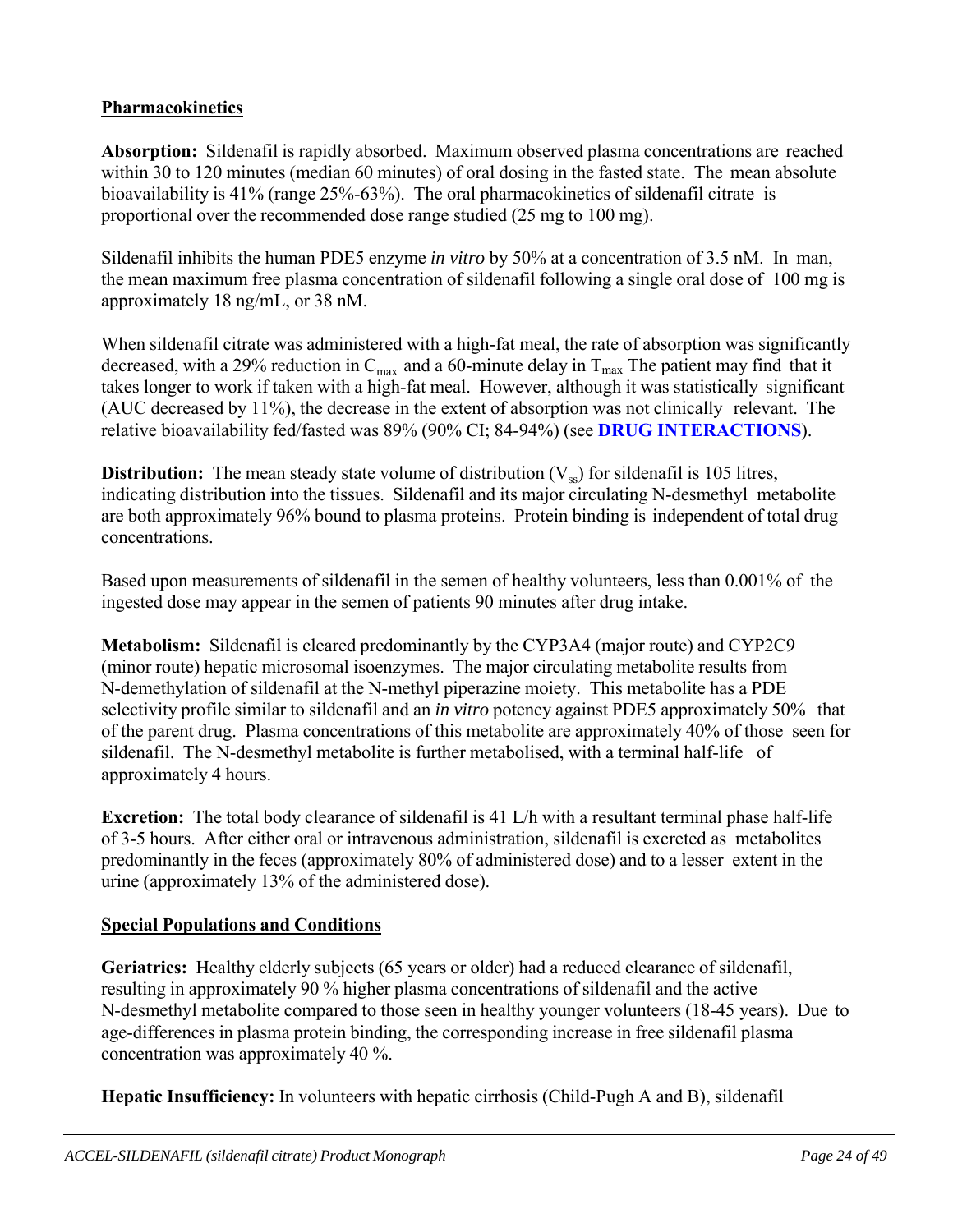# **Pharmacokinetics**

**Absorption:** Sildenafil is rapidly absorbed. Maximum observed plasma concentrations are reached within 30 to 120 minutes (median 60 minutes) of oral dosing in the fasted state. The mean absolute bioavailability is 41% (range 25%-63%). The oral pharmacokinetics of sildenafil citrate is proportional over the recommended dose range studied (25 mg to 100 mg).

Sildenafil inhibits the human PDE5 enzyme *in vitro* by 50% at a concentration of 3.5 nM. In man, the mean maximum free plasma concentration of sildenafil following a single oral dose of 100 mg is approximately 18 ng/mL, or 38 nM.

When sildenafil citrate was administered with a high-fat meal, the rate of absorption was significantly decreased, with a 29% reduction in  $C_{\text{max}}$  and a 60-minute delay in  $T_{\text{max}}$  The patient may find that it takes longer to work if taken with a high-fat meal. However, although it was statistically significant (AUC decreased by 11%), the decrease in the extent of absorption was not clinically relevant. The relative bioavailability fed/fasted was 89% (90% CI; 84-94%) (see **DRUG INTERACTIONS**).

**Distribution:** The mean steady state volume of distribution  $(V_{ss})$  for sildenafil is 105 litres, indicating distribution into the tissues. Sildenafil and its major circulating N-desmethyl metabolite are both approximately 96% bound to plasma proteins. Protein binding is independent of total drug concentrations.

Based upon measurements of sildenafil in the semen of healthy volunteers, less than 0.001% of the ingested dose may appear in the semen of patients 90 minutes after drug intake.

**Metabolism:** Sildenafil is cleared predominantly by the CYP3A4 (major route) and CYP2C9 (minor route) hepatic microsomal isoenzymes. The major circulating metabolite results from N-demethylation of sildenafil at the N-methyl piperazine moiety. This metabolite has a PDE selectivity profile similar to sildenafil and an *in vitro* potency against PDE5 approximately 50% that of the parent drug. Plasma concentrations of this metabolite are approximately 40% of those seen for sildenafil. The N-desmethyl metabolite is further metabolised, with a terminal half-life of approximately 4 hours.

**Excretion:** The total body clearance of sildenafil is 41 L/h with a resultant terminal phase half-life of 3-5 hours. After either oral or intravenous administration, sildenafil is excreted as metabolites predominantly in the feces (approximately 80% of administered dose) and to a lesser extent in the urine (approximately 13% of the administered dose).

# **Special Populations and Conditions**

**Geriatrics:** Healthy elderly subjects (65 years or older) had a reduced clearance of sildenafil, resulting in approximately 90 % higher plasma concentrations of sildenafil and the active N-desmethyl metabolite compared to those seen in healthy younger volunteers (18-45 years). Due to age-differences in plasma protein binding, the corresponding increase in free sildenafil plasma concentration was approximately 40 %.

**Hepatic Insufficiency:** In volunteers with hepatic cirrhosis (Child-Pugh A and B), sildenafil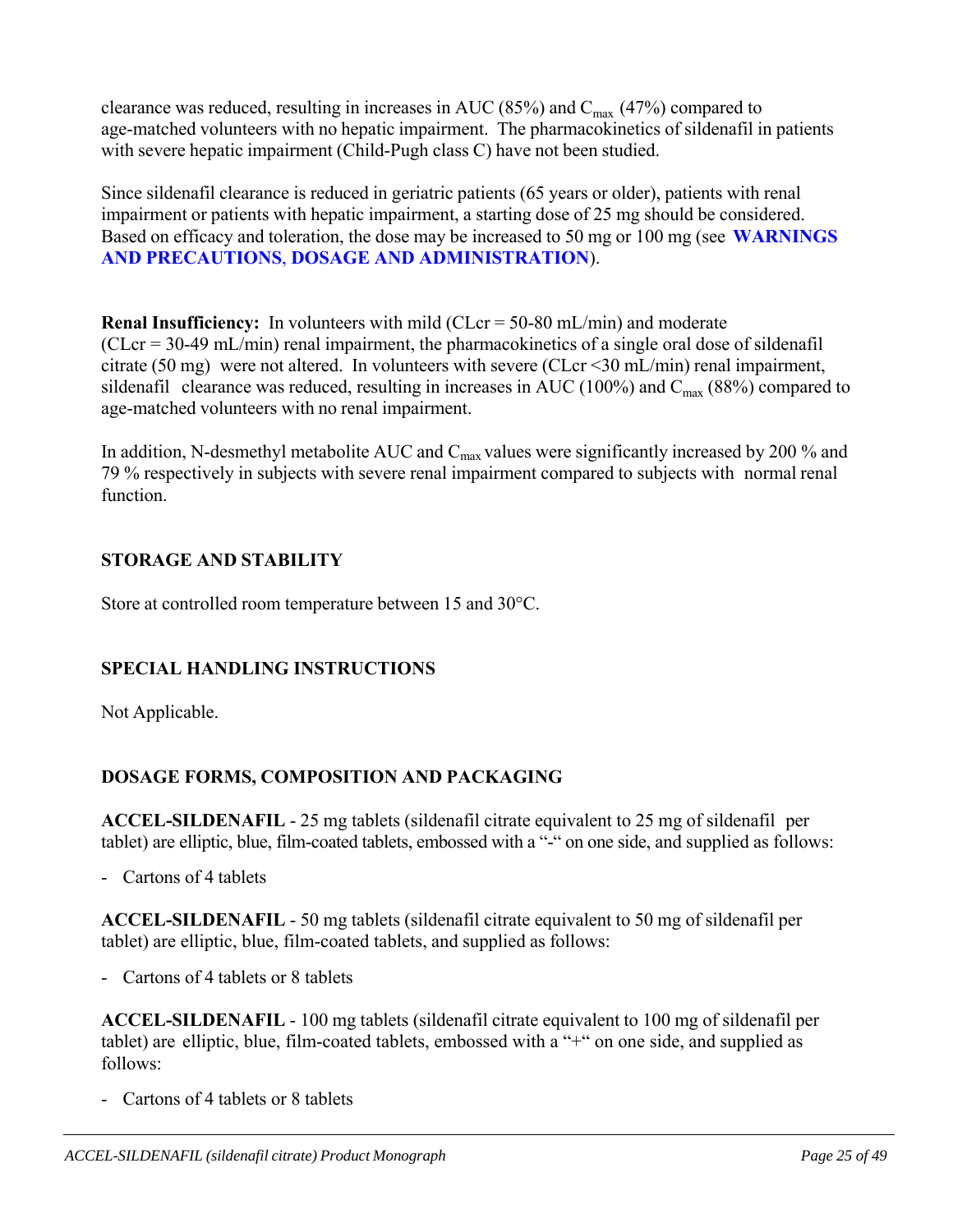clearance was reduced, resulting in increases in AUC (85%) and  $C_{\text{max}}$  (47%) compared to age-matched volunteers with no hepatic impairment. The pharmacokinetics of sildenafil in patients with severe hepatic impairment (Child-Pugh class C) have not been studied.

Since sildenafil clearance is reduced in geriatric patients (65 years or older), patients with renal impairment or patients with hepatic impairment, a starting dose of 25 mg should be considered. Based on efficacy and toleration, the dose may be increased to 50 mg or 100 mg (see **WARNINGS AND PRECAUTIONS**, **DOSAGE AND ADMINISTRATION**).

**Renal Insufficiency:** In volunteers with mild (CLcr = 50-80 mL/min) and moderate  $(CLcr = 30-49$  mL/min) renal impairment, the pharmacokinetics of a single oral dose of sildenafil citrate (50 mg) were not altered. In volunteers with severe (CLcr <30 mL/min) renal impairment, sildenafil clearance was reduced, resulting in increases in AUC (100%) and  $C_{\text{max}}$  (88%) compared to age-matched volunteers with no renal impairment.

In addition, N-desmethyl metabolite AUC and  $C_{\text{max}}$  values were significantly increased by 200 % and 79 % respectively in subjects with severe renal impairment compared to subjects with normal renal function.

# **STORAGE AND STABILITY**

Store at controlled room temperature between 15 and 30°C.

# **SPECIAL HANDLING INSTRUCTIONS**

Not Applicable.

# **DOSAGE FORMS, COMPOSITION AND PACKAGING**

**ACCEL-SILDENAFIL** - 25 mg tablets (sildenafil citrate equivalent to 25 mg of sildenafil per tablet) are elliptic, blue, film-coated tablets, embossed with a "-" on one side, and supplied as follows:

- Cartons of 4 tablets

**ACCEL-SILDENAFIL** - 50 mg tablets (sildenafil citrate equivalent to 50 mg of sildenafil per tablet) are elliptic, blue, film-coated tablets, and supplied as follows:

- Cartons of 4 tablets or 8 tablets

**ACCEL-SILDENAFIL** - 100 mg tablets (sildenafil citrate equivalent to 100 mg of sildenafil per tablet) are elliptic, blue, film-coated tablets, embossed with a "+" on one side, and supplied as follows:

- Cartons of 4 tablets or 8 tablets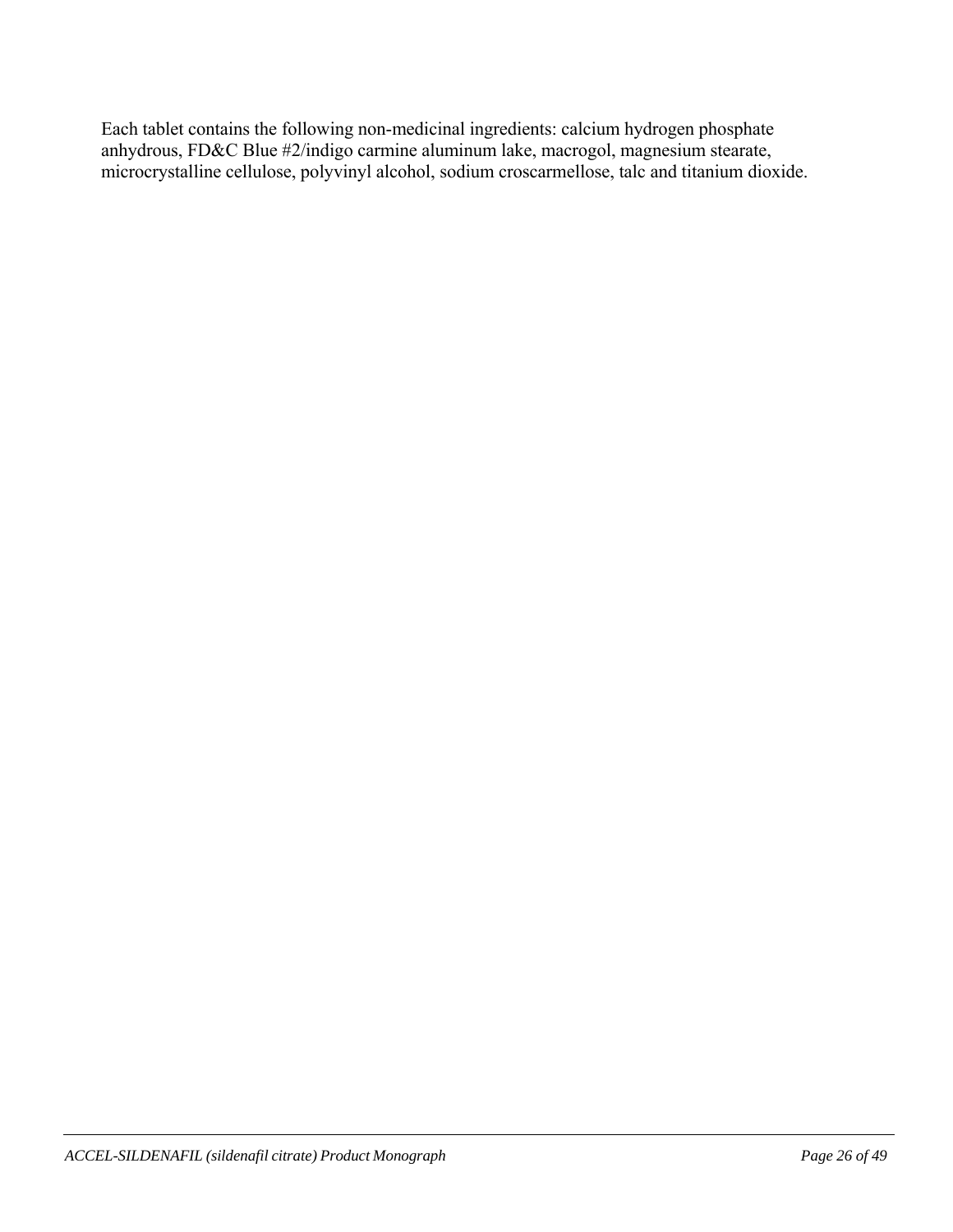Each tablet contains the following non-medicinal ingredients: calcium hydrogen phosphate anhydrous, FD&C Blue #2/indigo carmine aluminum lake, macrogol, magnesium stearate, microcrystalline cellulose, polyvinyl alcohol, sodium croscarmellose, talc and titanium dioxide.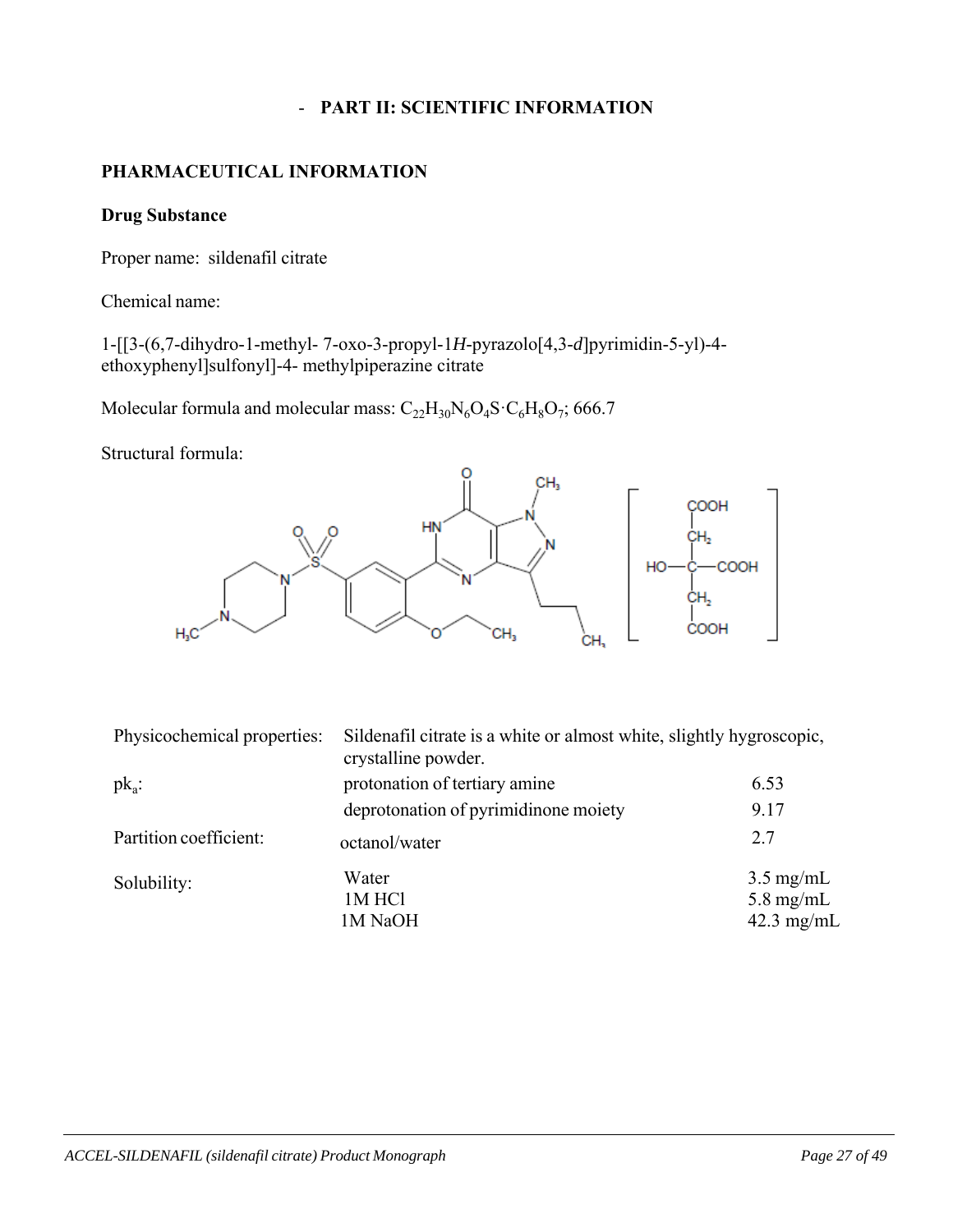### - **PART II: SCIENTIFIC INFORMATION**

## **PHARMACEUTICAL INFORMATION**

#### **Drug Substance**

Proper name: sildenafil citrate

Chemical name:

1-[[3-(6,7-dihydro-1-methyl- 7-oxo-3-propyl-1*H*-pyrazolo[4,3-*d*]pyrimidin-5-yl)-4 ethoxyphenyl]sulfonyl]-4- methylpiperazine citrate

Molecular formula and molecular mass:  $C_{22}H_{30}N_6O_4S \cdot C_6H_8O_7$ ; 666.7

Structural formula:



| Physicochemical properties: | Sildenafil citrate is a white or almost white, slightly hygroscopic,<br>crystalline powder. |                                                                    |  |
|-----------------------------|---------------------------------------------------------------------------------------------|--------------------------------------------------------------------|--|
| $pk_a$ :                    | protonation of tertiary amine                                                               | 6.53                                                               |  |
|                             | deprotonation of pyrimidinone moiety                                                        | 9.17                                                               |  |
| Partition coefficient:      | octanol/water                                                                               | 2.7                                                                |  |
| Solubility:                 | Water<br>1M HCl<br>1M NaOH                                                                  | $3.5 \text{ mg/mL}$<br>$5.8 \text{ mg/mL}$<br>$42.3 \text{ mg/mL}$ |  |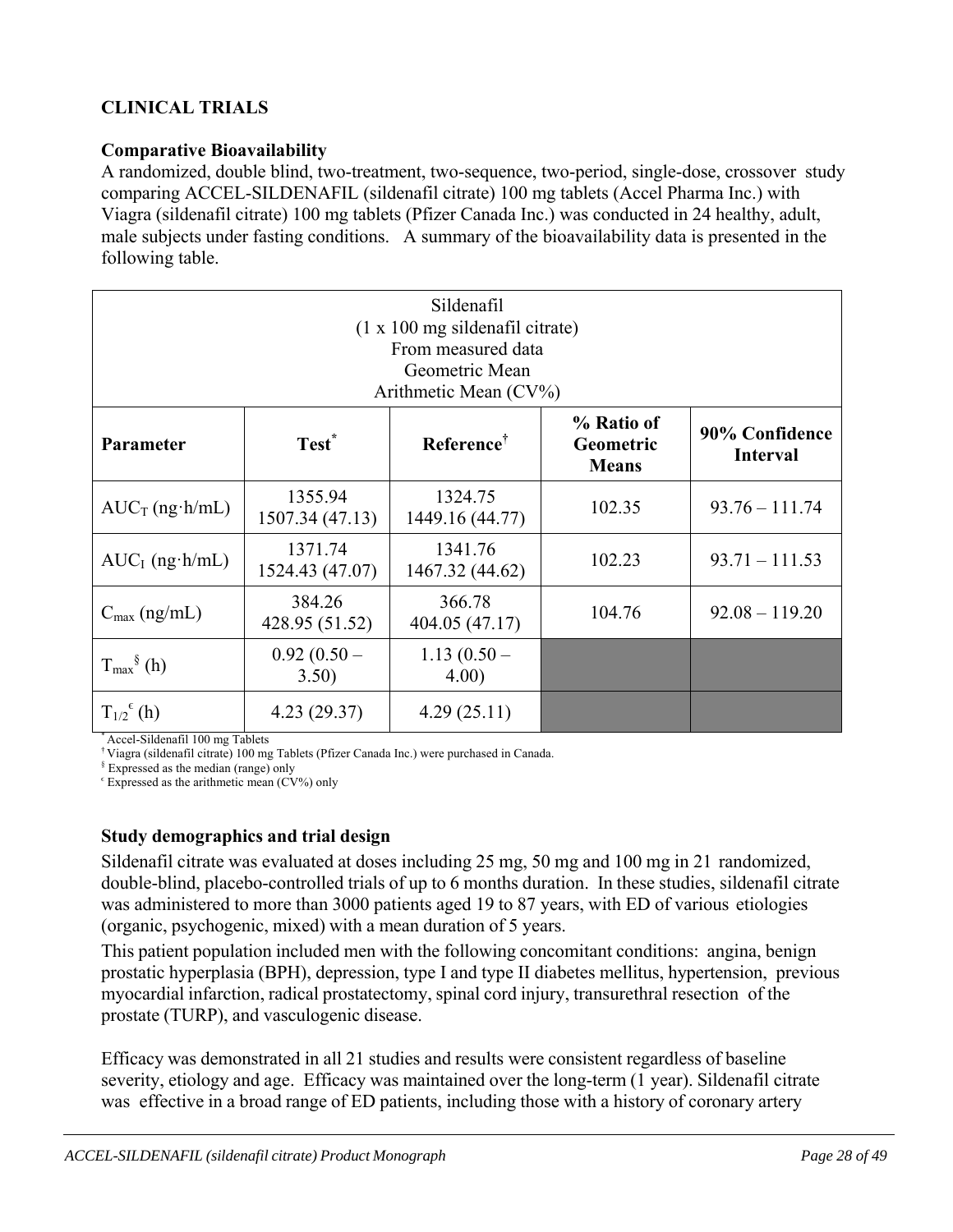# **CLINICAL TRIALS**

### **Comparative Bioavailability**

A randomized, double blind, two-treatment, two-sequence, two-period, single-dose, crossover study comparing ACCEL-SILDENAFIL (sildenafil citrate) 100 mg tablets (Accel Pharma Inc.) with Viagra (sildenafil citrate) 100 mg tablets (Pfizer Canada Inc.) was conducted in 24 healthy, adult, male subjects under fasting conditions. A summary of the bioavailability data is presented in the following table.

| Sildenafil<br>$(1 \times 100 \text{ mg}$ sildenafil citrate)<br>From measured data<br>Geometric Mean<br>Arithmetic Mean $(CV\%)$ |                            |                                                                          |        |                                   |
|----------------------------------------------------------------------------------------------------------------------------------|----------------------------|--------------------------------------------------------------------------|--------|-----------------------------------|
| Test <sup>*</sup><br>Parameter                                                                                                   |                            | % Ratio of<br>Reference <sup>†</sup><br><b>Geometric</b><br><b>Means</b> |        | 90% Confidence<br><b>Interval</b> |
| $AUC_T$ (ng·h/mL)                                                                                                                | 1355.94<br>1507.34 (47.13) | 1324.75<br>1449.16 (44.77)                                               | 102.35 | $93.76 - 111.74$                  |
| $AUC_I$ (ng·h/mL)                                                                                                                | 1371.74<br>1524.43 (47.07) | 1341.76<br>1467.32 (44.62)                                               | 102.23 | $93.71 - 111.53$                  |
| $C_{\text{max}}$ (ng/mL)                                                                                                         | 384.26<br>428.95 (51.52)   | 366.78<br>404.05 (47.17)                                                 | 104.76 | $92.08 - 119.20$                  |
| $T_{\text{max}}^{\S}$ (h)                                                                                                        | $0.92(0.50 -$<br>3.50)     | $1.13(0.50 -$<br>4.00)                                                   |        |                                   |
| $T_{1/2}^{\epsilon}$ (h)                                                                                                         | 4.23(29.37)                | 4.29(25.11)                                                              |        |                                   |

\* Accel-Sildenafil 100 mg Tablets

† Viagra (sildenafil citrate) 100 mg Tablets (Pfizer Canada Inc.) were purchased in Canada.

§ Expressed as the median (range) only

 $\epsilon$  Expressed as the arithmetic mean (CV%) only

#### **Study demographics and trial design**

Sildenafil citrate was evaluated at doses including 25 mg, 50 mg and 100 mg in 21 randomized, double-blind, placebo-controlled trials of up to 6 months duration. In these studies, sildenafil citrate was administered to more than 3000 patients aged 19 to 87 years, with ED of various etiologies (organic, psychogenic, mixed) with a mean duration of 5 years.

This patient population included men with the following concomitant conditions: angina, benign prostatic hyperplasia (BPH), depression, type I and type II diabetes mellitus, hypertension, previous myocardial infarction, radical prostatectomy, spinal cord injury, transurethral resection of the prostate (TURP), and vasculogenic disease.

Efficacy was demonstrated in all 21 studies and results were consistent regardless of baseline severity, etiology and age. Efficacy was maintained over the long-term (1 year). Sildenafil citrate was effective in a broad range of ED patients, including those with a history of coronary artery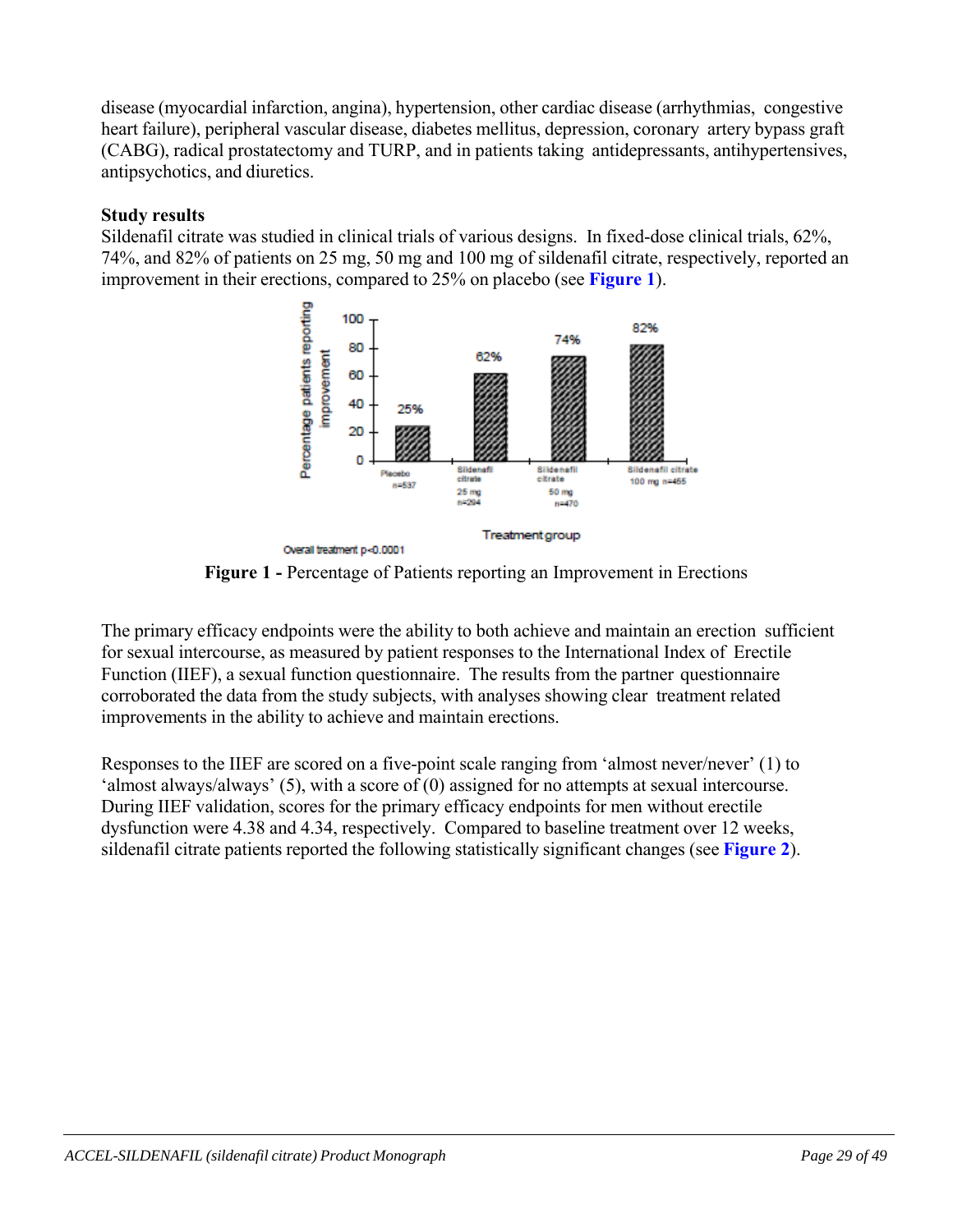disease (myocardial infarction, angina), hypertension, other cardiac disease (arrhythmias, congestive heart failure), peripheral vascular disease, diabetes mellitus, depression, coronary artery bypass graft (CABG), radical prostatectomy and TURP, and in patients taking antidepressants, antihypertensives, antipsychotics, and diuretics.

### **Study results**

Sildenafil citrate was studied in clinical trials of various designs. In fixed-dose clinical trials, 62%, 74%, and 82% of patients on 25 mg, 50 mg and 100 mg of sildenafil citrate, respectively, reported an improvement in their erections, compared to 25% on placebo (see **Figure 1**).



**Figure 1 -** Percentage of Patients reporting an Improvement in Erections

The primary efficacy endpoints were the ability to both achieve and maintain an erection sufficient for sexual intercourse, as measured by patient responses to the International Index of Erectile Function (IIEF), a sexual function questionnaire. The results from the partner questionnaire corroborated the data from the study subjects, with analyses showing clear treatment related improvements in the ability to achieve and maintain erections.

Responses to the IIEF are scored on a five-point scale ranging from 'almost never/never' (1) to 'almost always/always' (5), with a score of (0) assigned for no attempts at sexual intercourse. During IIEF validation, scores for the primary efficacy endpoints for men without erectile dysfunction were 4.38 and 4.34, respectively. Compared to baseline treatment over 12 weeks, sildenafil citrate patients reported the following statistically significant changes (see **Figure 2**).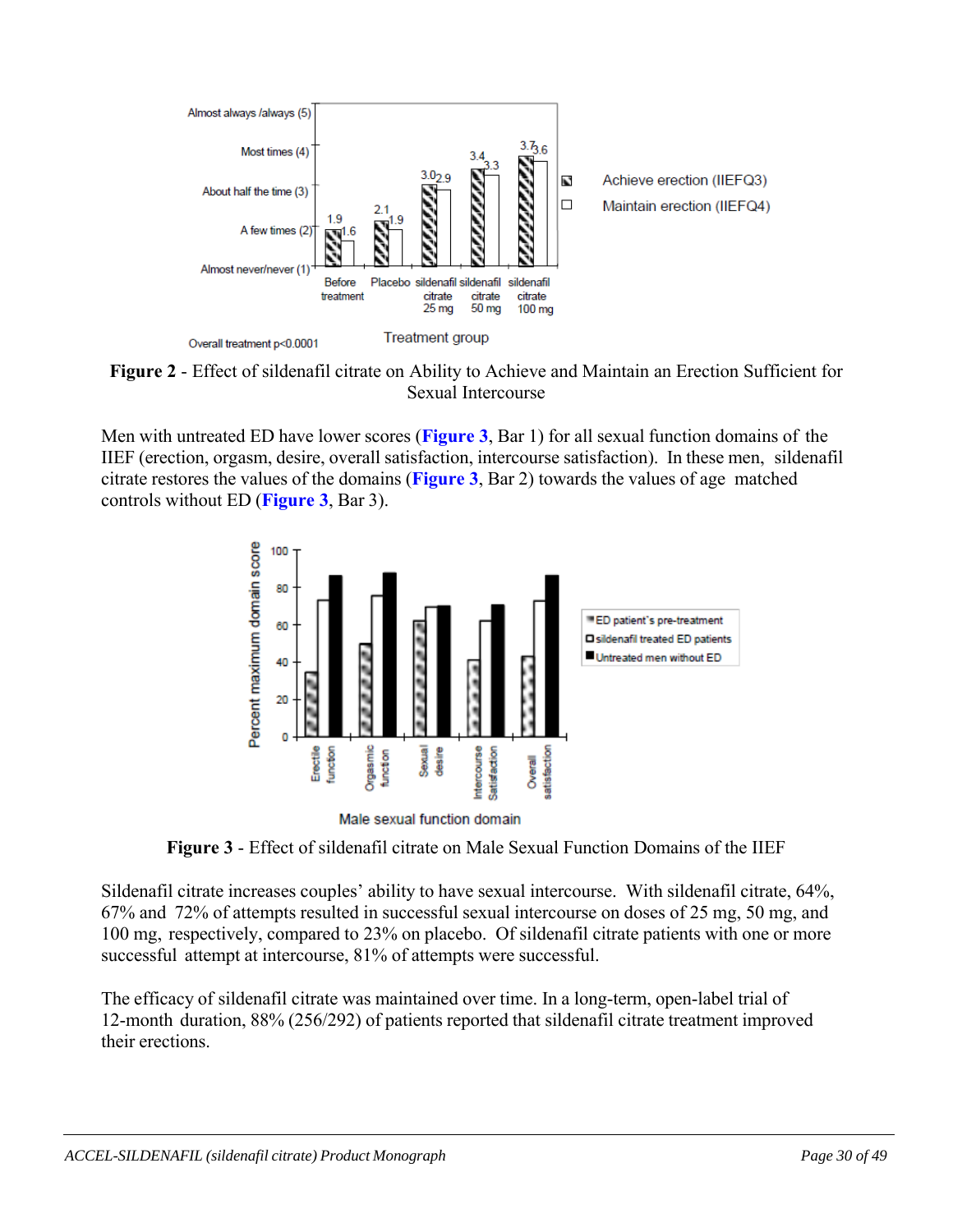

**Figure 2** - Effect of sildenafil citrate on Ability to Achieve and Maintain an Erection Sufficient for Sexual Intercourse

Men with untreated ED have lower scores (**Figure 3**, Bar 1) for all sexual function domains of the IIEF (erection, orgasm, desire, overall satisfaction, intercourse satisfaction). In these men, sildenafil citrate restores the values of the domains (**Figure 3**, Bar 2) towards the values of age matched controls without ED (**Figure 3**, Bar 3).



Male sexual function domain

**Figure 3** - Effect of sildenafil citrate on Male Sexual Function Domains of the IIEF

Sildenafil citrate increases couples' ability to have sexual intercourse. With sildenafil citrate, 64%, 67% and 72% of attempts resulted in successful sexual intercourse on doses of 25 mg, 50 mg, and 100 mg, respectively, compared to 23% on placebo. Of sildenafil citrate patients with one or more successful attempt at intercourse, 81% of attempts were successful.

The efficacy of sildenafil citrate was maintained over time. In a long-term, open-label trial of 12-month duration, 88% (256/292) of patients reported that sildenafil citrate treatment improved their erections.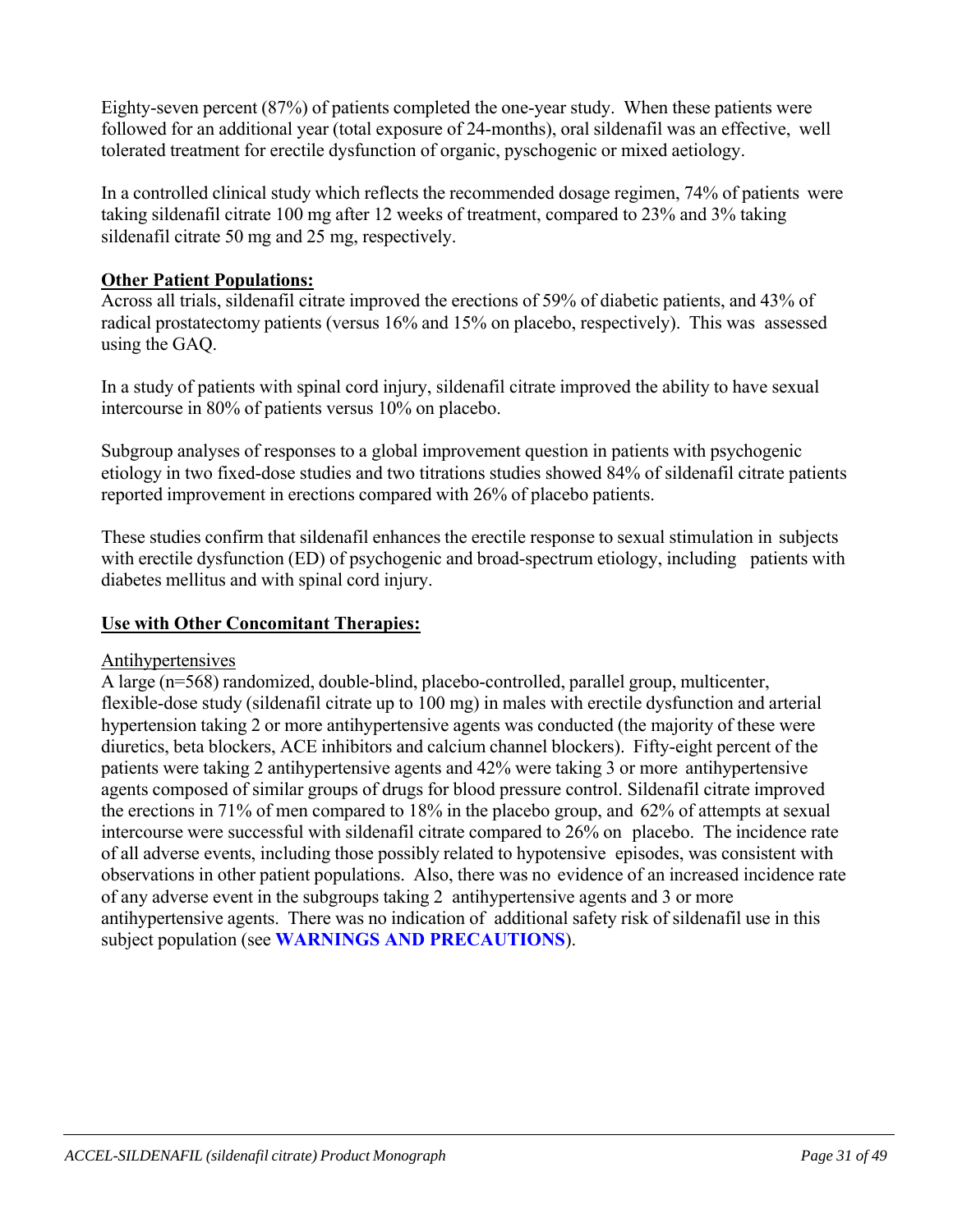Eighty-seven percent (87%) of patients completed the one-year study. When these patients were followed for an additional year (total exposure of 24-months), oral sildenafil was an effective, well tolerated treatment for erectile dysfunction of organic, pyschogenic or mixed aetiology.

In a controlled clinical study which reflects the recommended dosage regimen, 74% of patients were taking sildenafil citrate 100 mg after 12 weeks of treatment, compared to 23% and 3% taking sildenafil citrate 50 mg and 25 mg, respectively.

# **Other Patient Populations:**

Across all trials, sildenafil citrate improved the erections of 59% of diabetic patients, and 43% of radical prostatectomy patients (versus 16% and 15% on placebo, respectively). This was assessed using the GAQ.

In a study of patients with spinal cord injury, sildenafil citrate improved the ability to have sexual intercourse in 80% of patients versus 10% on placebo.

Subgroup analyses of responses to a global improvement question in patients with psychogenic etiology in two fixed-dose studies and two titrations studies showed 84% of sildenafil citrate patients reported improvement in erections compared with 26% of placebo patients.

These studies confirm that sildenafil enhances the erectile response to sexual stimulation in subjects with erectile dysfunction (ED) of psychogenic and broad-spectrum etiology, including patients with diabetes mellitus and with spinal cord injury.

# **Use with Other Concomitant Therapies:**

# Antihypertensives

A large (n=568) randomized, double-blind, placebo-controlled, parallel group, multicenter, flexible-dose study (sildenafil citrate up to 100 mg) in males with erectile dysfunction and arterial hypertension taking 2 or more antihypertensive agents was conducted (the majority of these were diuretics, beta blockers, ACE inhibitors and calcium channel blockers). Fifty-eight percent of the patients were taking 2 antihypertensive agents and 42% were taking 3 or more antihypertensive agents composed of similar groups of drugs for blood pressure control. Sildenafil citrate improved the erections in 71% of men compared to 18% in the placebo group, and 62% of attempts at sexual intercourse were successful with sildenafil citrate compared to 26% on placebo. The incidence rate of all adverse events, including those possibly related to hypotensive episodes, was consistent with observations in other patient populations. Also, there was no evidence of an increased incidence rate of any adverse event in the subgroups taking 2 antihypertensive agents and 3 or more antihypertensive agents. There was no indication of additional safety risk of sildenafil use in this subject population (see **WARNINGS AND PRECAUTIONS**).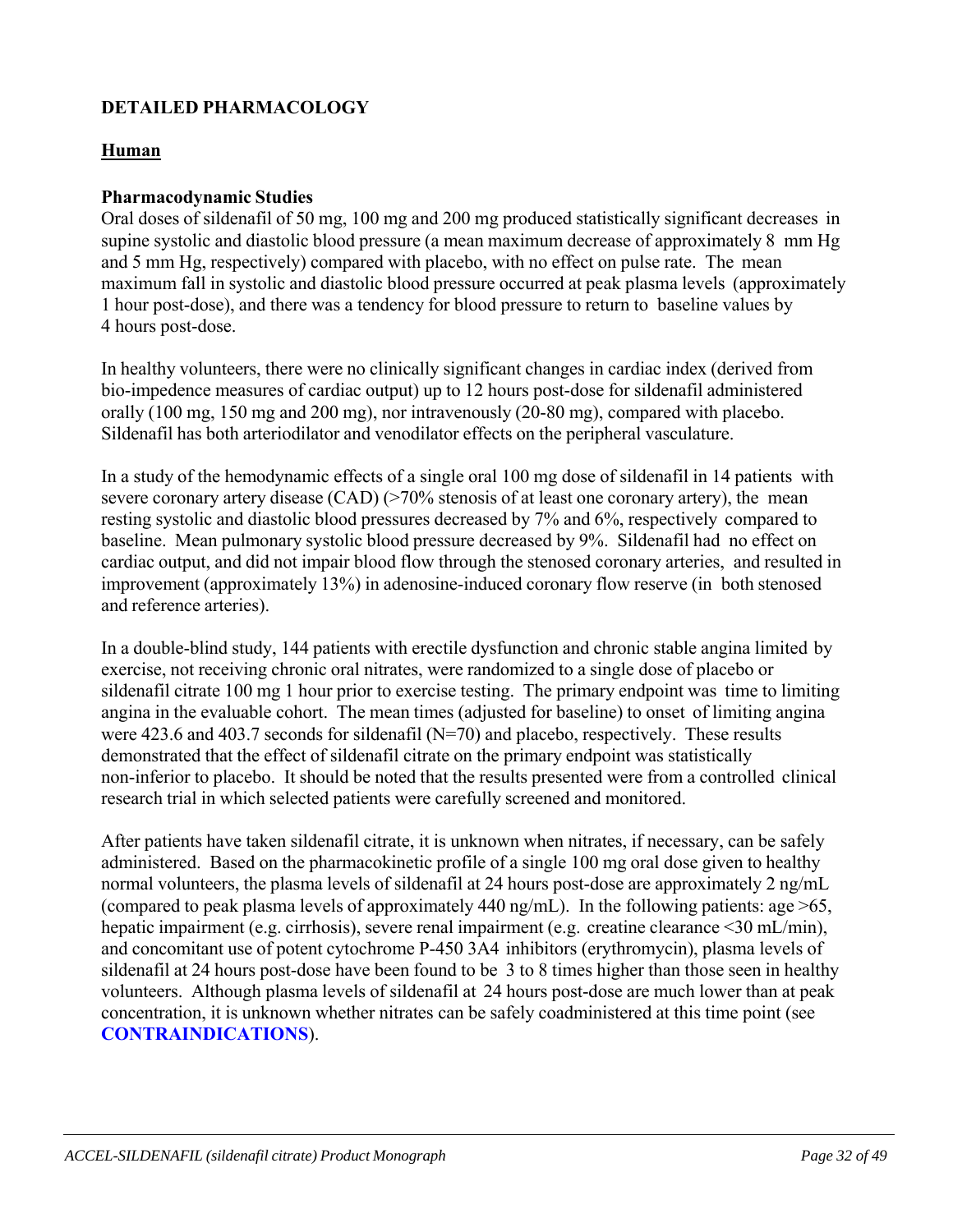# **DETAILED PHARMACOLOGY**

### **Human**

### **Pharmacodynamic Studies**

Oral doses of sildenafil of 50 mg, 100 mg and 200 mg produced statistically significant decreases in supine systolic and diastolic blood pressure (a mean maximum decrease of approximately 8 mm Hg and 5 mm Hg, respectively) compared with placebo, with no effect on pulse rate. The mean maximum fall in systolic and diastolic blood pressure occurred at peak plasma levels (approximately 1 hour post-dose), and there was a tendency for blood pressure to return to baseline values by 4 hours post-dose.

In healthy volunteers, there were no clinically significant changes in cardiac index (derived from bio-impedence measures of cardiac output) up to 12 hours post-dose for sildenafil administered orally (100 mg, 150 mg and 200 mg), nor intravenously (20-80 mg), compared with placebo. Sildenafil has both arteriodilator and venodilator effects on the peripheral vasculature.

In a study of the hemodynamic effects of a single oral 100 mg dose of sildenafil in 14 patients with severe coronary artery disease (CAD) (>70% stenosis of at least one coronary artery), the mean resting systolic and diastolic blood pressures decreased by 7% and 6%, respectively compared to baseline. Mean pulmonary systolic blood pressure decreased by 9%. Sildenafil had no effect on cardiac output, and did not impair blood flow through the stenosed coronary arteries, and resulted in improvement (approximately 13%) in adenosine-induced coronary flow reserve (in both stenosed and reference arteries).

In a double-blind study, 144 patients with erectile dysfunction and chronic stable angina limited by exercise, not receiving chronic oral nitrates, were randomized to a single dose of placebo or sildenafil citrate 100 mg 1 hour prior to exercise testing. The primary endpoint was time to limiting angina in the evaluable cohort. The mean times (adjusted for baseline) to onset of limiting angina were 423.6 and 403.7 seconds for sildenafil (N=70) and placebo, respectively. These results demonstrated that the effect of sildenafil citrate on the primary endpoint was statistically non-inferior to placebo. It should be noted that the results presented were from a controlled clinical research trial in which selected patients were carefully screened and monitored.

After patients have taken sildenafil citrate, it is unknown when nitrates, if necessary, can be safely administered. Based on the pharmacokinetic profile of a single 100 mg oral dose given to healthy normal volunteers, the plasma levels of sildenafil at 24 hours post-dose are approximately 2 ng/mL (compared to peak plasma levels of approximately 440 ng/mL). In the following patients: age  $>65$ , hepatic impairment (e.g. cirrhosis), severe renal impairment (e.g. creatine clearance <30 mL/min), and concomitant use of potent cytochrome P-450 3A4 inhibitors (erythromycin), plasma levels of sildenafil at 24 hours post-dose have been found to be 3 to 8 times higher than those seen in healthy volunteers. Although plasma levels of sildenafil at 24 hours post-dose are much lower than at peak concentration, it is unknown whether nitrates can be safely coadministered at this time point (see **CONTRAINDICATIONS**).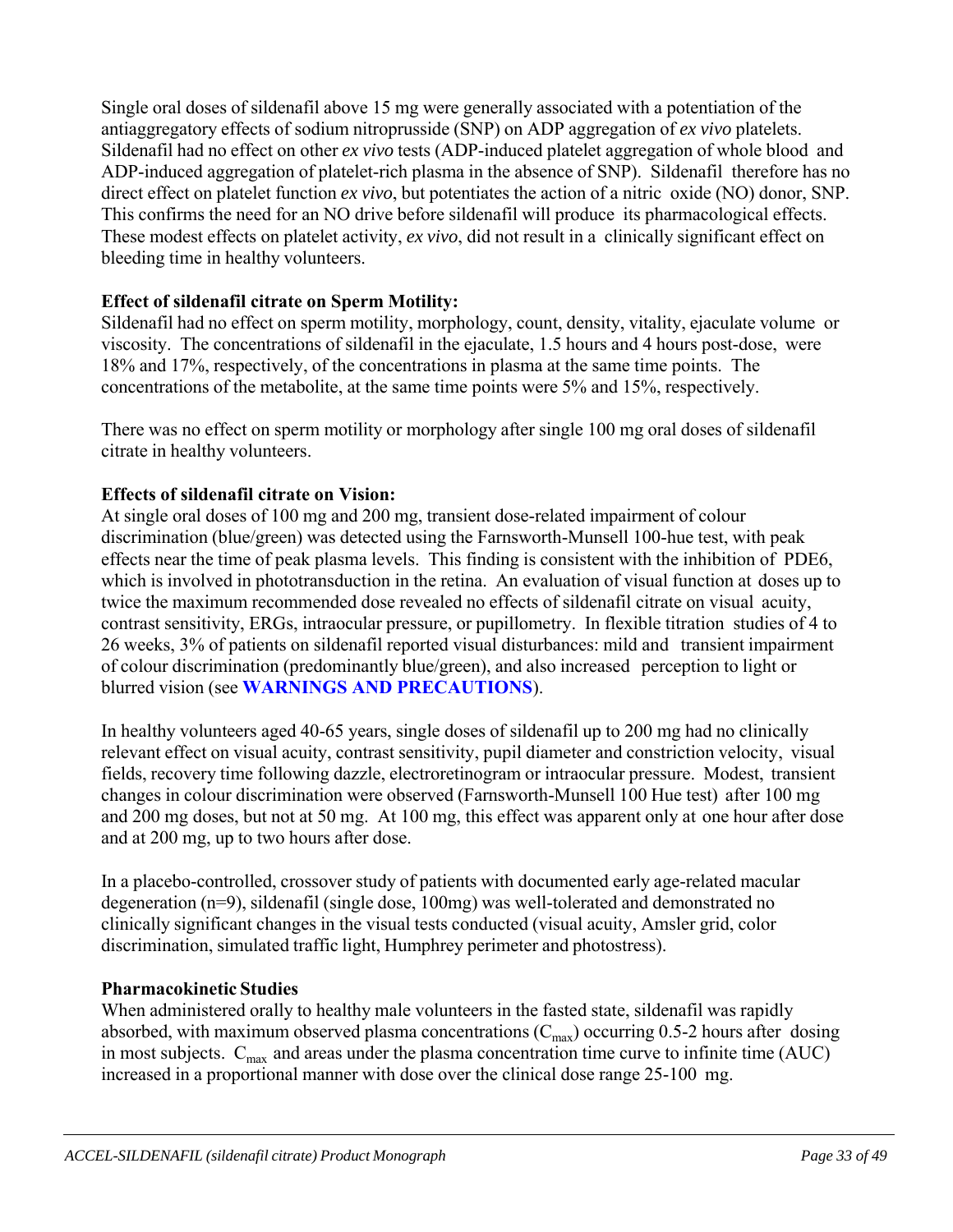Single oral doses of sildenafil above 15 mg were generally associated with a potentiation of the antiaggregatory effects of sodium nitroprusside (SNP) on ADP aggregation of *ex vivo* platelets. Sildenafil had no effect on other *ex vivo* tests (ADP-induced platelet aggregation of whole blood and ADP-induced aggregation of platelet-rich plasma in the absence of SNP). Sildenafil therefore has no direct effect on platelet function *ex vivo*, but potentiates the action of a nitric oxide (NO) donor, SNP. This confirms the need for an NO drive before sildenafil will produce its pharmacological effects. These modest effects on platelet activity, *ex vivo*, did not result in a clinically significant effect on bleeding time in healthy volunteers.

# **Effect of sildenafil citrate on Sperm Motility:**

Sildenafil had no effect on sperm motility, morphology, count, density, vitality, ejaculate volume or viscosity. The concentrations of sildenafil in the ejaculate, 1.5 hours and 4 hours post-dose, were 18% and 17%, respectively, of the concentrations in plasma at the same time points. The concentrations of the metabolite, at the same time points were 5% and 15%, respectively.

There was no effect on sperm motility or morphology after single 100 mg oral doses of sildenafil citrate in healthy volunteers.

# **Effects of sildenafil citrate on Vision:**

At single oral doses of 100 mg and 200 mg, transient dose-related impairment of colour discrimination (blue/green) was detected using the Farnsworth-Munsell 100-hue test, with peak effects near the time of peak plasma levels. This finding is consistent with the inhibition of PDE6, which is involved in phototransduction in the retina. An evaluation of visual function at doses up to twice the maximum recommended dose revealed no effects of sildenafil citrate on visual acuity, contrast sensitivity, ERGs, intraocular pressure, or pupillometry. In flexible titration studies of 4 to 26 weeks, 3% of patients on sildenafil reported visual disturbances: mild and transient impairment of colour discrimination (predominantly blue/green), and also increased perception to light or blurred vision (see **WARNINGS AND PRECAUTIONS**).

In healthy volunteers aged 40-65 years, single doses of sildenafil up to 200 mg had no clinically relevant effect on visual acuity, contrast sensitivity, pupil diameter and constriction velocity, visual fields, recovery time following dazzle, electroretinogram or intraocular pressure. Modest, transient changes in colour discrimination were observed (Farnsworth-Munsell 100 Hue test) after 100 mg and 200 mg doses, but not at 50 mg. At 100 mg, this effect was apparent only at one hour after dose and at 200 mg, up to two hours after dose.

In a placebo-controlled, crossover study of patients with documented early age-related macular degeneration (n=9), sildenafil (single dose, 100mg) was well-tolerated and demonstrated no clinically significant changes in the visual tests conducted (visual acuity, Amsler grid, color discrimination, simulated traffic light, Humphrey perimeter and photostress).

# **Pharmacokinetic Studies**

When administered orally to healthy male volunteers in the fasted state, sildenafil was rapidly absorbed, with maximum observed plasma concentrations  $(C_{\text{max}})$  occurring 0.5-2 hours after dosing in most subjects.  $C_{\text{max}}$  and areas under the plasma concentration time curve to infinite time (AUC) increased in a proportional manner with dose over the clinical dose range 25-100 mg.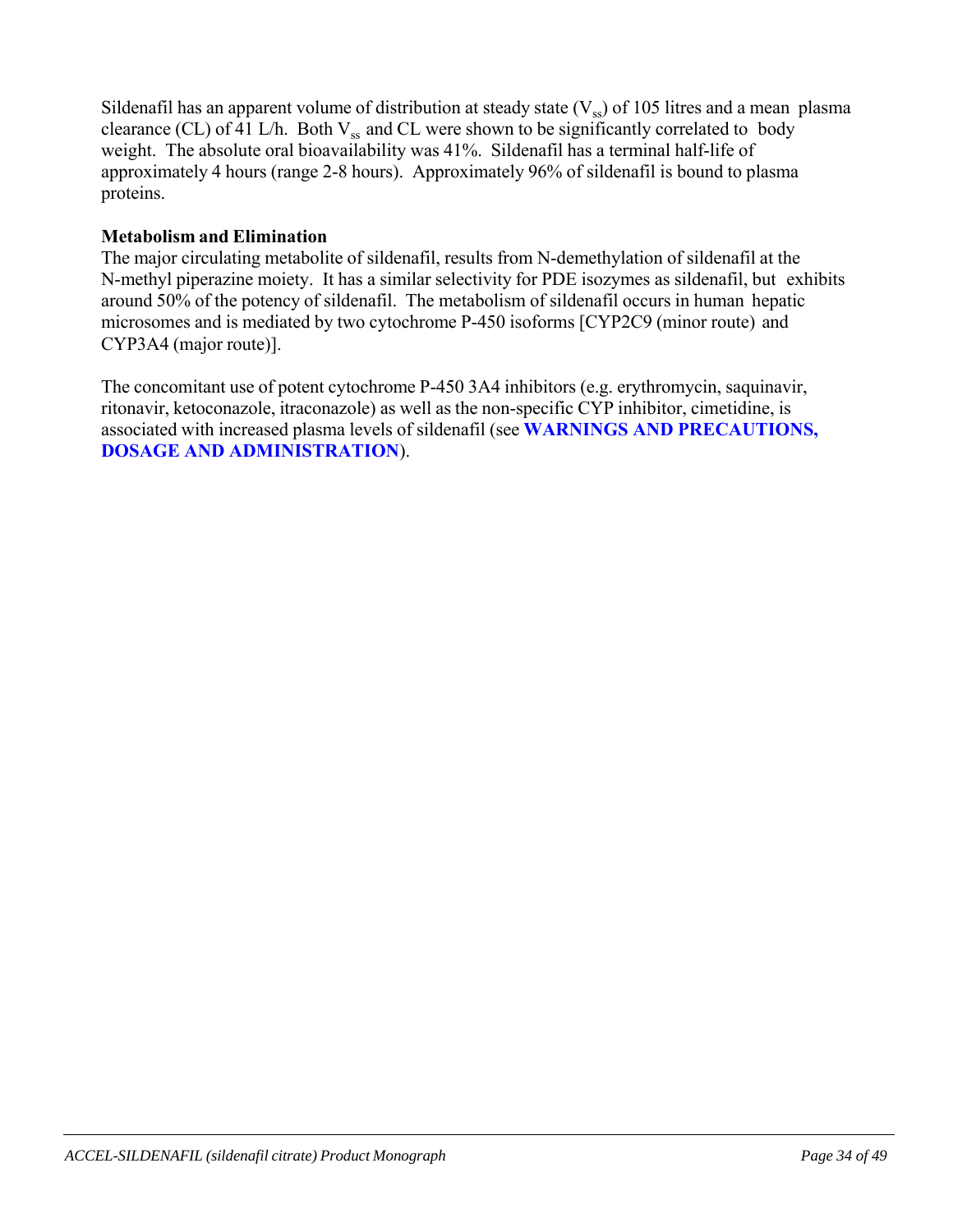Sildenafil has an apparent volume of distribution at steady state  $(V_{ss})$  of 105 litres and a mean plasma clearance (CL) of 41 L/h. Both  $V_{ss}$  and CL were shown to be significantly correlated to body weight. The absolute oral bioavailability was 41%. Sildenafil has a terminal half-life of approximately 4 hours (range 2-8 hours). Approximately 96% of sildenafil is bound to plasma proteins.

### **Metabolism and Elimination**

The major circulating metabolite of sildenafil, results from N-demethylation of sildenafil at the N-methyl piperazine moiety. It has a similar selectivity for PDE isozymes as sildenafil, but exhibits around 50% of the potency of sildenafil. The metabolism of sildenafil occurs in human hepatic microsomes and is mediated by two cytochrome P-450 isoforms [CYP2C9 (minor route) and CYP3A4 (major route)].

The concomitant use of potent cytochrome P-450 3A4 inhibitors (e.g. erythromycin, saquinavir, ritonavir, ketoconazole, itraconazole) as well as the non-specific CYP inhibitor, cimetidine, is associated with increased plasma levels of sildenafil (see **WARNINGS AND PRECAUTIONS, DOSAGE AND ADMINISTRATION**).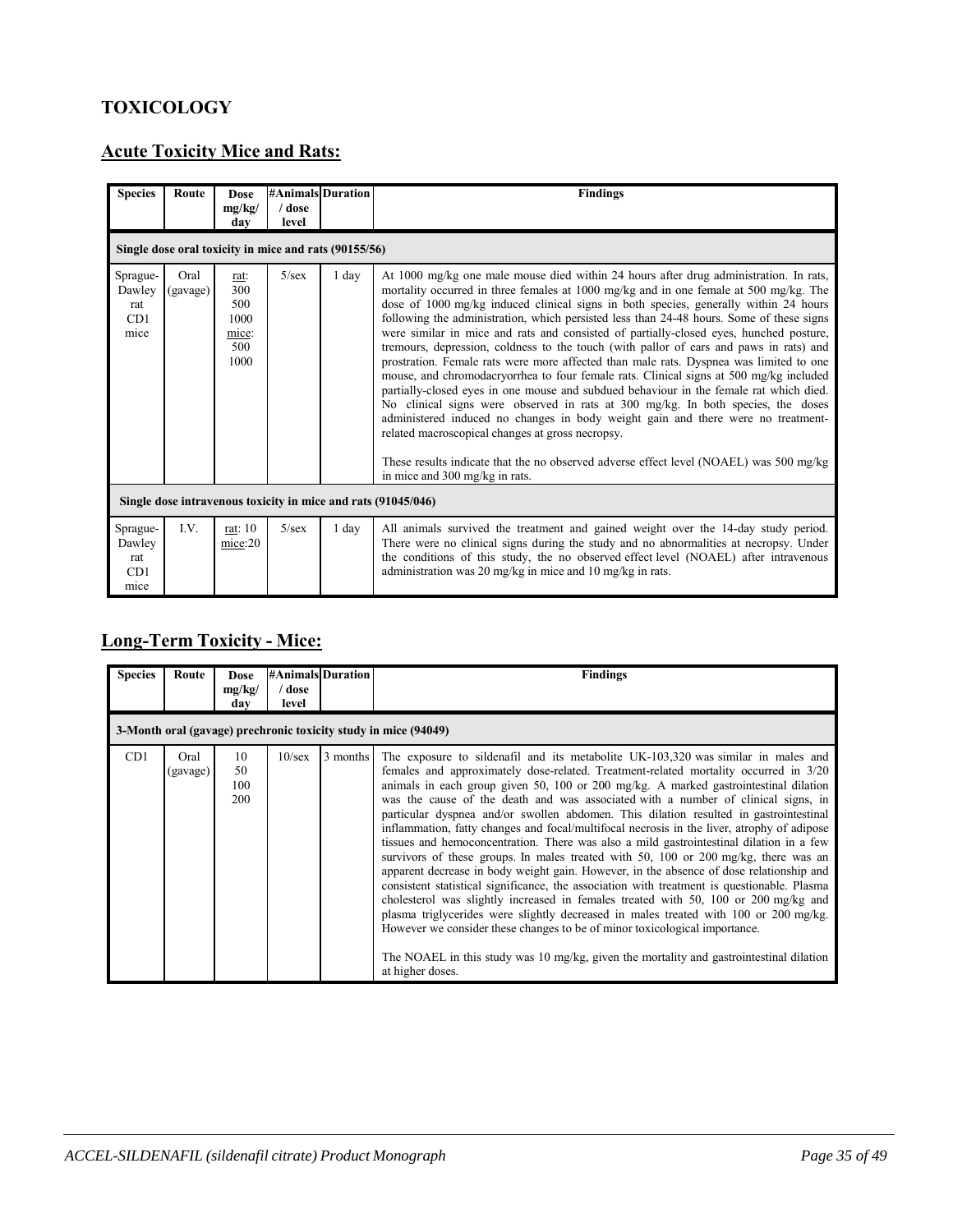# **TOXICOLOGY**

# **Acute Toxicity Mice and Rats:**

| <b>Species</b>                           | Route                                                         | <b>Dose</b><br>mg/kg/<br>dav                       | <b>#Animals Duration</b><br>/ dose<br>level           |         | <b>Findings</b>                                                                                                                                                                                                                                                                                                                                                                                                                                                                                                                                                                                                                                                                                                                                                                                                                                                                                                                                                                                                                                                                                                                                                                              |
|------------------------------------------|---------------------------------------------------------------|----------------------------------------------------|-------------------------------------------------------|---------|----------------------------------------------------------------------------------------------------------------------------------------------------------------------------------------------------------------------------------------------------------------------------------------------------------------------------------------------------------------------------------------------------------------------------------------------------------------------------------------------------------------------------------------------------------------------------------------------------------------------------------------------------------------------------------------------------------------------------------------------------------------------------------------------------------------------------------------------------------------------------------------------------------------------------------------------------------------------------------------------------------------------------------------------------------------------------------------------------------------------------------------------------------------------------------------------|
|                                          |                                                               |                                                    | Single dose oral toxicity in mice and rats (90155/56) |         |                                                                                                                                                                                                                                                                                                                                                                                                                                                                                                                                                                                                                                                                                                                                                                                                                                                                                                                                                                                                                                                                                                                                                                                              |
| Sprague-<br>Dawley<br>rat<br>CD1<br>mice | Oral<br>(gavage)                                              | rat:<br>300<br>500<br>1000<br>mice:<br>500<br>1000 | $5/\text{sex}$                                        | 1 day   | At 1000 mg/kg one male mouse died within 24 hours after drug administration. In rats,<br>mortality occurred in three females at 1000 mg/kg and in one female at 500 mg/kg. The<br>dose of 1000 mg/kg induced clinical signs in both species, generally within 24 hours<br>following the administration, which persisted less than 24-48 hours. Some of these signs<br>were similar in mice and rats and consisted of partially-closed eyes, hunched posture,<br>tremours, depression, coldness to the touch (with pallor of ears and paws in rats) and<br>prostration. Female rats were more affected than male rats. Dyspnea was limited to one<br>mouse, and chromodacryorrhea to four female rats. Clinical signs at 500 mg/kg included<br>partially-closed eyes in one mouse and subdued behaviour in the female rat which died.<br>No clinical signs were observed in rats at 300 mg/kg. In both species, the doses<br>administered induced no changes in body weight gain and there were no treatment-<br>related macroscopical changes at gross necropsy.<br>These results indicate that the no observed adverse effect level (NOAEL) was 500 mg/kg<br>in mice and 300 mg/kg in rats. |
|                                          | Single dose intravenous toxicity in mice and rats (91045/046) |                                                    |                                                       |         |                                                                                                                                                                                                                                                                                                                                                                                                                                                                                                                                                                                                                                                                                                                                                                                                                                                                                                                                                                                                                                                                                                                                                                                              |
| Sprague-<br>Dawley<br>rat<br>CD1<br>mice | $L$ V.                                                        | rat: 10<br>mice:20                                 | $5/\text{sex}$                                        | $1$ day | All animals survived the treatment and gained weight over the 14-day study period.<br>There were no clinical signs during the study and no abnormalities at necropsy. Under<br>the conditions of this study, the no observed effect level (NOAEL) after intravenous<br>administration was 20 mg/kg in mice and 10 mg/kg in rats.                                                                                                                                                                                                                                                                                                                                                                                                                                                                                                                                                                                                                                                                                                                                                                                                                                                             |

# **Long-Term Toxicity - Mice:**

| <b>Species</b> | Route            | <b>Dose</b><br>mg/kg/<br>dav | ' dose<br>level | <b>#Animals Duration</b> | <b>Findings</b>                                                                                                                                                                                                                                                                                                                                                                                                                                                                                                                                                                                                                                                                                                                                                                                                                                                                                                                                                                                                                                                                                                                                                                                                                                                                                       |
|----------------|------------------|------------------------------|-----------------|--------------------------|-------------------------------------------------------------------------------------------------------------------------------------------------------------------------------------------------------------------------------------------------------------------------------------------------------------------------------------------------------------------------------------------------------------------------------------------------------------------------------------------------------------------------------------------------------------------------------------------------------------------------------------------------------------------------------------------------------------------------------------------------------------------------------------------------------------------------------------------------------------------------------------------------------------------------------------------------------------------------------------------------------------------------------------------------------------------------------------------------------------------------------------------------------------------------------------------------------------------------------------------------------------------------------------------------------|
|                |                  |                              |                 |                          | 3-Month oral (gavage) prechronic toxicity study in mice (94049)                                                                                                                                                                                                                                                                                                                                                                                                                                                                                                                                                                                                                                                                                                                                                                                                                                                                                                                                                                                                                                                                                                                                                                                                                                       |
| CD1            | Oral<br>(gavage) | 10<br>50<br>100<br>200       | $10$ /sex       | 3 months                 | The exposure to sildenafil and its metabolite UK-103,320 was similar in males and<br>females and approximately dose-related. Treatment-related mortality occurred in 3/20<br>animals in each group given 50, 100 or 200 mg/kg. A marked gastrointestinal dilation<br>was the cause of the death and was associated with a number of clinical signs, in<br>particular dyspnea and/or swollen abdomen. This dilation resulted in gastrointestinal<br>inflammation, fatty changes and focal/multifocal necrosis in the liver, atrophy of adipose<br>tissues and hemoconcentration. There was also a mild gastrointestinal dilation in a few<br>survivors of these groups. In males treated with 50, 100 or 200 mg/kg, there was an<br>apparent decrease in body weight gain. However, in the absence of dose relationship and<br>consistent statistical significance, the association with treatment is questionable. Plasma<br>cholesterol was slightly increased in females treated with 50, 100 or 200 mg/kg and<br>plasma triglycerides were slightly decreased in males treated with 100 or 200 mg/kg.<br>However we consider these changes to be of minor toxicological importance.<br>The NOAEL in this study was 10 mg/kg, given the mortality and gastrointestinal dilation<br>at higher doses. |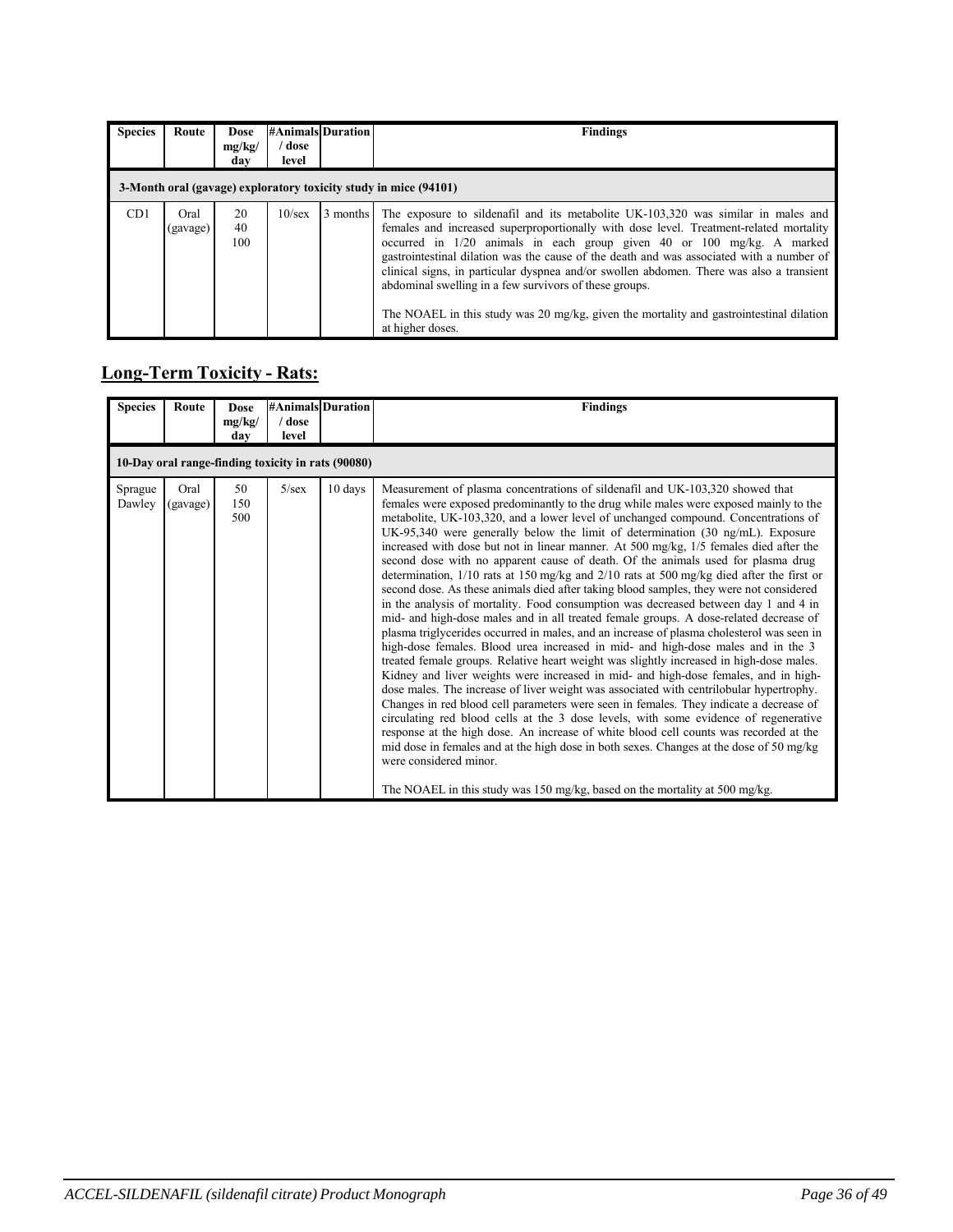| <b>Species</b> | Route                                                            | <b>Dose</b><br>mg/kg/<br>dav | dose /<br>level | <b>#Animals Duration</b> | <b>Findings</b>                                                                                                                                                                                                                                                                                                                                                                                                                                                                                                                                                                                                          |  |  |
|----------------|------------------------------------------------------------------|------------------------------|-----------------|--------------------------|--------------------------------------------------------------------------------------------------------------------------------------------------------------------------------------------------------------------------------------------------------------------------------------------------------------------------------------------------------------------------------------------------------------------------------------------------------------------------------------------------------------------------------------------------------------------------------------------------------------------------|--|--|
|                | 3-Month oral (gavage) exploratory toxicity study in mice (94101) |                              |                 |                          |                                                                                                                                                                                                                                                                                                                                                                                                                                                                                                                                                                                                                          |  |  |
| CD1            | Oral<br>(gavage)                                                 | 20<br>40<br>100              | $10$ /sex       | 3 months                 | The exposure to sildenafil and its metabolite UK-103,320 was similar in males and<br>females and increased superproportionally with dose level. Treatment-related mortality<br>occurred in $1/20$ animals in each group given 40 or 100 mg/kg. A marked<br>gastrointestinal dilation was the cause of the death and was associated with a number of<br>clinical signs, in particular dyspnea and/or swollen abdomen. There was also a transient<br>abdominal swelling in a few survivors of these groups.<br>The NOAEL in this study was 20 mg/kg, given the mortality and gastrointestinal dilation<br>at higher doses. |  |  |

# **Long-Term Toxicity - Rats:**

| <b>Species</b>    | Route            | <b>Dose</b><br>mg/kg/<br>dav | / dose<br>level | <b>#Animals Duration</b>                           | <b>Findings</b>                                                                                                                                                                                                                                                                                                                                                                                                                                                                                                                                                                                                                                                                                                                                                                                                                                                                                                                                                                                                                                                                                                                                                                                                                                                                                                                                                                                                                                                                                                                                                                                                                                                                                                                                                                                                                                                 |
|-------------------|------------------|------------------------------|-----------------|----------------------------------------------------|-----------------------------------------------------------------------------------------------------------------------------------------------------------------------------------------------------------------------------------------------------------------------------------------------------------------------------------------------------------------------------------------------------------------------------------------------------------------------------------------------------------------------------------------------------------------------------------------------------------------------------------------------------------------------------------------------------------------------------------------------------------------------------------------------------------------------------------------------------------------------------------------------------------------------------------------------------------------------------------------------------------------------------------------------------------------------------------------------------------------------------------------------------------------------------------------------------------------------------------------------------------------------------------------------------------------------------------------------------------------------------------------------------------------------------------------------------------------------------------------------------------------------------------------------------------------------------------------------------------------------------------------------------------------------------------------------------------------------------------------------------------------------------------------------------------------------------------------------------------------|
|                   |                  |                              |                 | 10-Day oral range-finding toxicity in rats (90080) |                                                                                                                                                                                                                                                                                                                                                                                                                                                                                                                                                                                                                                                                                                                                                                                                                                                                                                                                                                                                                                                                                                                                                                                                                                                                                                                                                                                                                                                                                                                                                                                                                                                                                                                                                                                                                                                                 |
| Sprague<br>Dawley | Oral<br>(gavage) | 50<br>150<br>500             | $5/\text{sex}$  | $10 \text{ days}$                                  | Measurement of plasma concentrations of sildenafil and UK-103,320 showed that<br>females were exposed predominantly to the drug while males were exposed mainly to the<br>metabolite, UK-103,320, and a lower level of unchanged compound. Concentrations of<br>UK-95,340 were generally below the limit of determination $(30 \text{ ng/mL})$ . Exposure<br>increased with dose but not in linear manner. At 500 mg/kg, 1/5 females died after the<br>second dose with no apparent cause of death. Of the animals used for plasma drug<br>determination, $1/10$ rats at 150 mg/kg and $2/10$ rats at 500 mg/kg died after the first or<br>second dose. As these animals died after taking blood samples, they were not considered<br>in the analysis of mortality. Food consumption was decreased between day 1 and 4 in<br>mid- and high-dose males and in all treated female groups. A dose-related decrease of<br>plasma triglycerides occurred in males, and an increase of plasma cholesterol was seen in<br>high-dose females. Blood urea increased in mid- and high-dose males and in the 3<br>treated female groups. Relative heart weight was slightly increased in high-dose males.<br>Kidney and liver weights were increased in mid- and high-dose females, and in high-<br>dose males. The increase of liver weight was associated with centrilobular hypertrophy.<br>Changes in red blood cell parameters were seen in females. They indicate a decrease of<br>circulating red blood cells at the 3 dose levels, with some evidence of regenerative<br>response at the high dose. An increase of white blood cell counts was recorded at the<br>mid dose in females and at the high dose in both sexes. Changes at the dose of 50 mg/kg<br>were considered minor.<br>The NOAEL in this study was 150 mg/kg, based on the mortality at 500 mg/kg. |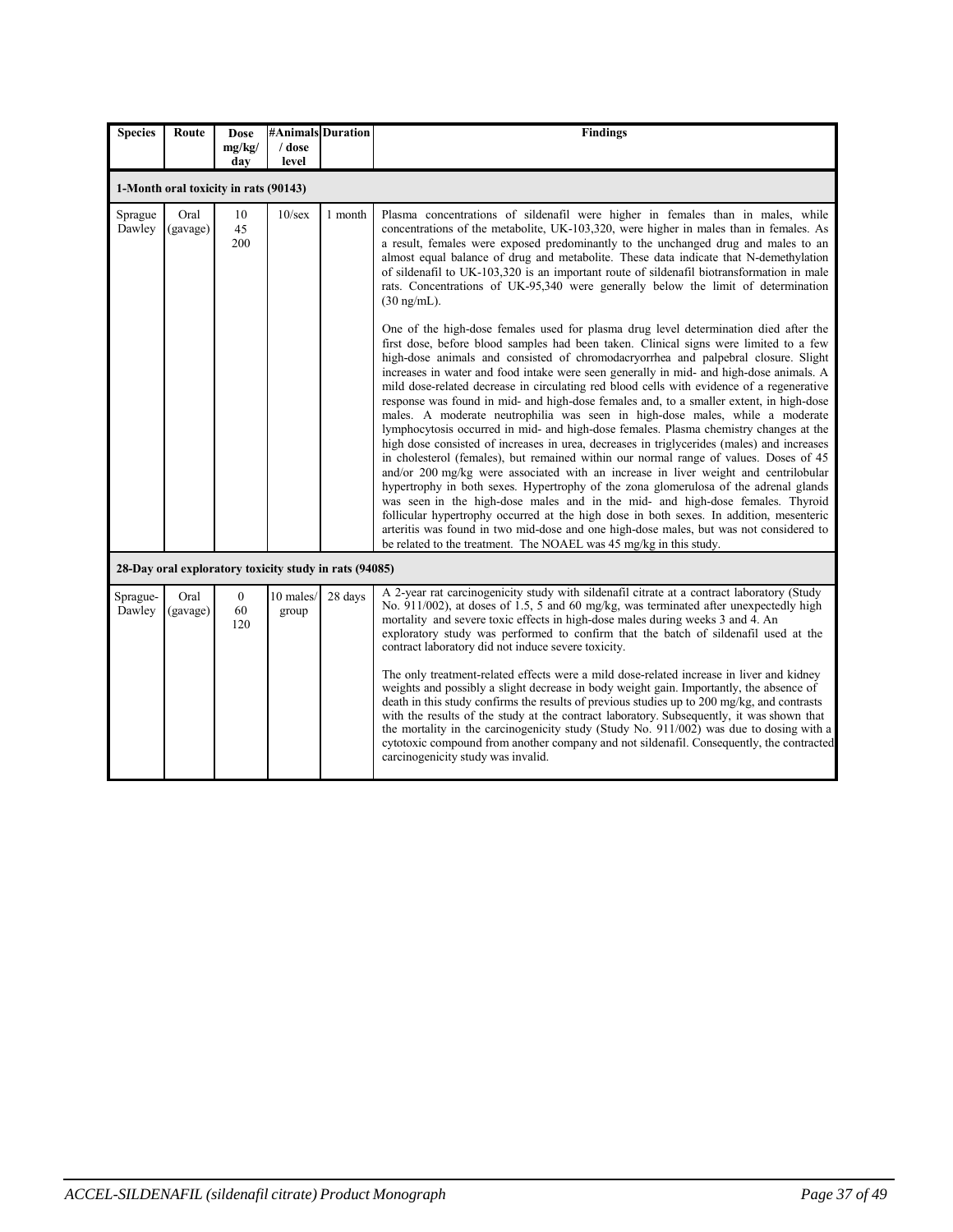| <b>Species</b>     | Route            | <b>Dose</b>                           | #Animals Duration  |                                                        | <b>Findings</b>                                                                                                                                                                                                                                                                                                                                                                                                                                                                                                                                                                                                                                                                                                                                                                                                                                                                                                                                                                                                                                                                                                                                                                                                                                                                                                                                                                                                                                                                                                                                                                                                                                                                                                                                                                                                                                                                                                                                                                                                           |
|--------------------|------------------|---------------------------------------|--------------------|--------------------------------------------------------|---------------------------------------------------------------------------------------------------------------------------------------------------------------------------------------------------------------------------------------------------------------------------------------------------------------------------------------------------------------------------------------------------------------------------------------------------------------------------------------------------------------------------------------------------------------------------------------------------------------------------------------------------------------------------------------------------------------------------------------------------------------------------------------------------------------------------------------------------------------------------------------------------------------------------------------------------------------------------------------------------------------------------------------------------------------------------------------------------------------------------------------------------------------------------------------------------------------------------------------------------------------------------------------------------------------------------------------------------------------------------------------------------------------------------------------------------------------------------------------------------------------------------------------------------------------------------------------------------------------------------------------------------------------------------------------------------------------------------------------------------------------------------------------------------------------------------------------------------------------------------------------------------------------------------------------------------------------------------------------------------------------------------|
|                    |                  | mg/kg/<br>dav                         | / dose<br>level    |                                                        |                                                                                                                                                                                                                                                                                                                                                                                                                                                                                                                                                                                                                                                                                                                                                                                                                                                                                                                                                                                                                                                                                                                                                                                                                                                                                                                                                                                                                                                                                                                                                                                                                                                                                                                                                                                                                                                                                                                                                                                                                           |
|                    |                  | 1-Month oral toxicity in rats (90143) |                    |                                                        |                                                                                                                                                                                                                                                                                                                                                                                                                                                                                                                                                                                                                                                                                                                                                                                                                                                                                                                                                                                                                                                                                                                                                                                                                                                                                                                                                                                                                                                                                                                                                                                                                                                                                                                                                                                                                                                                                                                                                                                                                           |
| Sprague<br>Dawley  | Oral<br>(gavage) | 10<br>45<br>200                       | $10$ /sex          | 1 month                                                | Plasma concentrations of sildenafil were higher in females than in males, while<br>concentrations of the metabolite, UK-103,320, were higher in males than in females. As<br>a result, females were exposed predominantly to the unchanged drug and males to an<br>almost equal balance of drug and metabolite. These data indicate that N-demethylation<br>of sildenafil to UK-103,320 is an important route of sildenafil biotransformation in male<br>rats. Concentrations of UK-95,340 were generally below the limit of determination<br>$(30 \text{ ng/mL}).$<br>One of the high-dose females used for plasma drug level determination died after the<br>first dose, before blood samples had been taken. Clinical signs were limited to a few<br>high-dose animals and consisted of chromodacryorrhea and palpebral closure. Slight<br>increases in water and food intake were seen generally in mid- and high-dose animals. A<br>mild dose-related decrease in circulating red blood cells with evidence of a regenerative<br>response was found in mid- and high-dose females and, to a smaller extent, in high-dose<br>males. A moderate neutrophilia was seen in high-dose males, while a moderate<br>lymphocytosis occurred in mid- and high-dose females. Plasma chemistry changes at the<br>high dose consisted of increases in urea, decreases in triglycerides (males) and increases<br>in cholesterol (females), but remained within our normal range of values. Doses of 45<br>and/or 200 mg/kg were associated with an increase in liver weight and centrilobular<br>hypertrophy in both sexes. Hypertrophy of the zona glomerulosa of the adrenal glands<br>was seen in the high-dose males and in the mid- and high-dose females. Thyroid<br>follicular hypertrophy occurred at the high dose in both sexes. In addition, mesenteric<br>arteritis was found in two mid-dose and one high-dose males, but was not considered to<br>be related to the treatment. The NOAEL was 45 mg/kg in this study. |
|                    |                  |                                       |                    | 28-Day oral exploratory toxicity study in rats (94085) |                                                                                                                                                                                                                                                                                                                                                                                                                                                                                                                                                                                                                                                                                                                                                                                                                                                                                                                                                                                                                                                                                                                                                                                                                                                                                                                                                                                                                                                                                                                                                                                                                                                                                                                                                                                                                                                                                                                                                                                                                           |
| Sprague-<br>Dawley | Oral<br>(gavage) | $\mathbf{0}$<br>60<br>120             | 10 males/<br>group | 28 days                                                | A 2-year rat carcinogenicity study with sildenafil citrate at a contract laboratory (Study<br>No. 911/002), at doses of 1.5, 5 and 60 mg/kg, was terminated after unexpectedly high<br>mortality and severe toxic effects in high-dose males during weeks 3 and 4. An<br>exploratory study was performed to confirm that the batch of sildenafil used at the<br>contract laboratory did not induce severe toxicity.<br>The only treatment-related effects were a mild dose-related increase in liver and kidney<br>weights and possibly a slight decrease in body weight gain. Importantly, the absence of<br>death in this study confirms the results of previous studies up to 200 mg/kg, and contrasts<br>with the results of the study at the contract laboratory. Subsequently, it was shown that<br>the mortality in the carcinogenicity study (Study No. 911/002) was due to dosing with a<br>cytotoxic compound from another company and not sildenafil. Consequently, the contracted<br>carcinogenicity study was invalid.                                                                                                                                                                                                                                                                                                                                                                                                                                                                                                                                                                                                                                                                                                                                                                                                                                                                                                                                                                                       |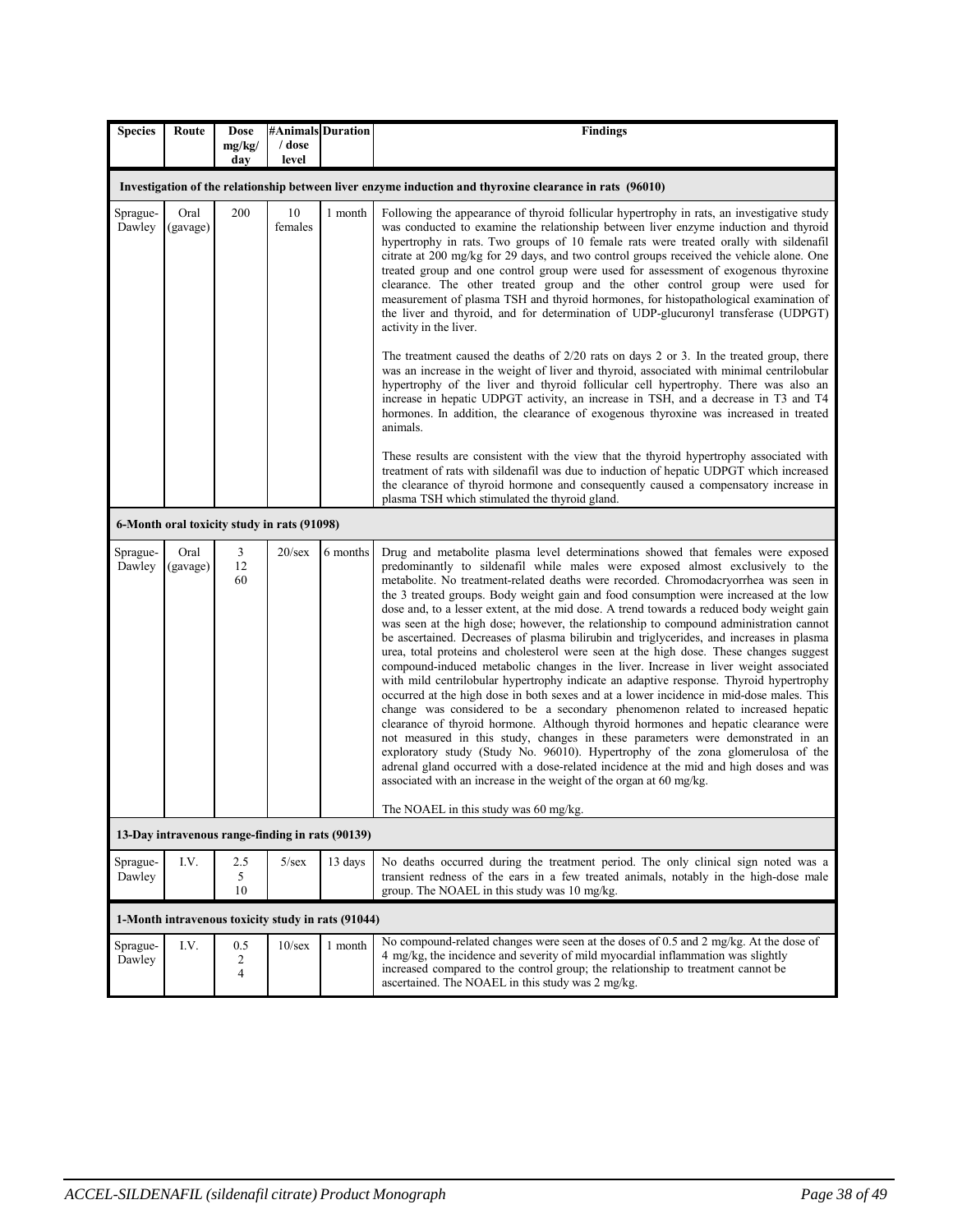| <b>Species</b>     | Route                                                                                                    | <b>Dose</b><br>mg/kg/ | / dose         | #Animals Duration                                  | <b>Findings</b>                                                                                                                                                                                                                                                                                                                                                                                                                                                                                                                                                                                                                                                                                                                                                                                                                                                                                                                                                                                                                                                                                                                                                                                                                                                                                                                                                                                                                                                                                                                                                         |  |  |  |
|--------------------|----------------------------------------------------------------------------------------------------------|-----------------------|----------------|----------------------------------------------------|-------------------------------------------------------------------------------------------------------------------------------------------------------------------------------------------------------------------------------------------------------------------------------------------------------------------------------------------------------------------------------------------------------------------------------------------------------------------------------------------------------------------------------------------------------------------------------------------------------------------------------------------------------------------------------------------------------------------------------------------------------------------------------------------------------------------------------------------------------------------------------------------------------------------------------------------------------------------------------------------------------------------------------------------------------------------------------------------------------------------------------------------------------------------------------------------------------------------------------------------------------------------------------------------------------------------------------------------------------------------------------------------------------------------------------------------------------------------------------------------------------------------------------------------------------------------------|--|--|--|
|                    |                                                                                                          | day                   | level          |                                                    |                                                                                                                                                                                                                                                                                                                                                                                                                                                                                                                                                                                                                                                                                                                                                                                                                                                                                                                                                                                                                                                                                                                                                                                                                                                                                                                                                                                                                                                                                                                                                                         |  |  |  |
|                    | Investigation of the relationship between liver enzyme induction and thyroxine clearance in rats (96010) |                       |                |                                                    |                                                                                                                                                                                                                                                                                                                                                                                                                                                                                                                                                                                                                                                                                                                                                                                                                                                                                                                                                                                                                                                                                                                                                                                                                                                                                                                                                                                                                                                                                                                                                                         |  |  |  |
| Sprague-<br>Dawley | Oral<br>(gavage)                                                                                         | 200                   | 10<br>females  | 1 month                                            | Following the appearance of thyroid follicular hypertrophy in rats, an investigative study<br>was conducted to examine the relationship between liver enzyme induction and thyroid<br>hypertrophy in rats. Two groups of 10 female rats were treated orally with sildenafil<br>citrate at 200 mg/kg for 29 days, and two control groups received the vehicle alone. One<br>treated group and one control group were used for assessment of exogenous thyroxine<br>clearance. The other treated group and the other control group were used for<br>measurement of plasma TSH and thyroid hormones, for histopathological examination of<br>the liver and thyroid, and for determination of UDP-glucuronyl transferase (UDPGT)<br>activity in the liver.<br>The treatment caused the deaths of 2/20 rats on days 2 or 3. In the treated group, there<br>was an increase in the weight of liver and thyroid, associated with minimal centrilobular<br>hypertrophy of the liver and thyroid follicular cell hypertrophy. There was also an<br>increase in hepatic UDPGT activity, an increase in TSH, and a decrease in T3 and T4<br>hormones. In addition, the clearance of exogenous thyroxine was increased in treated<br>animals.<br>These results are consistent with the view that the thyroid hypertrophy associated with<br>treatment of rats with sildenafil was due to induction of hepatic UDPGT which increased<br>the clearance of thyroid hormone and consequently caused a compensatory increase in<br>plasma TSH which stimulated the thyroid gland.        |  |  |  |
|                    | 6-Month oral toxicity study in rats (91098)                                                              |                       |                |                                                    |                                                                                                                                                                                                                                                                                                                                                                                                                                                                                                                                                                                                                                                                                                                                                                                                                                                                                                                                                                                                                                                                                                                                                                                                                                                                                                                                                                                                                                                                                                                                                                         |  |  |  |
| Sprague-<br>Dawley | Oral<br>(gavage)                                                                                         | 3<br>12<br>60         | $20$ /sex      | 6 months                                           | Drug and metabolite plasma level determinations showed that females were exposed<br>predominantly to sildenafil while males were exposed almost exclusively to the<br>metabolite. No treatment-related deaths were recorded. Chromodacryorrhea was seen in<br>the 3 treated groups. Body weight gain and food consumption were increased at the low<br>dose and, to a lesser extent, at the mid dose. A trend towards a reduced body weight gain<br>was seen at the high dose; however, the relationship to compound administration cannot<br>be ascertained. Decreases of plasma bilirubin and triglycerides, and increases in plasma<br>urea, total proteins and cholesterol were seen at the high dose. These changes suggest<br>compound-induced metabolic changes in the liver. Increase in liver weight associated<br>with mild centrilobular hypertrophy indicate an adaptive response. Thyroid hypertrophy<br>occurred at the high dose in both sexes and at a lower incidence in mid-dose males. This<br>change was considered to be a secondary phenomenon related to increased hepatic<br>clearance of thyroid hormone. Although thyroid hormones and hepatic clearance were<br>not measured in this study, changes in these parameters were demonstrated in an<br>exploratory study (Study No. 96010). Hypertrophy of the zona glomerulosa of the<br>adrenal gland occurred with a dose-related incidence at the mid and high doses and was<br>associated with an increase in the weight of the organ at 60 mg/kg.<br>The NOAEL in this study was 60 mg/kg. |  |  |  |
|                    |                                                                                                          |                       |                | 13-Day intravenous range-finding in rats (90139)   |                                                                                                                                                                                                                                                                                                                                                                                                                                                                                                                                                                                                                                                                                                                                                                                                                                                                                                                                                                                                                                                                                                                                                                                                                                                                                                                                                                                                                                                                                                                                                                         |  |  |  |
| Sprague-<br>Dawley | I.V.                                                                                                     | 2.5<br>5<br>10        | $5/\text{sex}$ | 13 days                                            | No deaths occurred during the treatment period. The only clinical sign noted was a<br>transient redness of the ears in a few treated animals, notably in the high-dose male<br>group. The NOAEL in this study was 10 mg/kg.                                                                                                                                                                                                                                                                                                                                                                                                                                                                                                                                                                                                                                                                                                                                                                                                                                                                                                                                                                                                                                                                                                                                                                                                                                                                                                                                             |  |  |  |
|                    |                                                                                                          |                       |                | 1-Month intravenous toxicity study in rats (91044) |                                                                                                                                                                                                                                                                                                                                                                                                                                                                                                                                                                                                                                                                                                                                                                                                                                                                                                                                                                                                                                                                                                                                                                                                                                                                                                                                                                                                                                                                                                                                                                         |  |  |  |
| Sprague-<br>Dawley | I.V.                                                                                                     | 0.5<br>2<br>4         | $10$ /sex      | 1 month                                            | No compound-related changes were seen at the doses of 0.5 and 2 mg/kg. At the dose of<br>4 mg/kg, the incidence and severity of mild myocardial inflammation was slightly<br>increased compared to the control group; the relationship to treatment cannot be<br>ascertained. The NOAEL in this study was 2 mg/kg.                                                                                                                                                                                                                                                                                                                                                                                                                                                                                                                                                                                                                                                                                                                                                                                                                                                                                                                                                                                                                                                                                                                                                                                                                                                      |  |  |  |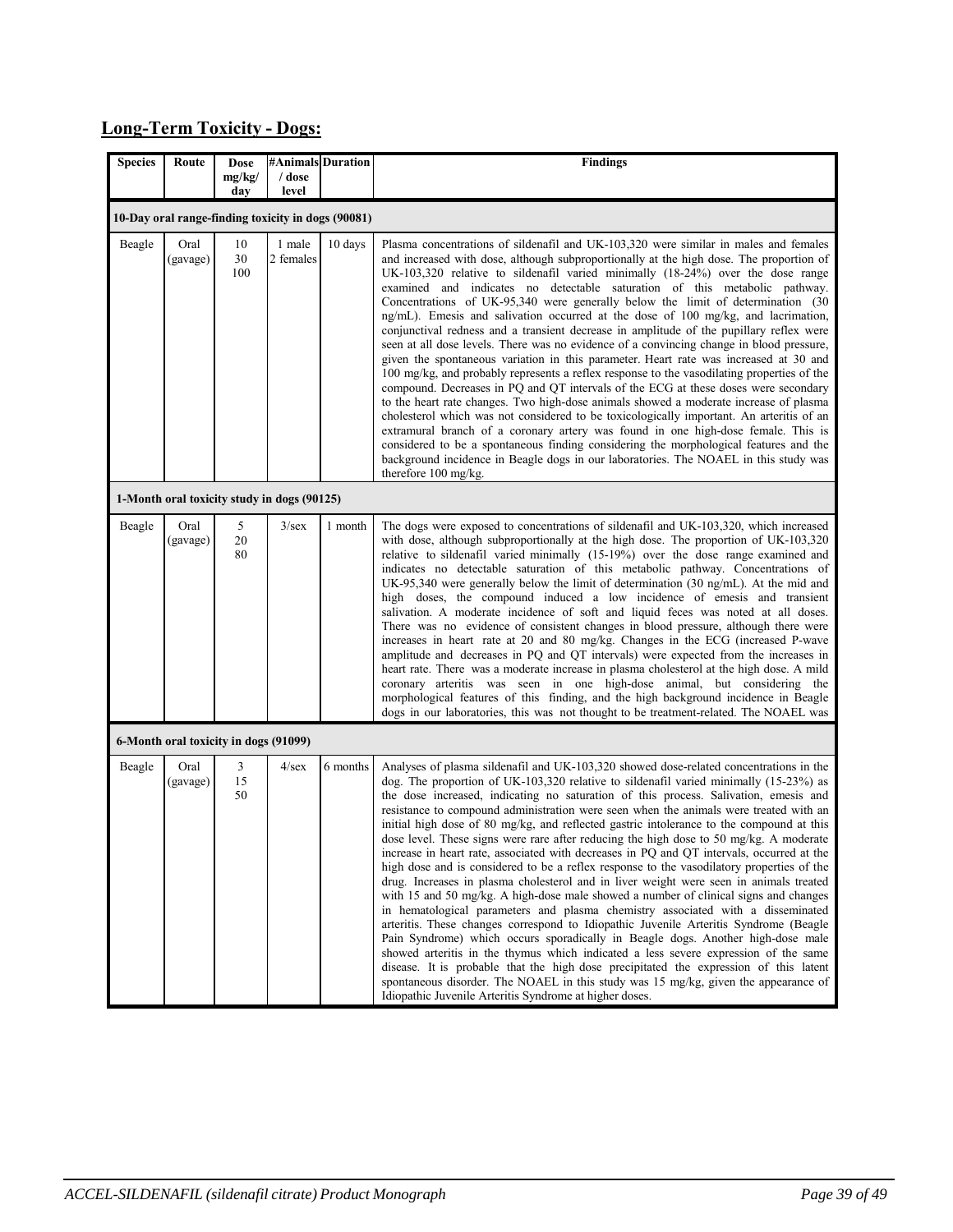# **Long-Term Toxicity - Dogs:**

| <b>Species</b> | Route            | Dose                                  | #Animals Duration                                  |          | <b>Findings</b>                                                                                                                                                                                                                                                                                                                                                                                                                                                                                                                                                                                                                                                                                                                                                                                                                                                                                                                                                                                                                                                                                                                                                                                                                                                                                                                                                                                                                                                                                                                       |
|----------------|------------------|---------------------------------------|----------------------------------------------------|----------|---------------------------------------------------------------------------------------------------------------------------------------------------------------------------------------------------------------------------------------------------------------------------------------------------------------------------------------------------------------------------------------------------------------------------------------------------------------------------------------------------------------------------------------------------------------------------------------------------------------------------------------------------------------------------------------------------------------------------------------------------------------------------------------------------------------------------------------------------------------------------------------------------------------------------------------------------------------------------------------------------------------------------------------------------------------------------------------------------------------------------------------------------------------------------------------------------------------------------------------------------------------------------------------------------------------------------------------------------------------------------------------------------------------------------------------------------------------------------------------------------------------------------------------|
|                |                  | mg/kg/<br>day                         | / dose<br>level                                    |          |                                                                                                                                                                                                                                                                                                                                                                                                                                                                                                                                                                                                                                                                                                                                                                                                                                                                                                                                                                                                                                                                                                                                                                                                                                                                                                                                                                                                                                                                                                                                       |
|                |                  |                                       | 10-Day oral range-finding toxicity in dogs (90081) |          |                                                                                                                                                                                                                                                                                                                                                                                                                                                                                                                                                                                                                                                                                                                                                                                                                                                                                                                                                                                                                                                                                                                                                                                                                                                                                                                                                                                                                                                                                                                                       |
| Beagle         | Oral<br>(gavage) | 10<br>30<br>100                       | 1 male<br>2 females                                | 10 days  | Plasma concentrations of sildenafil and UK-103,320 were similar in males and females<br>and increased with dose, although subproportionally at the high dose. The proportion of<br>UK-103,320 relative to sildenafil varied minimally (18-24%) over the dose range<br>examined and indicates no detectable saturation of this metabolic pathway.<br>Concentrations of UK-95,340 were generally below the limit of determination (30<br>ng/mL). Emesis and salivation occurred at the dose of 100 mg/kg, and lacrimation,<br>conjunctival redness and a transient decrease in amplitude of the pupillary reflex were<br>seen at all dose levels. There was no evidence of a convincing change in blood pressure,<br>given the spontaneous variation in this parameter. Heart rate was increased at 30 and<br>100 mg/kg, and probably represents a reflex response to the vasodilating properties of the<br>compound. Decreases in PQ and QT intervals of the ECG at these doses were secondary<br>to the heart rate changes. Two high-dose animals showed a moderate increase of plasma<br>cholesterol which was not considered to be toxicologically important. An arteritis of an<br>extramural branch of a coronary artery was found in one high-dose female. This is<br>considered to be a spontaneous finding considering the morphological features and the<br>background incidence in Beagle dogs in our laboratories. The NOAEL in this study was<br>therefore 100 mg/kg.                                                      |
|                |                  |                                       | 1-Month oral toxicity study in dogs (90125)        |          |                                                                                                                                                                                                                                                                                                                                                                                                                                                                                                                                                                                                                                                                                                                                                                                                                                                                                                                                                                                                                                                                                                                                                                                                                                                                                                                                                                                                                                                                                                                                       |
| Beagle         | Oral<br>(gavage) | 5<br>$20\,$<br>80                     | 3/sec                                              | 1 month  | The dogs were exposed to concentrations of sildenafil and UK-103,320, which increased<br>with dose, although subproportionally at the high dose. The proportion of UK-103,320<br>relative to sildenafil varied minimally (15-19%) over the dose range examined and<br>indicates no detectable saturation of this metabolic pathway. Concentrations of<br>UK-95,340 were generally below the limit of determination $(30 \text{ ng/mL})$ . At the mid and<br>high doses, the compound induced a low incidence of emesis and transient<br>salivation. A moderate incidence of soft and liquid feces was noted at all doses.<br>There was no evidence of consistent changes in blood pressure, although there were<br>increases in heart rate at 20 and 80 mg/kg. Changes in the ECG (increased P-wave<br>amplitude and decreases in PQ and QT intervals) were expected from the increases in<br>heart rate. There was a moderate increase in plasma cholesterol at the high dose. A mild<br>coronary arteritis was seen in one high-dose animal, but considering the<br>morphological features of this finding, and the high background incidence in Beagle<br>dogs in our laboratories, this was not thought to be treatment-related. The NOAEL was                                                                                                                                                                                                                                                                                    |
|                |                  | 6-Month oral toxicity in dogs (91099) |                                                    |          |                                                                                                                                                                                                                                                                                                                                                                                                                                                                                                                                                                                                                                                                                                                                                                                                                                                                                                                                                                                                                                                                                                                                                                                                                                                                                                                                                                                                                                                                                                                                       |
| Beagle         | Oral<br>(gavage) | 3<br>15<br>50                         | $4$ /sex                                           | 6 months | Analyses of plasma sildenafil and UK-103,320 showed dose-related concentrations in the<br>dog. The proportion of UK-103,320 relative to sildenafil varied minimally $(15-23%)$ as<br>the dose increased, indicating no saturation of this process. Salivation, emesis and<br>resistance to compound administration were seen when the animals were treated with an<br>initial high dose of 80 mg/kg, and reflected gastric intolerance to the compound at this<br>dose level. These signs were rare after reducing the high dose to 50 mg/kg. A moderate<br>increase in heart rate, associated with decreases in PQ and QT intervals, occurred at the<br>high dose and is considered to be a reflex response to the vasodilatory properties of the<br>drug. Increases in plasma cholesterol and in liver weight were seen in animals treated<br>with 15 and 50 mg/kg. A high-dose male showed a number of clinical signs and changes<br>in hematological parameters and plasma chemistry associated with a disseminated<br>arteritis. These changes correspond to Idiopathic Juvenile Arteritis Syndrome (Beagle<br>Pain Syndrome) which occurs sporadically in Beagle dogs. Another high-dose male<br>showed arteritis in the thymus which indicated a less severe expression of the same<br>disease. It is probable that the high dose precipitated the expression of this latent<br>spontaneous disorder. The NOAEL in this study was 15 mg/kg, given the appearance of<br>Idiopathic Juvenile Arteritis Syndrome at higher doses. |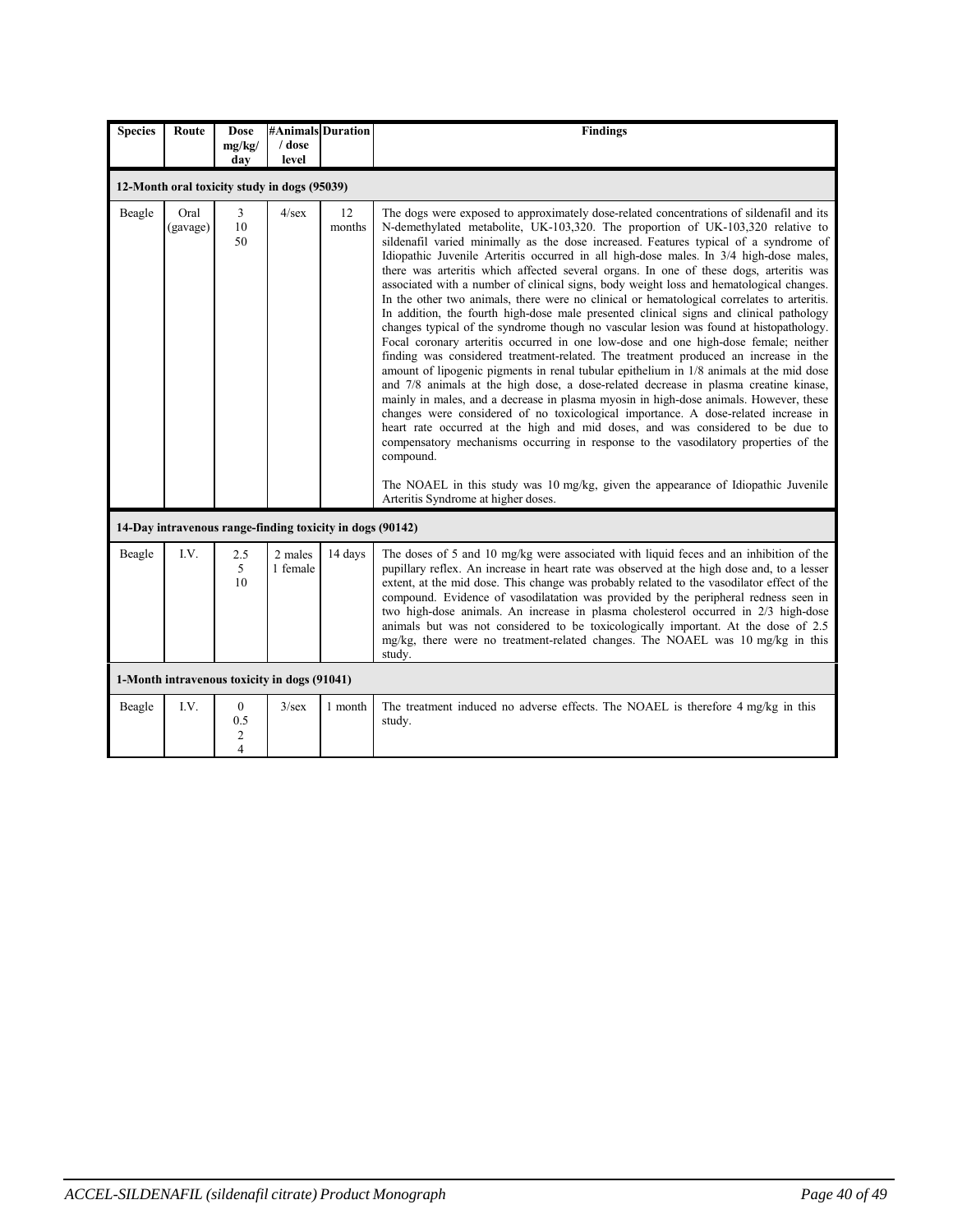| <b>Species</b>                               | Route            | <b>Dose</b><br>mg/kg/                                                     | #Animals Duration<br>/ dose                  |                                                           | <b>Findings</b>                                                                                                                                                                                                                                                                                                                                                                                                                                                                                                                                                                                                                                                                                                                                                                                                                                                                                                                                                                                                                                                                                                                                                                                                                                                                                                                                                                                                                                                                                                                                                                                                                                                                                        |
|----------------------------------------------|------------------|---------------------------------------------------------------------------|----------------------------------------------|-----------------------------------------------------------|--------------------------------------------------------------------------------------------------------------------------------------------------------------------------------------------------------------------------------------------------------------------------------------------------------------------------------------------------------------------------------------------------------------------------------------------------------------------------------------------------------------------------------------------------------------------------------------------------------------------------------------------------------------------------------------------------------------------------------------------------------------------------------------------------------------------------------------------------------------------------------------------------------------------------------------------------------------------------------------------------------------------------------------------------------------------------------------------------------------------------------------------------------------------------------------------------------------------------------------------------------------------------------------------------------------------------------------------------------------------------------------------------------------------------------------------------------------------------------------------------------------------------------------------------------------------------------------------------------------------------------------------------------------------------------------------------------|
|                                              |                  | day                                                                       | level                                        |                                                           |                                                                                                                                                                                                                                                                                                                                                                                                                                                                                                                                                                                                                                                                                                                                                                                                                                                                                                                                                                                                                                                                                                                                                                                                                                                                                                                                                                                                                                                                                                                                                                                                                                                                                                        |
|                                              |                  |                                                                           | 12-Month oral toxicity study in dogs (95039) |                                                           |                                                                                                                                                                                                                                                                                                                                                                                                                                                                                                                                                                                                                                                                                                                                                                                                                                                                                                                                                                                                                                                                                                                                                                                                                                                                                                                                                                                                                                                                                                                                                                                                                                                                                                        |
| Beagle                                       | Oral<br>(gavage) | 3<br>10<br>50                                                             | $4$ /sex                                     | 12<br>months                                              | The dogs were exposed to approximately dose-related concentrations of sildenafil and its<br>N-demethylated metabolite, UK-103,320. The proportion of UK-103,320 relative to<br>sildenafil varied minimally as the dose increased. Features typical of a syndrome of<br>Idiopathic Juvenile Arteritis occurred in all high-dose males. In 3/4 high-dose males,<br>there was arteritis which affected several organs. In one of these dogs, arteritis was<br>associated with a number of clinical signs, body weight loss and hematological changes.<br>In the other two animals, there were no clinical or hematological correlates to arteritis.<br>In addition, the fourth high-dose male presented clinical signs and clinical pathology<br>changes typical of the syndrome though no vascular lesion was found at histopathology.<br>Focal coronary arteritis occurred in one low-dose and one high-dose female; neither<br>finding was considered treatment-related. The treatment produced an increase in the<br>amount of lipogenic pigments in renal tubular epithelium in 1/8 animals at the mid dose<br>and 7/8 animals at the high dose, a dose-related decrease in plasma creatine kinase,<br>mainly in males, and a decrease in plasma myosin in high-dose animals. However, these<br>changes were considered of no toxicological importance. A dose-related increase in<br>heart rate occurred at the high and mid doses, and was considered to be due to<br>compensatory mechanisms occurring in response to the vasodilatory properties of the<br>compound.<br>The NOAEL in this study was 10 mg/kg, given the appearance of Idiopathic Juvenile<br>Arteritis Syndrome at higher doses. |
|                                              |                  |                                                                           |                                              | 14-Day intravenous range-finding toxicity in dogs (90142) |                                                                                                                                                                                                                                                                                                                                                                                                                                                                                                                                                                                                                                                                                                                                                                                                                                                                                                                                                                                                                                                                                                                                                                                                                                                                                                                                                                                                                                                                                                                                                                                                                                                                                                        |
| Beagle                                       | LV.              | 2.5<br>5<br>10                                                            | 2 males<br>1 female                          | 14 days                                                   | The doses of 5 and 10 mg/kg were associated with liquid feces and an inhibition of the<br>pupillary reflex. An increase in heart rate was observed at the high dose and, to a lesser<br>extent, at the mid dose. This change was probably related to the vasodilator effect of the<br>compound. Evidence of vasodilatation was provided by the peripheral redness seen in<br>two high-dose animals. An increase in plasma cholesterol occurred in 2/3 high-dose<br>animals but was not considered to be toxicologically important. At the dose of 2.5<br>mg/kg, there were no treatment-related changes. The NOAEL was 10 mg/kg in this<br>study.                                                                                                                                                                                                                                                                                                                                                                                                                                                                                                                                                                                                                                                                                                                                                                                                                                                                                                                                                                                                                                                      |
| 1-Month intravenous toxicity in dogs (91041) |                  |                                                                           |                                              |                                                           |                                                                                                                                                                                                                                                                                                                                                                                                                                                                                                                                                                                                                                                                                                                                                                                                                                                                                                                                                                                                                                                                                                                                                                                                                                                                                                                                                                                                                                                                                                                                                                                                                                                                                                        |
| Beagle                                       | LV.              | $\mathbf{0}$<br>0.5<br>$\overline{\mathbf{c}}$<br>$\overline{\mathbf{4}}$ | $3$ /sex                                     | 1 month                                                   | The treatment induced no adverse effects. The NOAEL is therefore 4 mg/kg in this<br>study.                                                                                                                                                                                                                                                                                                                                                                                                                                                                                                                                                                                                                                                                                                                                                                                                                                                                                                                                                                                                                                                                                                                                                                                                                                                                                                                                                                                                                                                                                                                                                                                                             |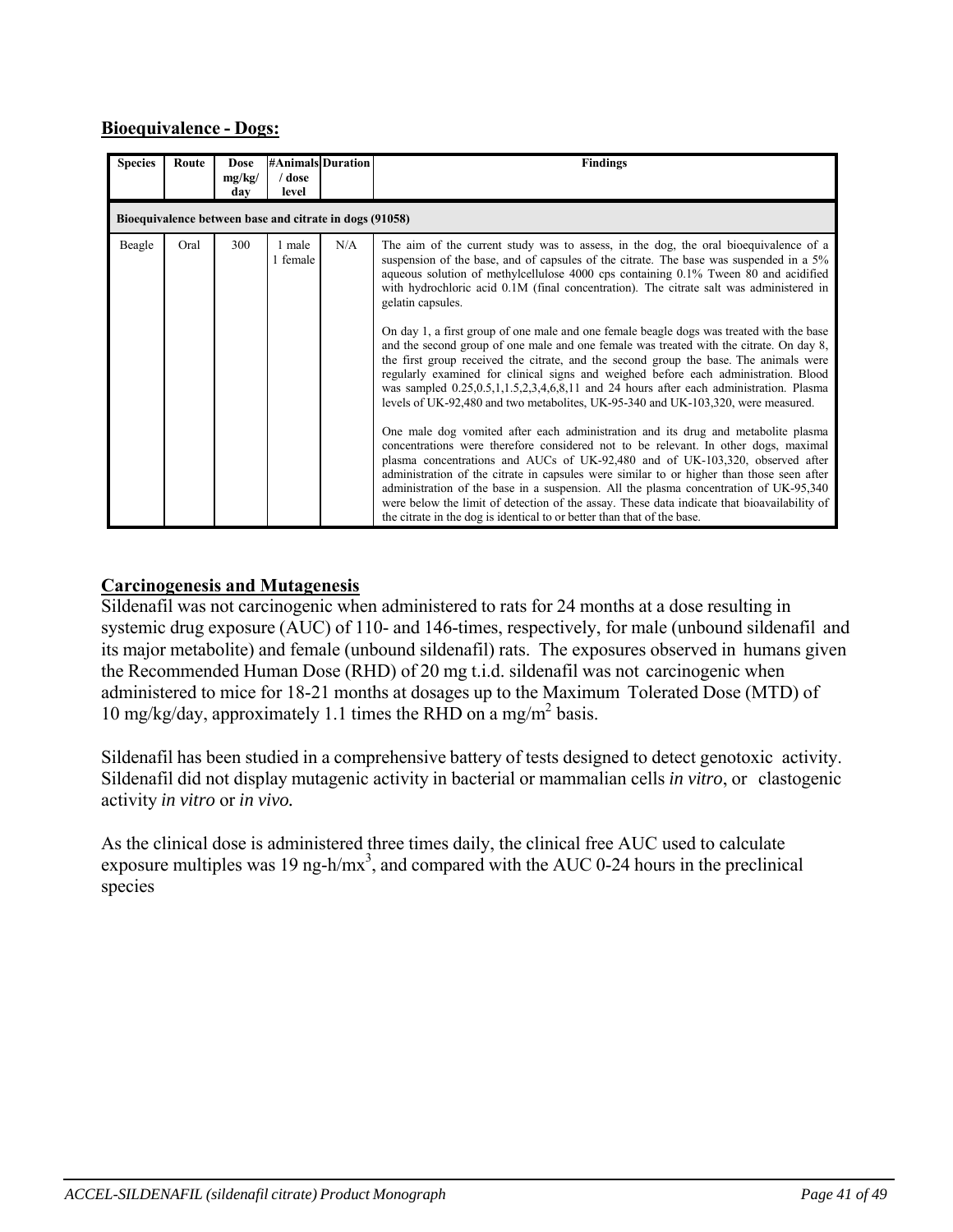### **Bioequivalence - Dogs:**

| <b>Species</b>                                          | Route | <b>Dose</b><br>mg/kg/<br>day | <b>#Animals</b> Duration<br>/ dose<br>level |     | <b>Findings</b>                                                                                                                                                                                                                                                                                                                                                                                                                                                                                                                                                                                                                                                                                                                                                                                                                                                                                                                                                                                                                                                                                                                                                                                                                                                                                                                                                                                                                                                                                        |
|---------------------------------------------------------|-------|------------------------------|---------------------------------------------|-----|--------------------------------------------------------------------------------------------------------------------------------------------------------------------------------------------------------------------------------------------------------------------------------------------------------------------------------------------------------------------------------------------------------------------------------------------------------------------------------------------------------------------------------------------------------------------------------------------------------------------------------------------------------------------------------------------------------------------------------------------------------------------------------------------------------------------------------------------------------------------------------------------------------------------------------------------------------------------------------------------------------------------------------------------------------------------------------------------------------------------------------------------------------------------------------------------------------------------------------------------------------------------------------------------------------------------------------------------------------------------------------------------------------------------------------------------------------------------------------------------------------|
| Bioequivalence between base and citrate in dogs (91058) |       |                              |                                             |     |                                                                                                                                                                                                                                                                                                                                                                                                                                                                                                                                                                                                                                                                                                                                                                                                                                                                                                                                                                                                                                                                                                                                                                                                                                                                                                                                                                                                                                                                                                        |
| Beagle                                                  | Oral  | 300                          | 1 male<br>1 female                          | N/A | The aim of the current study was to assess, in the dog, the oral bioequivalence of a<br>suspension of the base, and of capsules of the citrate. The base was suspended in a 5%<br>aqueous solution of methylcellulose 4000 cps containing 0.1% Tween 80 and acidified<br>with hydrochloric acid 0.1M (final concentration). The citrate salt was administered in<br>gelatin capsules.<br>On day 1, a first group of one male and one female beagle dogs was treated with the base<br>and the second group of one male and one female was treated with the citrate. On day 8,<br>the first group received the citrate, and the second group the base. The animals were<br>regularly examined for clinical signs and weighed before each administration. Blood<br>was sampled 0.25, 0.5, 1, 1.5, 2, 3, 4, 6, 8, 11 and 24 hours after each administration. Plasma<br>levels of UK-92,480 and two metabolites, UK-95-340 and UK-103,320, were measured.<br>One male dog vomited after each administration and its drug and metabolite plasma<br>concentrations were therefore considered not to be relevant. In other dogs, maximal<br>plasma concentrations and AUCs of UK-92,480 and of UK-103,320, observed after<br>administration of the citrate in capsules were similar to or higher than those seen after<br>administration of the base in a suspension. All the plasma concentration of UK-95,340<br>were below the limit of detection of the assay. These data indicate that bioavailability of |

#### **Carcinogenesis and Mutagenesis**

Sildenafil was not carcinogenic when administered to rats for 24 months at a dose resulting in systemic drug exposure (AUC) of 110- and 146-times, respectively, for male (unbound sildenafil and its major metabolite) and female (unbound sildenafil) rats. The exposures observed in humans given the Recommended Human Dose (RHD) of 20 mg t.i.d. sildenafil was not carcinogenic when administered to mice for 18-21 months at dosages up to the Maximum Tolerated Dose (MTD) of 10 mg/kg/day, approximately 1.1 times the RHD on a mg/m<sup>2</sup> basis.

Sildenafil has been studied in a comprehensive battery of tests designed to detect genotoxic activity. Sildenafil did not display mutagenic activity in bacterial or mammalian cells *in vitro*, or clastogenic activity *in vitro* or *in vivo.*

As the clinical dose is administered three times daily, the clinical free AUC used to calculate exposure multiples was 19 ng-h/mx<sup>3</sup>, and compared with the AUC 0-24 hours in the preclinical species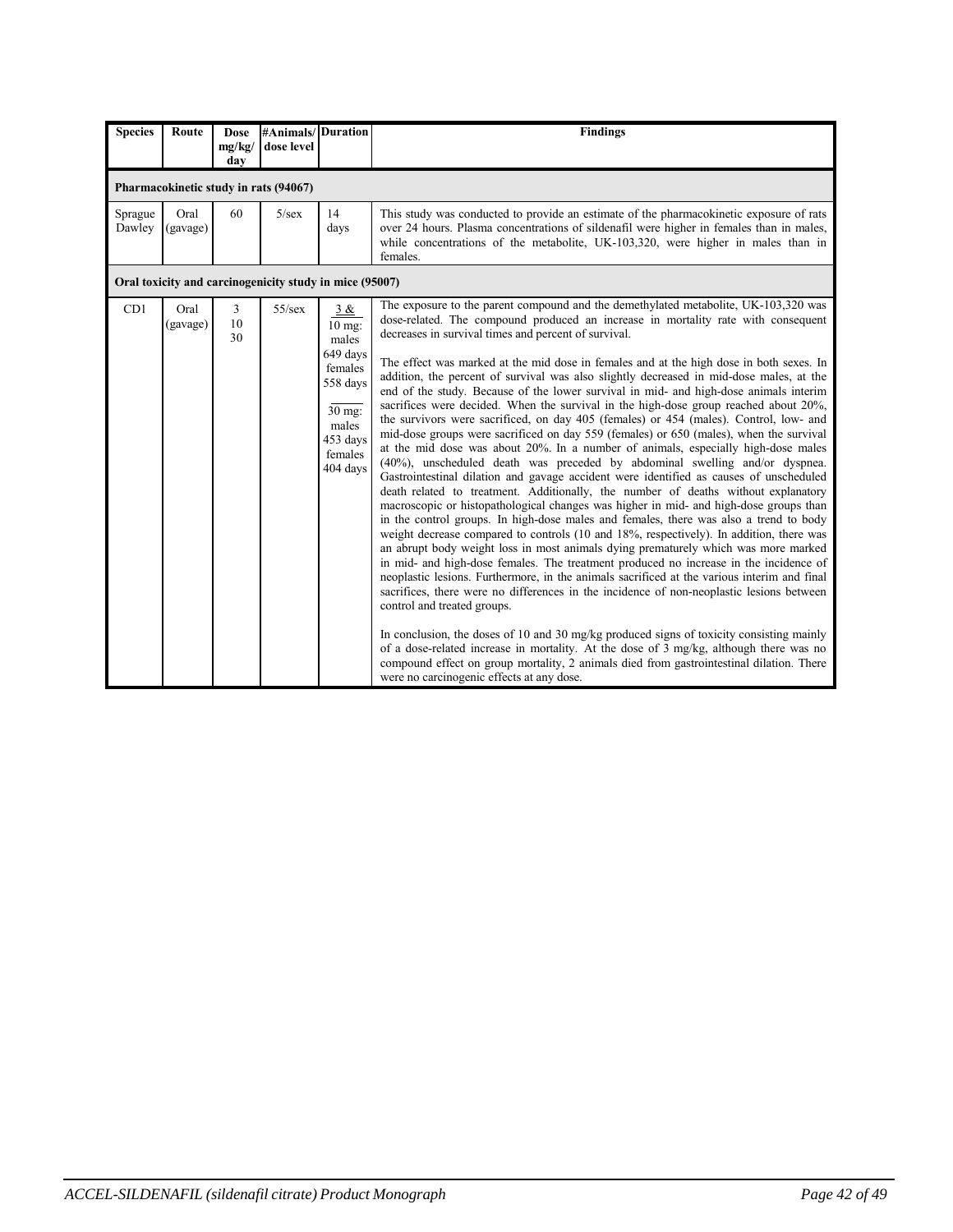| <b>Species</b>    | Route            | <b>Dose</b><br>mg/kg/<br>day | #Animals/Duration<br>dose level                         |                                                                                                                   | <b>Findings</b>                                                                                                                                                                                                                                                                                                                                                                                                                                                                                                                                                                                                                                                                                                                                                                                                                                                                                                                                                                                                                                                                                                                                                                                                                                                                                                                                                                                                                                                                                                                                                                                                                                                                                                                                                                                                                                                                                                                                                                                                                                                                                                                                                     |
|-------------------|------------------|------------------------------|---------------------------------------------------------|-------------------------------------------------------------------------------------------------------------------|---------------------------------------------------------------------------------------------------------------------------------------------------------------------------------------------------------------------------------------------------------------------------------------------------------------------------------------------------------------------------------------------------------------------------------------------------------------------------------------------------------------------------------------------------------------------------------------------------------------------------------------------------------------------------------------------------------------------------------------------------------------------------------------------------------------------------------------------------------------------------------------------------------------------------------------------------------------------------------------------------------------------------------------------------------------------------------------------------------------------------------------------------------------------------------------------------------------------------------------------------------------------------------------------------------------------------------------------------------------------------------------------------------------------------------------------------------------------------------------------------------------------------------------------------------------------------------------------------------------------------------------------------------------------------------------------------------------------------------------------------------------------------------------------------------------------------------------------------------------------------------------------------------------------------------------------------------------------------------------------------------------------------------------------------------------------------------------------------------------------------------------------------------------------|
|                   |                  |                              | Pharmacokinetic study in rats (94067)                   |                                                                                                                   |                                                                                                                                                                                                                                                                                                                                                                                                                                                                                                                                                                                                                                                                                                                                                                                                                                                                                                                                                                                                                                                                                                                                                                                                                                                                                                                                                                                                                                                                                                                                                                                                                                                                                                                                                                                                                                                                                                                                                                                                                                                                                                                                                                     |
| Sprague<br>Dawley | Oral<br>(gavage) | 60                           | $5/\text{sex}$                                          | 14<br>days                                                                                                        | This study was conducted to provide an estimate of the pharmacokinetic exposure of rats<br>over 24 hours. Plasma concentrations of sildenafil were higher in females than in males,<br>while concentrations of the metabolite, UK-103,320, were higher in males than in<br>females.                                                                                                                                                                                                                                                                                                                                                                                                                                                                                                                                                                                                                                                                                                                                                                                                                                                                                                                                                                                                                                                                                                                                                                                                                                                                                                                                                                                                                                                                                                                                                                                                                                                                                                                                                                                                                                                                                 |
|                   |                  |                              | Oral toxicity and carcinogenicity study in mice (95007) |                                                                                                                   |                                                                                                                                                                                                                                                                                                                                                                                                                                                                                                                                                                                                                                                                                                                                                                                                                                                                                                                                                                                                                                                                                                                                                                                                                                                                                                                                                                                                                                                                                                                                                                                                                                                                                                                                                                                                                                                                                                                                                                                                                                                                                                                                                                     |
| CD1               | Oral<br>(gavage) | $\overline{3}$<br>10<br>30   | $55$ /sex                                               | 3 &<br>$10$ mg:<br>males<br>649 days<br>females<br>558 days<br>30 mg:<br>males<br>453 days<br>females<br>404 days | The exposure to the parent compound and the demethylated metabolite, UK-103,320 was<br>dose-related. The compound produced an increase in mortality rate with consequent<br>decreases in survival times and percent of survival.<br>The effect was marked at the mid dose in females and at the high dose in both sexes. In<br>addition, the percent of survival was also slightly decreased in mid-dose males, at the<br>end of the study. Because of the lower survival in mid- and high-dose animals interim<br>sacrifices were decided. When the survival in the high-dose group reached about 20%.<br>the survivors were sacrificed, on day 405 (females) or 454 (males). Control, low- and<br>mid-dose groups were sacrificed on day 559 (females) or 650 (males), when the survival<br>at the mid dose was about 20%. In a number of animals, especially high-dose males<br>(40%), unscheduled death was preceded by abdominal swelling and/or dyspnea.<br>Gastrointestinal dilation and gavage accident were identified as causes of unscheduled<br>death related to treatment. Additionally, the number of deaths without explanatory<br>macroscopic or histopathological changes was higher in mid- and high-dose groups than<br>in the control groups. In high-dose males and females, there was also a trend to body<br>weight decrease compared to controls (10 and 18%, respectively). In addition, there was<br>an abrupt body weight loss in most animals dying prematurely which was more marked<br>in mid- and high-dose females. The treatment produced no increase in the incidence of<br>neoplastic lesions. Furthermore, in the animals sacrificed at the various interim and final<br>sacrifices, there were no differences in the incidence of non-neoplastic lesions between<br>control and treated groups.<br>In conclusion, the doses of 10 and 30 mg/kg produced signs of toxicity consisting mainly<br>of a dose-related increase in mortality. At the dose of 3 mg/kg, although there was no<br>compound effect on group mortality, 2 animals died from gastrointestinal dilation. There<br>were no carcinogenic effects at any dose. |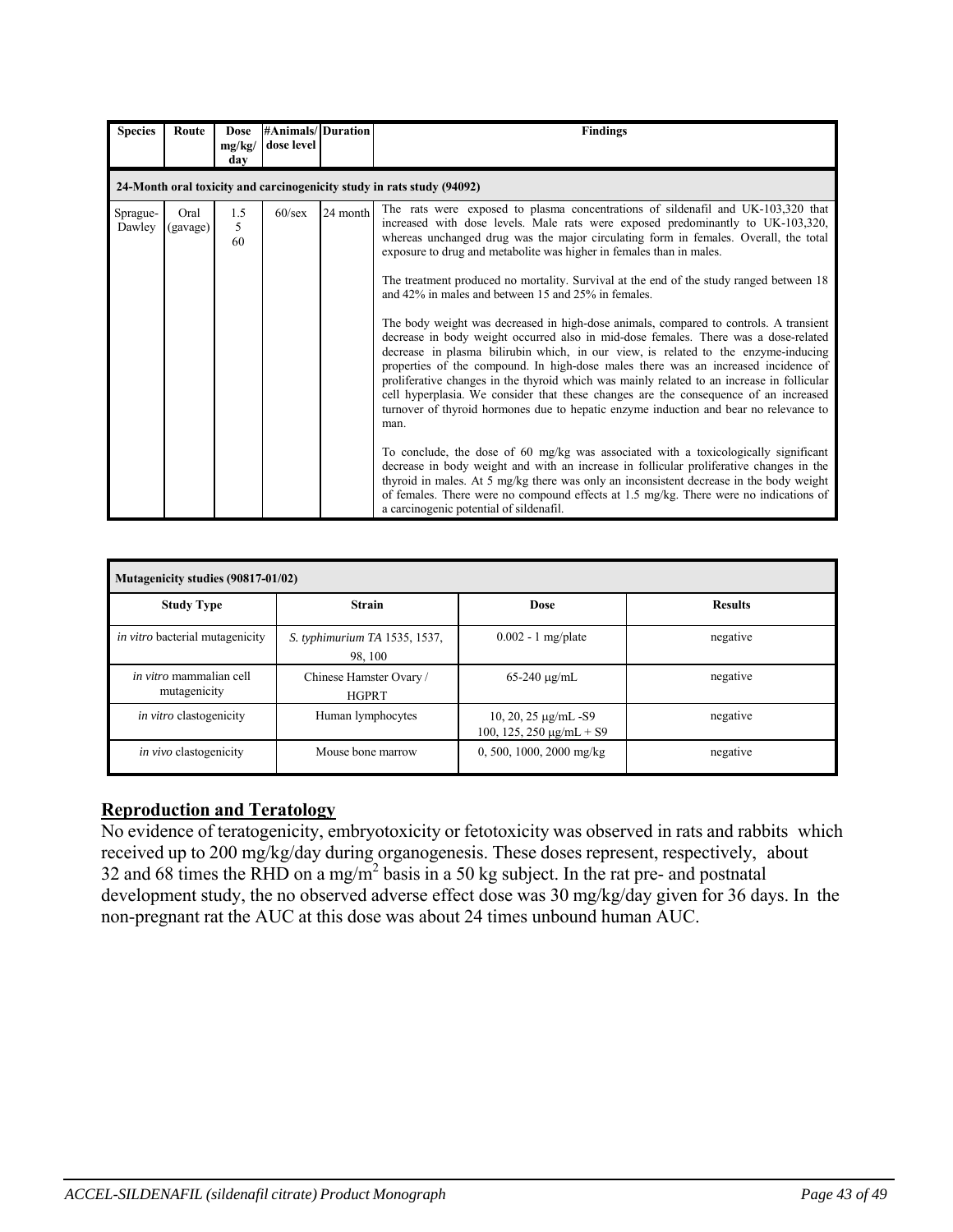| <b>Species</b>     | Route            | <b>Dose</b><br>mg/kg/<br>day | #Animals/Duration<br>dose level |          | <b>Findings</b>                                                                                                                                                                                                                                                                                                                                                                                                                                                                                                                                                                                                                                                                                                                                                                                                                                                                                                                                                                                                                                                                                                                                                                                                                                                                                                                                                                                                                                                                                                                                           |
|--------------------|------------------|------------------------------|---------------------------------|----------|-----------------------------------------------------------------------------------------------------------------------------------------------------------------------------------------------------------------------------------------------------------------------------------------------------------------------------------------------------------------------------------------------------------------------------------------------------------------------------------------------------------------------------------------------------------------------------------------------------------------------------------------------------------------------------------------------------------------------------------------------------------------------------------------------------------------------------------------------------------------------------------------------------------------------------------------------------------------------------------------------------------------------------------------------------------------------------------------------------------------------------------------------------------------------------------------------------------------------------------------------------------------------------------------------------------------------------------------------------------------------------------------------------------------------------------------------------------------------------------------------------------------------------------------------------------|
|                    |                  |                              |                                 |          | 24-Month oral toxicity and carcinogenicity study in rats study (94092)                                                                                                                                                                                                                                                                                                                                                                                                                                                                                                                                                                                                                                                                                                                                                                                                                                                                                                                                                                                                                                                                                                                                                                                                                                                                                                                                                                                                                                                                                    |
| Sprague-<br>Dawley | Oral<br>(gavage) | 1.5<br>5<br>60               | $60$ /sex                       | 24 month | The rats were exposed to plasma concentrations of sildenafil and UK-103,320 that<br>increased with dose levels. Male rats were exposed predominantly to UK-103,320,<br>whereas unchanged drug was the major circulating form in females. Overall, the total<br>exposure to drug and metabolite was higher in females than in males.<br>The treatment produced no mortality. Survival at the end of the study ranged between 18<br>and 42% in males and between 15 and 25% in females.<br>The body weight was decreased in high-dose animals, compared to controls. A transient<br>decrease in body weight occurred also in mid-dose females. There was a dose-related<br>decrease in plasma bilirubin which, in our view, is related to the enzyme-inducing<br>properties of the compound. In high-dose males there was an increased incidence of<br>proliferative changes in the thyroid which was mainly related to an increase in follicular<br>cell hyperplasia. We consider that these changes are the consequence of an increased<br>turnover of thyroid hormones due to hepatic enzyme induction and bear no relevance to<br>man.<br>To conclude, the dose of 60 mg/kg was associated with a toxicologically significant<br>decrease in body weight and with an increase in follicular proliferative changes in the<br>thyroid in males. At 5 mg/kg there was only an inconsistent decrease in the body weight<br>of females. There were no compound effects at 1.5 mg/kg. There were no indications of<br>a carcinogenic potential of sildenafil. |

| Mutagenicity studies (90817-01/02)             |                                          |                                                            |                |  |  |  |  |  |
|------------------------------------------------|------------------------------------------|------------------------------------------------------------|----------------|--|--|--|--|--|
| <b>Study Type</b>                              | <b>Strain</b>                            | <b>Dose</b>                                                | <b>Results</b> |  |  |  |  |  |
| in vitro bacterial mutagenicity                | S. typhimurium TA 1535, 1537,<br>98, 100 | $0.002 - 1$ mg/plate                                       | negative       |  |  |  |  |  |
| <i>in vitro</i> mammalian cell<br>mutagenicity | Chinese Hamster Ovary /<br><b>HGPRT</b>  | $65 - 240 \mu$ g/mL                                        | negative       |  |  |  |  |  |
| <i>in vitro</i> clastogenicity                 | Human lymphocytes                        | 10, 20, 25 $\mu$ g/mL -S9<br>100, 125, 250 $\mu$ g/mL + S9 | negative       |  |  |  |  |  |
| <i>in vivo</i> clastogenicity                  | Mouse bone marrow                        | 0, 500, 1000, 2000 mg/kg                                   | negative       |  |  |  |  |  |

# **Reproduction and Teratology**

No evidence of teratogenicity, embryotoxicity or fetotoxicity was observed in rats and rabbits which received up to 200 mg/kg/day during organogenesis. These doses represent, respectively, about 32 and 68 times the RHD on a mg/m<sup>2</sup> basis in a 50 kg subject. In the rat pre- and postnatal development study, the no observed adverse effect dose was 30 mg/kg/day given for 36 days. In the non-pregnant rat the AUC at this dose was about 24 times unbound human AUC.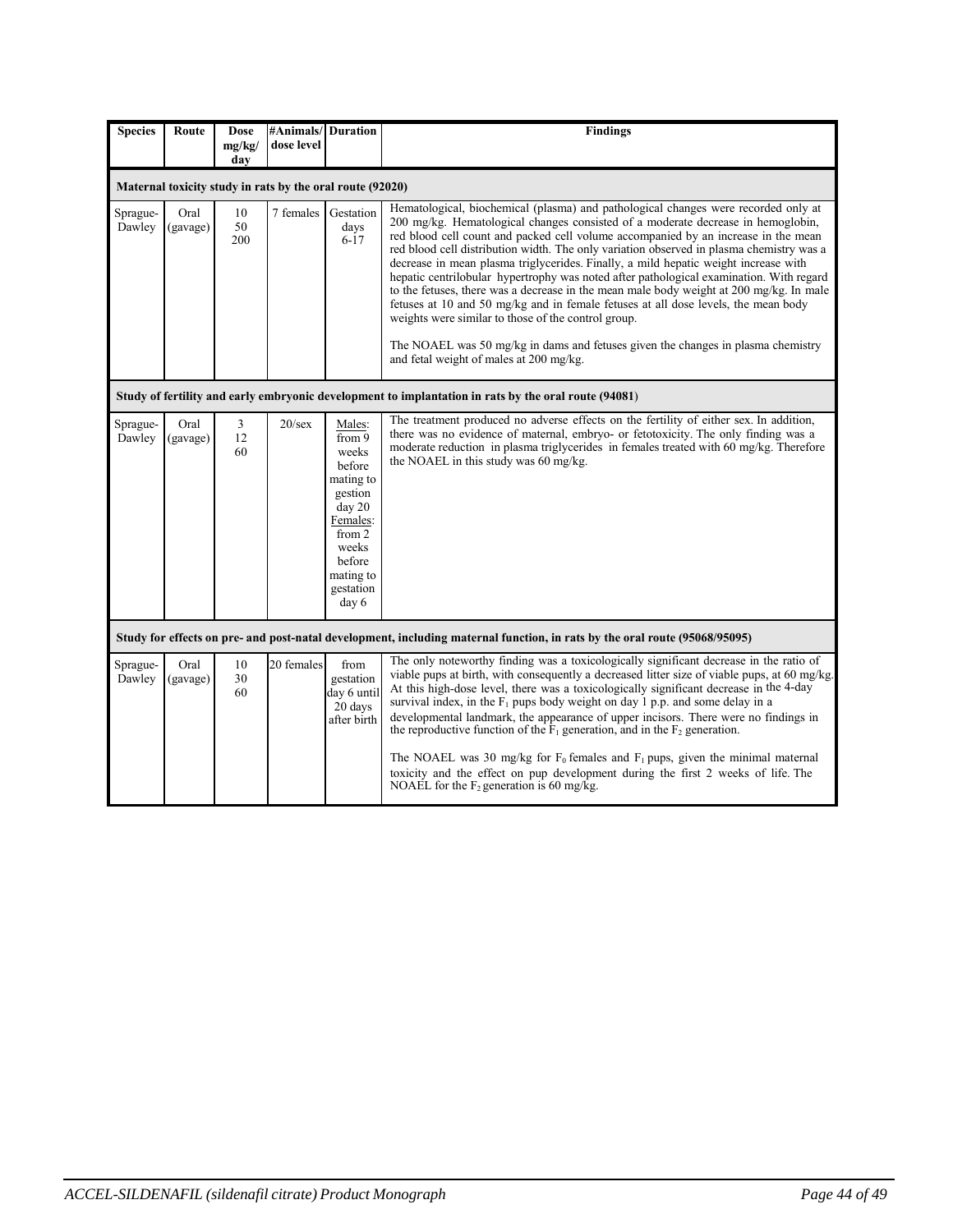| <b>Species</b>     | Route                                                     | <b>Dose</b><br>mg/kg/ | #Animals/<br>dose level | <b>Duration</b>                                                                                                                                   | <b>Findings</b>                                                                                                                                                                                                                                                                                                                                                                                                                                                                                                                                                                                                                                                                                                                                                                                                                                                        |  |  |
|--------------------|-----------------------------------------------------------|-----------------------|-------------------------|---------------------------------------------------------------------------------------------------------------------------------------------------|------------------------------------------------------------------------------------------------------------------------------------------------------------------------------------------------------------------------------------------------------------------------------------------------------------------------------------------------------------------------------------------------------------------------------------------------------------------------------------------------------------------------------------------------------------------------------------------------------------------------------------------------------------------------------------------------------------------------------------------------------------------------------------------------------------------------------------------------------------------------|--|--|
|                    |                                                           | dav                   |                         |                                                                                                                                                   |                                                                                                                                                                                                                                                                                                                                                                                                                                                                                                                                                                                                                                                                                                                                                                                                                                                                        |  |  |
|                    | Maternal toxicity study in rats by the oral route (92020) |                       |                         |                                                                                                                                                   |                                                                                                                                                                                                                                                                                                                                                                                                                                                                                                                                                                                                                                                                                                                                                                                                                                                                        |  |  |
| Sprague-<br>Dawley | Oral<br>(gavage)                                          | 10<br>50<br>200       | 7 females               | Gestation<br>days<br>$6 - 17$                                                                                                                     | Hematological, biochemical (plasma) and pathological changes were recorded only at<br>200 mg/kg. Hematological changes consisted of a moderate decrease in hemoglobin,<br>red blood cell count and packed cell volume accompanied by an increase in the mean<br>red blood cell distribution width. The only variation observed in plasma chemistry was a<br>decrease in mean plasma triglycerides. Finally, a mild hepatic weight increase with<br>hepatic centrilobular hypertrophy was noted after pathological examination. With regard<br>to the fetuses, there was a decrease in the mean male body weight at 200 mg/kg. In male<br>fetuses at 10 and 50 mg/kg and in female fetuses at all dose levels, the mean body<br>weights were similar to those of the control group.<br>The NOAEL was 50 mg/kg in dams and fetuses given the changes in plasma chemistry |  |  |
|                    |                                                           |                       |                         |                                                                                                                                                   | and fetal weight of males at 200 mg/kg.                                                                                                                                                                                                                                                                                                                                                                                                                                                                                                                                                                                                                                                                                                                                                                                                                                |  |  |
|                    |                                                           |                       |                         |                                                                                                                                                   | Study of fertility and early embryonic development to implantation in rats by the oral route (94081)                                                                                                                                                                                                                                                                                                                                                                                                                                                                                                                                                                                                                                                                                                                                                                   |  |  |
| Sprague-<br>Dawley | Oral<br>(gavage)                                          | 3<br>12<br>60         | $20$ /sex               | Males:<br>from 9<br>weeks<br>before<br>mating to<br>gestion<br>day 20<br>Females:<br>from 2<br>weeks<br>before<br>mating to<br>gestation<br>day 6 | The treatment produced no adverse effects on the fertility of either sex. In addition,<br>there was no evidence of maternal, embryo- or fetotoxicity. The only finding was a<br>moderate reduction in plasma triglycerides in females treated with 60 mg/kg. Therefore<br>the NOAEL in this study was 60 mg/kg.                                                                                                                                                                                                                                                                                                                                                                                                                                                                                                                                                        |  |  |
|                    |                                                           |                       |                         |                                                                                                                                                   | Study for effects on pre- and post-natal development, including maternal function, in rats by the oral route (95068/95095)                                                                                                                                                                                                                                                                                                                                                                                                                                                                                                                                                                                                                                                                                                                                             |  |  |
| Sprague-<br>Dawley | Oral<br>(gavage)                                          | 10<br>30<br>60        | 20 females              | from<br>gestation<br>day 6 until<br>20 days<br>after birth                                                                                        | The only noteworthy finding was a toxicologically significant decrease in the ratio of<br>viable pups at birth, with consequently a decreased litter size of viable pups, at 60 mg/kg.<br>At this high-dose level, there was a toxicologically significant decrease in the 4-day<br>survival index, in the $F_1$ pups body weight on day 1 p.p. and some delay in a<br>developmental landmark, the appearance of upper incisors. There were no findings in<br>the reproductive function of the $F_1$ generation, and in the $F_2$ generation.<br>The NOAEL was 30 mg/kg for $F_0$ females and $F_1$ pups, given the minimal maternal<br>toxicity and the effect on pup development during the first 2 weeks of life. The<br>NOAEL for the $F_2$ generation is 60 mg/kg.                                                                                                |  |  |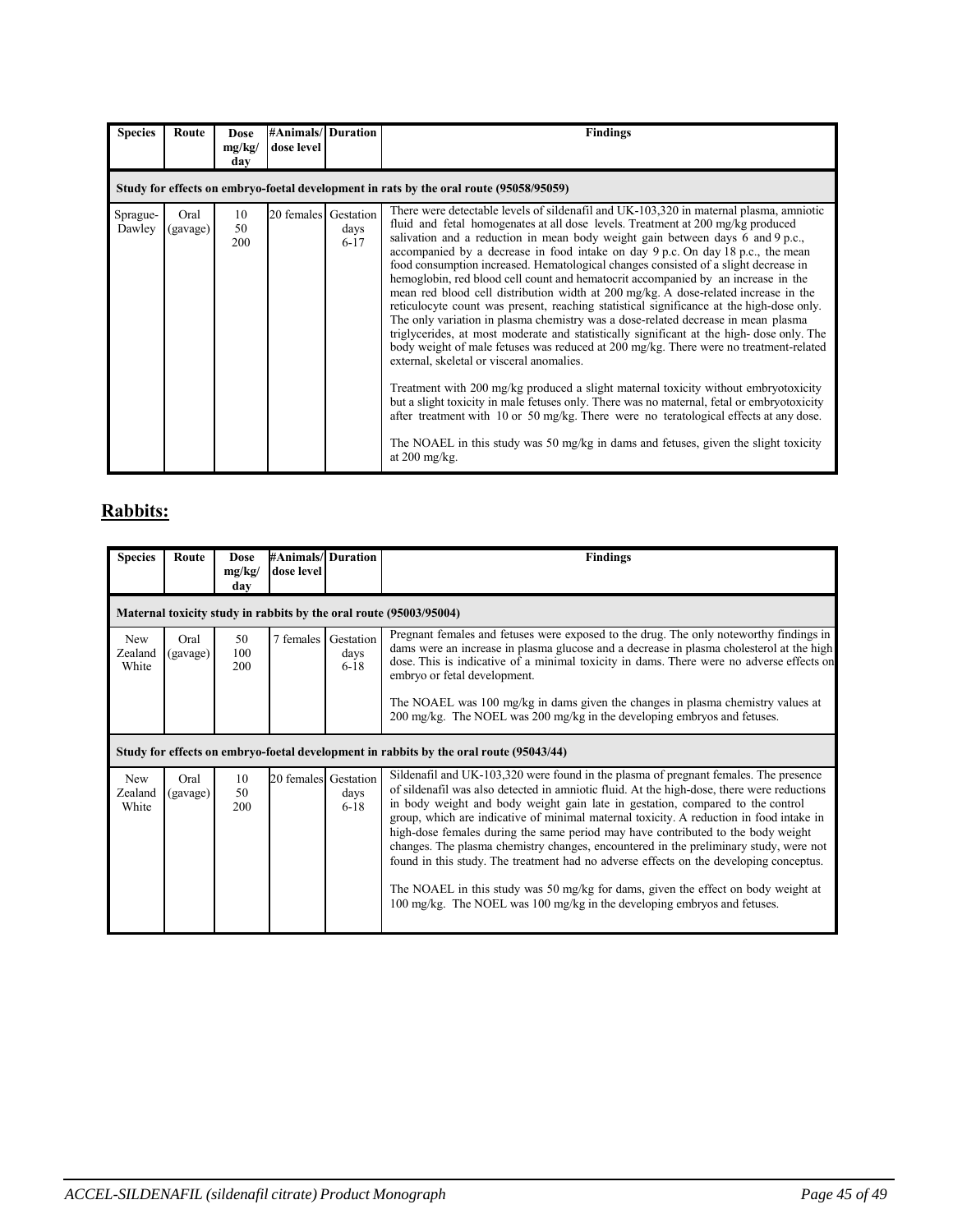| <b>Species</b>                                                                         | Route            | <b>Dose</b><br>mg/kg/<br>day | <b>#Animals/ Duration</b><br>dose level |                  | <b>Findings</b>                                                                                                                                                                                                                                                                                                                                                                                                                                                                                                                                                                                                                                                                                                                                                                                                                                                                                                                                                                                                                                                                                                                                                                                                                                                                                                                                                                                                              |  |  |
|----------------------------------------------------------------------------------------|------------------|------------------------------|-----------------------------------------|------------------|------------------------------------------------------------------------------------------------------------------------------------------------------------------------------------------------------------------------------------------------------------------------------------------------------------------------------------------------------------------------------------------------------------------------------------------------------------------------------------------------------------------------------------------------------------------------------------------------------------------------------------------------------------------------------------------------------------------------------------------------------------------------------------------------------------------------------------------------------------------------------------------------------------------------------------------------------------------------------------------------------------------------------------------------------------------------------------------------------------------------------------------------------------------------------------------------------------------------------------------------------------------------------------------------------------------------------------------------------------------------------------------------------------------------------|--|--|
| Study for effects on embryo-foetal development in rats by the oral route (95058/95059) |                  |                              |                                         |                  |                                                                                                                                                                                                                                                                                                                                                                                                                                                                                                                                                                                                                                                                                                                                                                                                                                                                                                                                                                                                                                                                                                                                                                                                                                                                                                                                                                                                                              |  |  |
| Sprague-<br>Dawley                                                                     | Oral<br>(gavage) | 10<br>50<br>200              | 20 females Gestation                    | days<br>$6 - 17$ | There were detectable levels of sildenafil and UK-103,320 in maternal plasma, amniotic<br>fluid and fetal homogenates at all dose levels. Treatment at 200 mg/kg produced<br>salivation and a reduction in mean body weight gain between days 6 and 9 p.c.,<br>accompanied by a decrease in food intake on day 9 p.c. On day 18 p.c., the mean<br>food consumption increased. Hematological changes consisted of a slight decrease in<br>hemoglobin, red blood cell count and hematocrit accompanied by an increase in the<br>mean red blood cell distribution width at 200 mg/kg. A dose-related increase in the<br>reticulocyte count was present, reaching statistical significance at the high-dose only.<br>The only variation in plasma chemistry was a dose-related decrease in mean plasma<br>triglycerides, at most moderate and statistically significant at the high-dose only. The<br>body weight of male fetuses was reduced at 200 mg/kg. There were no treatment-related<br>external, skeletal or visceral anomalies.<br>Treatment with 200 mg/kg produced a slight maternal toxicity without embryotoxicity<br>but a slight toxicity in male fetuses only. There was no maternal, fetal or embryotoxicity<br>after treatment with 10 or 50 mg/kg. There were no teratological effects at any dose.<br>The NOAEL in this study was 50 mg/kg in dams and fetuses, given the slight toxicity<br>at $200$ mg/kg. |  |  |

# **Rabbits:**

| <b>Species</b>                 | Route                                                                                  | <b>Dose</b><br>mg/kg/<br>day | #Animals/ Duration<br>dose level |                               | <b>Findings</b>                                                                                                                                                                                                                                                                                                                                                                                                                                                                                                                                                                                                                                                                                                                                                                                         |  |  |
|--------------------------------|----------------------------------------------------------------------------------------|------------------------------|----------------------------------|-------------------------------|---------------------------------------------------------------------------------------------------------------------------------------------------------------------------------------------------------------------------------------------------------------------------------------------------------------------------------------------------------------------------------------------------------------------------------------------------------------------------------------------------------------------------------------------------------------------------------------------------------------------------------------------------------------------------------------------------------------------------------------------------------------------------------------------------------|--|--|
|                                | Maternal toxicity study in rabbits by the oral route (95003/95004)                     |                              |                                  |                               |                                                                                                                                                                                                                                                                                                                                                                                                                                                                                                                                                                                                                                                                                                                                                                                                         |  |  |
| <b>New</b><br>Zealand<br>White | Oral<br>(gavage)                                                                       | 50<br>100<br>200             | 7 females                        | Gestation<br>days<br>$6 - 18$ | Pregnant females and fetuses were exposed to the drug. The only noteworthy findings in<br>dams were an increase in plasma glucose and a decrease in plasma cholesterol at the high<br>dose. This is indicative of a minimal toxicity in dams. There were no adverse effects on<br>embryo or fetal development.<br>The NOAEL was 100 mg/kg in dams given the changes in plasma chemistry values at<br>200 mg/kg. The NOEL was 200 mg/kg in the developing embryos and fetuses.                                                                                                                                                                                                                                                                                                                           |  |  |
|                                | Study for effects on embryo-foetal development in rabbits by the oral route (95043/44) |                              |                                  |                               |                                                                                                                                                                                                                                                                                                                                                                                                                                                                                                                                                                                                                                                                                                                                                                                                         |  |  |
| <b>New</b><br>Zealand<br>White | Oral<br>(gavage)                                                                       | 10<br>50<br>200              | 20 females                       | Gestation<br>days<br>$6 - 18$ | Sildenafil and UK-103,320 were found in the plasma of pregnant females. The presence<br>of sildenafil was also detected in amniotic fluid. At the high-dose, there were reductions<br>in body weight and body weight gain late in gestation, compared to the control<br>group, which are indicative of minimal maternal toxicity. A reduction in food intake in<br>high-dose females during the same period may have contributed to the body weight<br>changes. The plasma chemistry changes, encountered in the preliminary study, were not<br>found in this study. The treatment had no adverse effects on the developing conceptus.<br>The NOAEL in this study was 50 mg/kg for dams, given the effect on body weight at<br>100 mg/kg. The NOEL was 100 mg/kg in the developing embryos and fetuses. |  |  |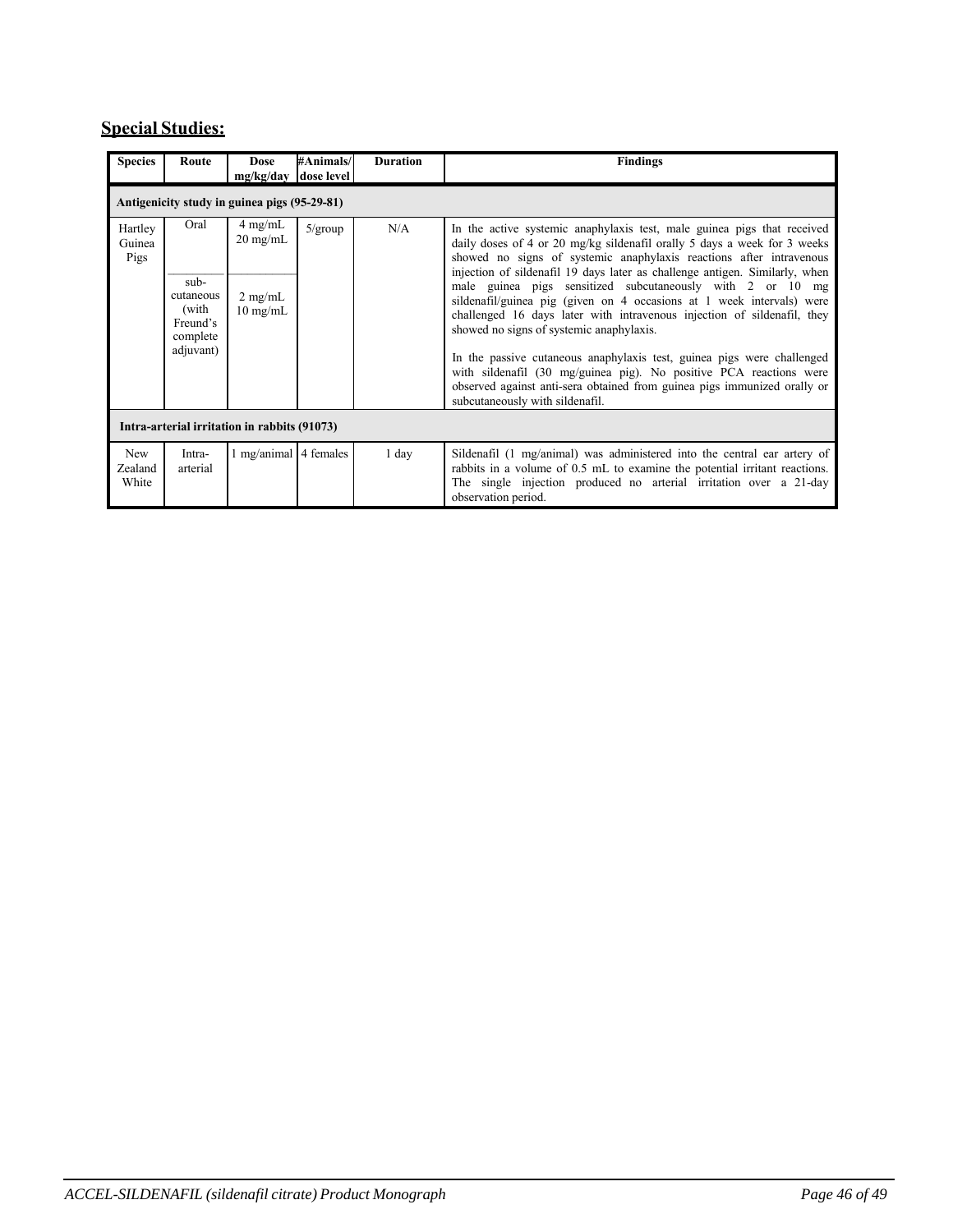# **Special Studies:**

| <b>Species</b>                               | Route                                                                     | <b>Dose</b><br>mg/kg/day                                                   | #Animals/<br>dose level | <b>Duration</b> | <b>Findings</b>                                                                                                                                                                                                                                                                                                                                                                                                                                                                                                                                                                                                                                                                                                                                                                                                                        |  |  |  |
|----------------------------------------------|---------------------------------------------------------------------------|----------------------------------------------------------------------------|-------------------------|-----------------|----------------------------------------------------------------------------------------------------------------------------------------------------------------------------------------------------------------------------------------------------------------------------------------------------------------------------------------------------------------------------------------------------------------------------------------------------------------------------------------------------------------------------------------------------------------------------------------------------------------------------------------------------------------------------------------------------------------------------------------------------------------------------------------------------------------------------------------|--|--|--|
| Antigenicity study in guinea pigs (95-29-81) |                                                                           |                                                                            |                         |                 |                                                                                                                                                                                                                                                                                                                                                                                                                                                                                                                                                                                                                                                                                                                                                                                                                                        |  |  |  |
| Hartley<br>Guinea<br>Pigs                    | Oral<br>$sub-$<br>cutaneous<br>(with<br>Freund's<br>complete<br>adjuvant) | $4 \text{ mg/mL}$<br>$20 \text{ mg/mL}$<br>$2$ mg/mL<br>$10 \text{ mg/mL}$ | $5/\text{group}$        | N/A             | In the active systemic anaphylaxis test, male guinea pigs that received<br>daily doses of 4 or 20 mg/kg sildenafil orally 5 days a week for 3 weeks<br>showed no signs of systemic anaphylaxis reactions after intravenous<br>injection of sildenafil 19 days later as challenge antigen. Similarly, when<br>male guinea pigs sensitized subcutaneously with 2 or 10 mg<br>sildenafil/guinea pig (given on 4 occasions at 1 week intervals) were<br>challenged 16 days later with intravenous injection of sildenafil, they<br>showed no signs of systemic anaphylaxis.<br>In the passive cutaneous anaphylaxis test, guinea pigs were challenged<br>with sildenafil (30 mg/guinea pig). No positive PCA reactions were<br>observed against anti-sera obtained from guinea pigs immunized orally or<br>subcutaneously with sildenafil. |  |  |  |
| Intra-arterial irritation in rabbits (91073) |                                                                           |                                                                            |                         |                 |                                                                                                                                                                                                                                                                                                                                                                                                                                                                                                                                                                                                                                                                                                                                                                                                                                        |  |  |  |
| <b>New</b><br>Zealand<br>White               | Intra-<br>arterial                                                        | 1 mg/animal 4 females                                                      |                         | 1 day           | Sildenafil (1 mg/animal) was administered into the central ear artery of<br>rabbits in a volume of 0.5 mL to examine the potential irritant reactions.<br>The single injection produced no arterial irritation over a 21-day<br>observation period.                                                                                                                                                                                                                                                                                                                                                                                                                                                                                                                                                                                    |  |  |  |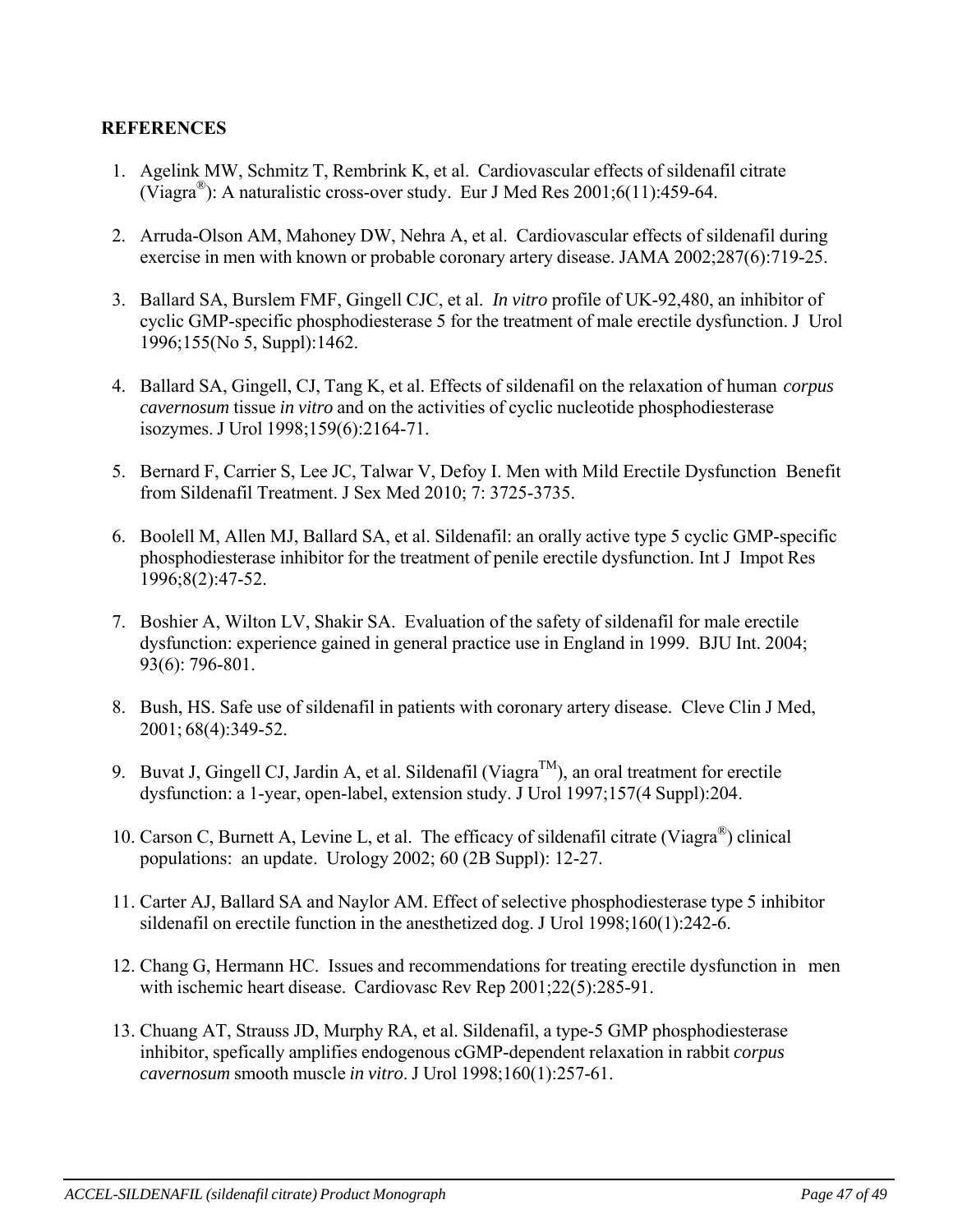# **REFERENCES**

- 1. Agelink MW, Schmitz T, Rembrink K, et al. Cardiovascular effects of sildenafil citrate (Viagra $^{\circledR}$ ): A naturalistic cross-over study. Eur J Med Res 2001:6(11):459-64.
- 2. Arruda-Olson AM, Mahoney DW, Nehra A, et al. Cardiovascular effects of sildenafil during exercise in men with known or probable coronary artery disease. JAMA 2002;287(6):719-25.
- 3. Ballard SA, Burslem FMF, Gingell CJC, et al. *In vitro* profile of UK-92,480, an inhibitor of cyclic GMP-specific phosphodiesterase 5 for the treatment of male erectile dysfunction. J Urol 1996;155(No 5, Suppl):1462.
- 4. Ballard SA, Gingell, CJ, Tang K, et al. Effects of sildenafil on the relaxation of human *corpus cavernosum* tissue *in vitro* and on the activities of cyclic nucleotide phosphodiesterase isozymes. J Urol 1998;159(6):2164-71.
- 5. Bernard F, Carrier S, Lee JC, Talwar V, Defoy I. Men with Mild Erectile Dysfunction Benefit from Sildenafil Treatment. J Sex Med 2010; 7: 3725-3735.
- 6. Boolell M, Allen MJ, Ballard SA, et al. Sildenafil: an orally active type 5 cyclic GMP-specific phosphodiesterase inhibitor for the treatment of penile erectile dysfunction. Int J Impot Res 1996;8(2):47-52.
- 7. Boshier A, Wilton LV, Shakir SA. Evaluation of the safety of sildenafil for male erectile dysfunction: experience gained in general practice use in England in 1999. BJU Int. 2004; 93(6): 796-801.
- 8. Bush, HS. Safe use of sildenafil in patients with coronary artery disease. Cleve Clin J Med, 2001; 68(4):349-52.
- 9. Buvat J, Gingell CJ, Jardin A, et al. Sildenafil (Viagra<sup>TM</sup>), an oral treatment for erectile dysfunction: a 1-year, open-label, extension study. J Urol 1997;157(4 Suppl):204.
- 10. Carson C, Burnett A, Levine L, et al. The efficacy of sildenafil citrate (Viagra®) clinical populations: an update. Urology 2002; 60 (2B Suppl): 12-27.
- 11. Carter AJ, Ballard SA and Naylor AM. Effect of selective phosphodiesterase type 5 inhibitor sildenafil on erectile function in the anesthetized dog. J Urol 1998;160(1):242-6.
- 12. Chang G, Hermann HC. Issues and recommendations for treating erectile dysfunction in men with ischemic heart disease. Cardiovasc Rev Rep 2001;22(5):285-91.
- 13. Chuang AT, Strauss JD, Murphy RA, et al. Sildenafil, a type-5 GMP phosphodiesterase inhibitor, spefically amplifies endogenous cGMP-dependent relaxation in rabbit *corpus cavernosum* smooth muscle *in vitro*. J Urol 1998;160(1):257-61.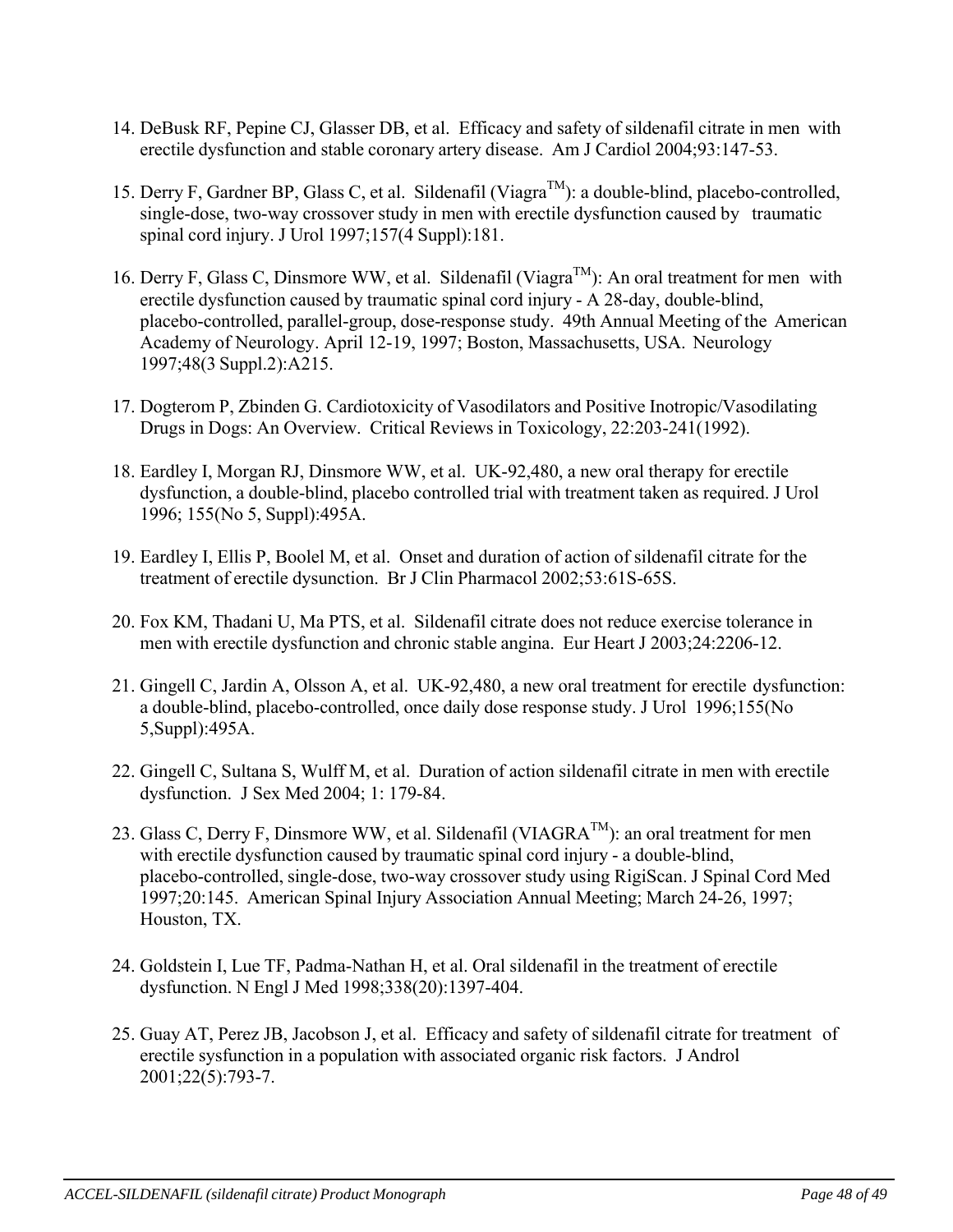- 14. DeBusk RF, Pepine CJ, Glasser DB, et al. Efficacy and safety of sildenafil citrate in men with erectile dysfunction and stable coronary artery disease. Am J Cardiol 2004;93:147-53.
- 15. Derry F, Gardner BP, Glass C, et al. Sildenafil (Viagra<sup>TM</sup>): a double-blind, placebo-controlled, single-dose, two-way crossover study in men with erectile dysfunction caused by traumatic spinal cord injury. J Urol 1997;157(4 Suppl):181.
- 16. Derry F, Glass C, Dinsmore WW, et al. Sildenafil (Viagra<sup>TM</sup>): An oral treatment for men with erectile dysfunction caused by traumatic spinal cord injury - A 28-day, double-blind, placebo-controlled, parallel-group, dose-response study. 49th Annual Meeting of the American Academy of Neurology. April 12-19, 1997; Boston, Massachusetts, USA. Neurology 1997;48(3 Suppl.2):A215.
- 17. Dogterom P, Zbinden G. Cardiotoxicity of Vasodilators and Positive Inotropic/Vasodilating Drugs in Dogs: An Overview. Critical Reviews in Toxicology, 22:203-241(1992).
- 18. Eardley I, Morgan RJ, Dinsmore WW, et al. UK-92,480, a new oral therapy for erectile dysfunction, a double-blind, placebo controlled trial with treatment taken as required. J Urol 1996; 155(No 5, Suppl):495A.
- 19. Eardley I, Ellis P, Boolel M, et al. Onset and duration of action of sildenafil citrate for the treatment of erectile dysunction. Br J Clin Pharmacol 2002;53:61S-65S.
- 20. Fox KM, Thadani U, Ma PTS, et al. Sildenafil citrate does not reduce exercise tolerance in men with erectile dysfunction and chronic stable angina. Eur Heart J 2003;24:2206-12.
- 21. Gingell C, Jardin A, Olsson A, et al. UK-92,480, a new oral treatment for erectile dysfunction: a double-blind, placebo-controlled, once daily dose response study. J Urol 1996;155(No 5,Suppl):495A.
- 22. Gingell C, Sultana S, Wulff M, et al. Duration of action sildenafil citrate in men with erectile dysfunction. J Sex Med 2004; 1: 179-84.
- 23. Glass C, Derry F, Dinsmore WW, et al. Sildenafil (VIAGRA<sup>TM</sup>): an oral treatment for men with erectile dysfunction caused by traumatic spinal cord injury - a double-blind, placebo-controlled, single-dose, two-way crossover study using RigiScan. J Spinal Cord Med 1997;20:145. American Spinal Injury Association Annual Meeting; March 24-26, 1997; Houston, TX.
- 24. Goldstein I, Lue TF, Padma-Nathan H, et al. Oral sildenafil in the treatment of erectile dysfunction. N Engl J Med 1998;338(20):1397-404.
- 25. Guay AT, Perez JB, Jacobson J, et al. Efficacy and safety of sildenafil citrate for treatment of erectile sysfunction in a population with associated organic risk factors. J Androl 2001;22(5):793-7.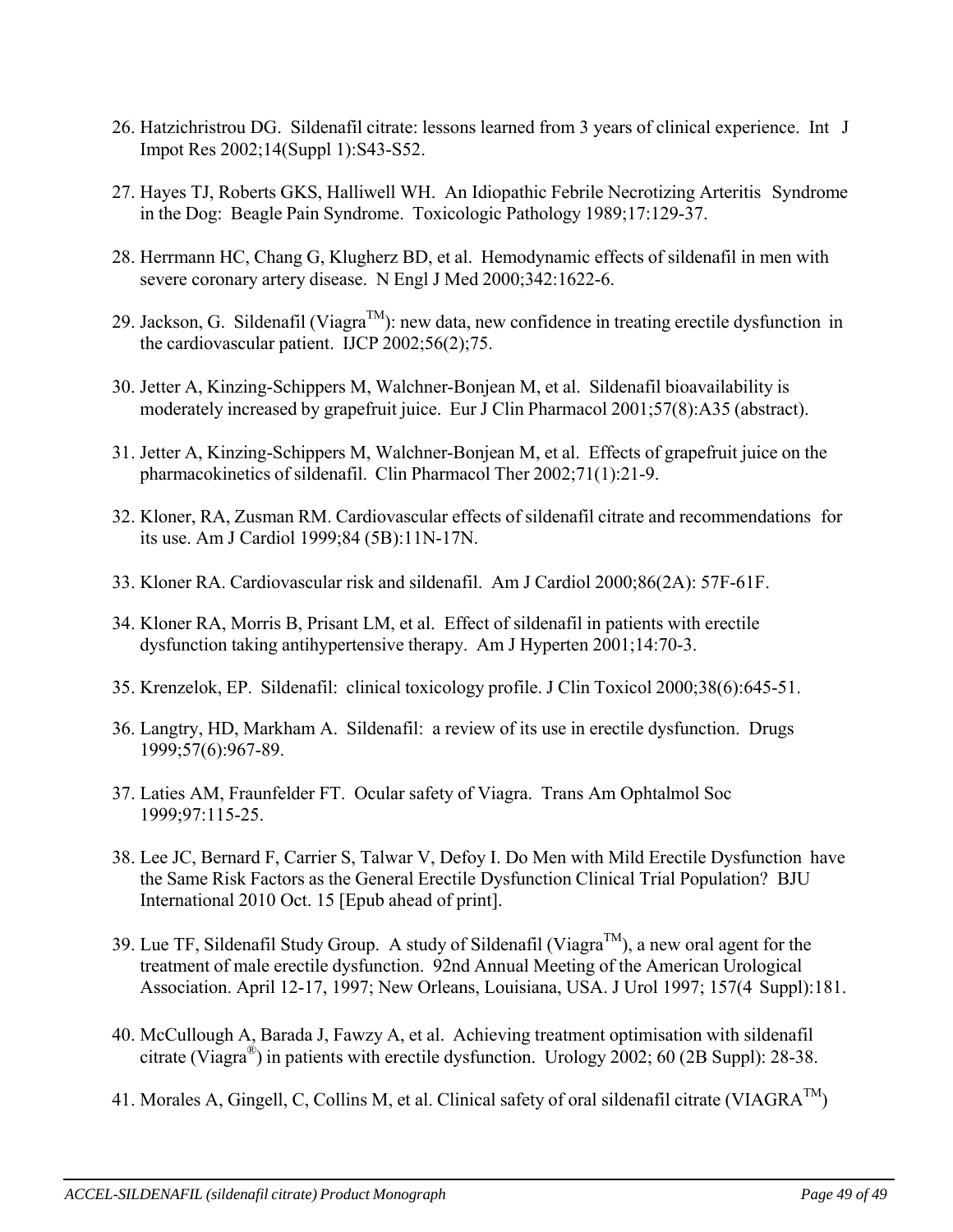- 26. Hatzichristrou DG. Sildenafil citrate: lessons learned from 3 years of clinical experience. Int J Impot Res 2002;14(Suppl 1):S43-S52.
- 27. Hayes TJ, Roberts GKS, Halliwell WH. An Idiopathic Febrile Necrotizing Arteritis Syndrome in the Dog: Beagle Pain Syndrome. Toxicologic Pathology 1989;17:129-37.
- 28. Herrmann HC, Chang G, Klugherz BD, et al. Hemodynamic effects of sildenafil in men with severe coronary artery disease. N Engl J Med 2000;342:1622-6.
- 29. Jackson, G. Sildenafil (Viagra™): new data, new confidence in treating erectile dysfunction in the cardiovascular patient. IJCP 2002;56(2);75.
- 30. Jetter A, Kinzing-Schippers M, Walchner-Bonjean M, et al. Sildenafil bioavailability is moderately increased by grapefruit juice. Eur J Clin Pharmacol 2001;57(8):A35 (abstract).
- 31. Jetter A, Kinzing-Schippers M, Walchner-Bonjean M, et al. Effects of grapefruit juice on the pharmacokinetics of sildenafil. Clin Pharmacol Ther 2002;71(1):21-9.
- 32. Kloner, RA, Zusman RM. Cardiovascular effects of sildenafil citrate and recommendations for its use. Am J Cardiol 1999;84 (5B):11N-17N.
- 33. Kloner RA. Cardiovascular risk and sildenafil. Am J Cardiol 2000;86(2A): 57F-61F.
- 34. Kloner RA, Morris B, Prisant LM, et al. Effect of sildenafil in patients with erectile dysfunction taking antihypertensive therapy. Am J Hyperten 2001;14:70-3.
- 35. Krenzelok, EP. Sildenafil: clinical toxicology profile. J Clin Toxicol 2000;38(6):645-51.
- 36. Langtry, HD, Markham A. Sildenafil: a review of its use in erectile dysfunction. Drugs 1999;57(6):967-89.
- 37. Laties AM, Fraunfelder FT. Ocular safety of Viagra. Trans Am Ophtalmol Soc 1999;97:115-25.
- 38. Lee JC, Bernard F, Carrier S, Talwar V, Defoy I. Do Men with Mild Erectile Dysfunction have the Same Risk Factors as the General Erectile Dysfunction Clinical Trial Population? BJU International 2010 Oct. 15 [Epub ahead of print].
- 39. Lue TF, Sildenafil Study Group. A study of Sildenafil (Viagra<sup>TM</sup>), a new oral agent for the treatment of male erectile dysfunction. 92nd Annual Meeting of the American Urological Association. April 12-17, 1997; New Orleans, Louisiana, USA. J Urol 1997; 157(4 Suppl):181.
- 40. McCullough A, Barada J, Fawzy A, et al. Achieving treatment optimisation with sildenafil citrate (Viagra<sup>®</sup>) in patients with erectile dysfunction. Urology 2002; 60 (2B Suppl): 28-38.
- 41. Morales A, Gingell, C, Collins M, et al. Clinical safety of oral sildenafil citrate (VIAGRA<sup>TM</sup>)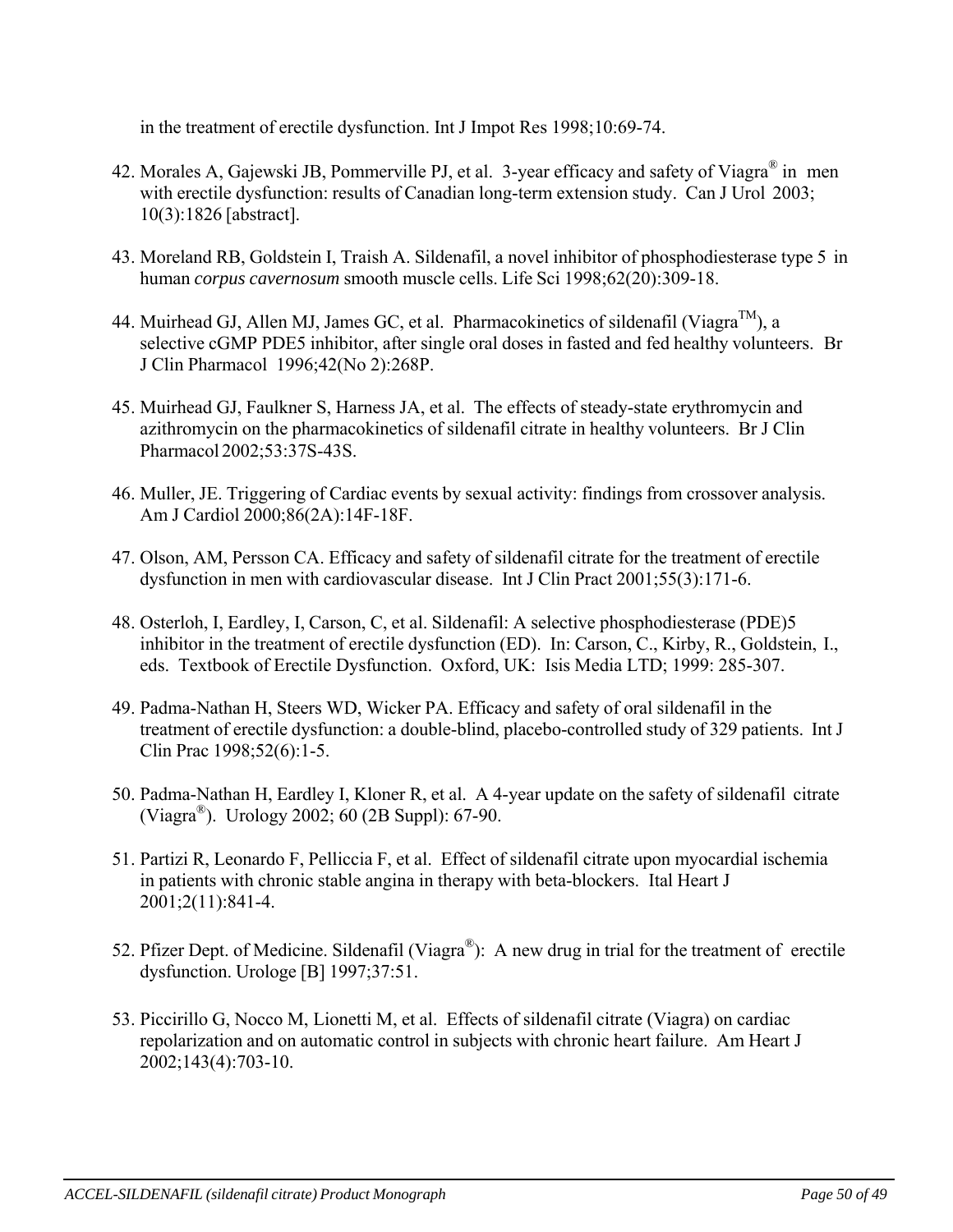in the treatment of erectile dysfunction. Int J Impot Res 1998;10:69-74.

- 42. Morales A, Gajewski JB, Pommerville PJ, et al. 3-year efficacy and safety of Viagra® in men with erectile dysfunction: results of Canadian long-term extension study. Can J Urol 2003; 10(3):1826 [abstract].
- 43. Moreland RB, Goldstein I, Traish A. Sildenafil, a novel inhibitor of phosphodiesterase type 5 in human *corpus cavernosum* smooth muscle cells. Life Sci 1998;62(20):309-18.
- 44. Muirhead GJ, Allen MJ, James GC, et al. Pharmacokinetics of sildenafil (Viagra<sup>TM</sup>), a selective cGMP PDE5 inhibitor, after single oral doses in fasted and fed healthy volunteers. Br J Clin Pharmacol 1996;42(No 2):268P.
- 45. Muirhead GJ, Faulkner S, Harness JA, et al. The effects of steady-state erythromycin and azithromycin on the pharmacokinetics of sildenafil citrate in healthy volunteers. Br J Clin Pharmacol 2002;53:37S-43S.
- 46. Muller, JE. Triggering of Cardiac events by sexual activity: findings from crossover analysis. Am J Cardiol 2000;86(2A):14F-18F.
- 47. Olson, AM, Persson CA. Efficacy and safety of sildenafil citrate for the treatment of erectile dysfunction in men with cardiovascular disease. Int J Clin Pract 2001;55(3):171-6.
- 48. Osterloh, I, Eardley, I, Carson, C, et al. Sildenafil: A selective phosphodiesterase (PDE)5 inhibitor in the treatment of erectile dysfunction (ED). In: Carson, C., Kirby, R., Goldstein, I., eds. Textbook of Erectile Dysfunction. Oxford, UK: Isis Media LTD; 1999: 285-307.
- 49. Padma-Nathan H, Steers WD, Wicker PA. Efficacy and safety of oral sildenafil in the treatment of erectile dysfunction: a double-blind, placebo-controlled study of 329 patients. Int J Clin Prac 1998;52(6):1-5.
- 50. Padma-Nathan H, Eardley I, Kloner R, et al. A 4-year update on the safety of sildenafil citrate (Viagra<sup>®</sup>). Urology 2002; 60 (2B Suppl): 67-90.
- 51. Partizi R, Leonardo F, Pelliccia F, et al. Effect of sildenafil citrate upon myocardial ischemia in patients with chronic stable angina in therapy with beta-blockers. Ital Heart J 2001;2(11):841-4.
- 52. Pfizer Dept. of Medicine. Sildenafil (Viagra®): A new drug in trial for the treatment of erectile dysfunction. Urologe [B] 1997;37:51.
- 53. Piccirillo G, Nocco M, Lionetti M, et al. Effects of sildenafil citrate (Viagra) on cardiac repolarization and on automatic control in subjects with chronic heart failure. Am Heart J 2002;143(4):703-10.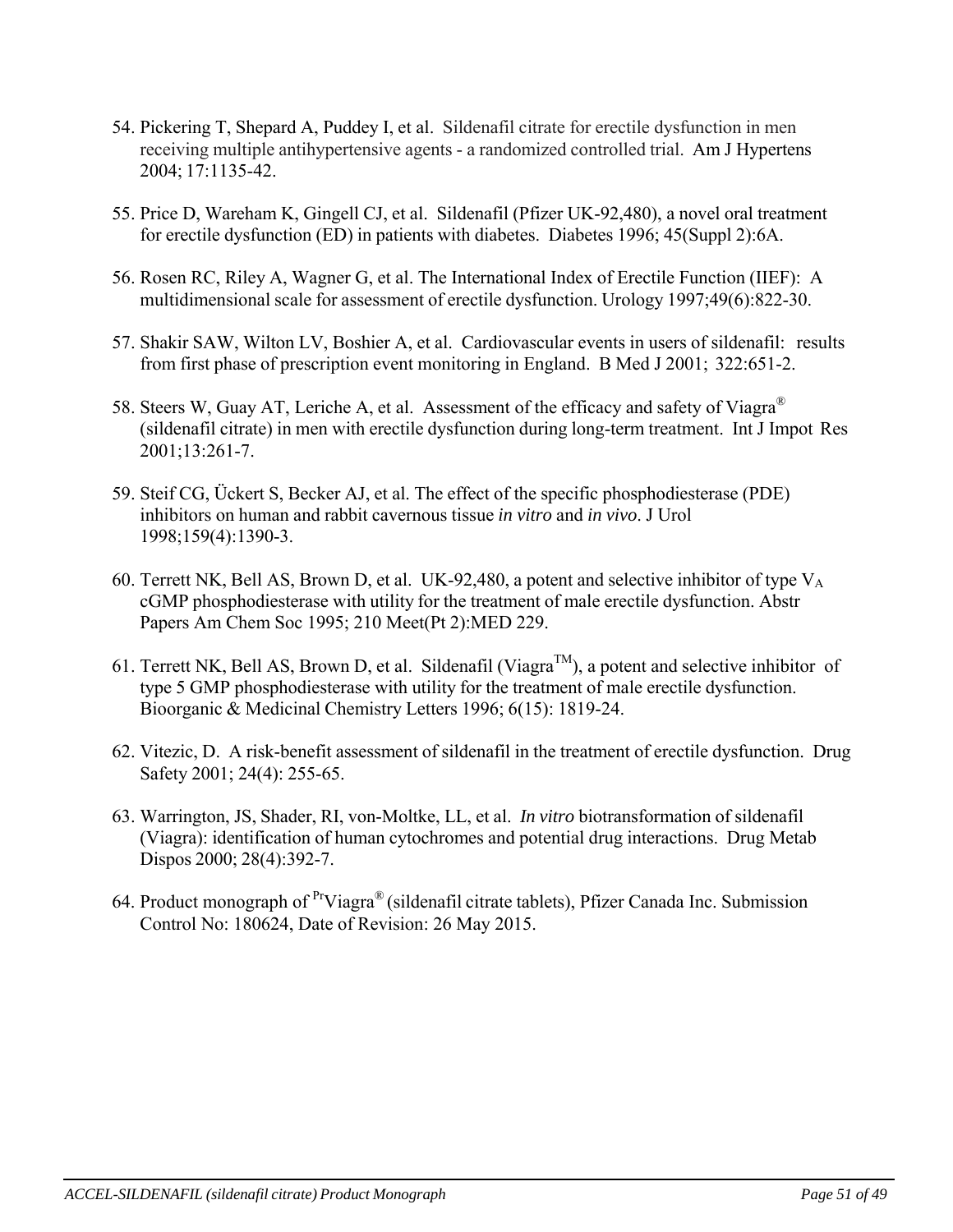- 54. Pickering T, Shepard A, Puddey I, et al. Sildenafil citrate for erectile dysfunction in men receiving multiple antihypertensive agents - a randomized controlled trial. Am J Hypertens 2004; 17:1135-42.
- 55. Price D, Wareham K, Gingell CJ, et al. Sildenafil (Pfizer UK-92,480), a novel oral treatment for erectile dysfunction (ED) in patients with diabetes. Diabetes 1996; 45(Suppl 2):6A.
- 56. Rosen RC, Riley A, Wagner G, et al. The International Index of Erectile Function (IIEF): A multidimensional scale for assessment of erectile dysfunction. Urology 1997;49(6):822-30.
- 57. Shakir SAW, Wilton LV, Boshier A, et al. Cardiovascular events in users of sildenafil: results from first phase of prescription event monitoring in England. B Med J 2001; 322:651-2.
- 58. Steers W, Guay AT, Leriche A, et al. Assessment of the efficacy and safety of Viagra® (sildenafil citrate) in men with erectile dysfunction during long-term treatment. Int J Impot Res 2001;13:261-7.
- 59. Steif CG, Ückert S, Becker AJ, et al. The effect of the specific phosphodiesterase (PDE) inhibitors on human and rabbit cavernous tissue *in vitro* and *in vivo*. J Urol 1998;159(4):1390-3.
- 60. Terrett NK, Bell AS, Brown D, et al. UK-92,480, a potent and selective inhibitor of type  $V_A$ cGMP phosphodiesterase with utility for the treatment of male erectile dysfunction. Abstr Papers Am Chem Soc 1995; 210 Meet(Pt 2):MED 229.
- 61. Terrett NK, Bell AS, Brown D, et al. Sildenafil (Viagra<sup>TM</sup>), a potent and selective inhibitor of type 5 GMP phosphodiesterase with utility for the treatment of male erectile dysfunction. Bioorganic & Medicinal Chemistry Letters 1996; 6(15): 1819-24.
- 62. Vitezic, D. A risk-benefit assessment of sildenafil in the treatment of erectile dysfunction. Drug Safety 2001; 24(4): 255-65.
- 63. Warrington, JS, Shader, RI, von-Moltke, LL, et al. *In vitro* biotransformation of sildenafil (Viagra): identification of human cytochromes and potential drug interactions. Drug Metab Dispos 2000; 28(4):392-7.
- 64. Product monograph of  $P^rViagra^{\circledR}$  (sildenafil citrate tablets), Pfizer Canada Inc. Submission Control No: 180624, Date of Revision: 26 May 2015.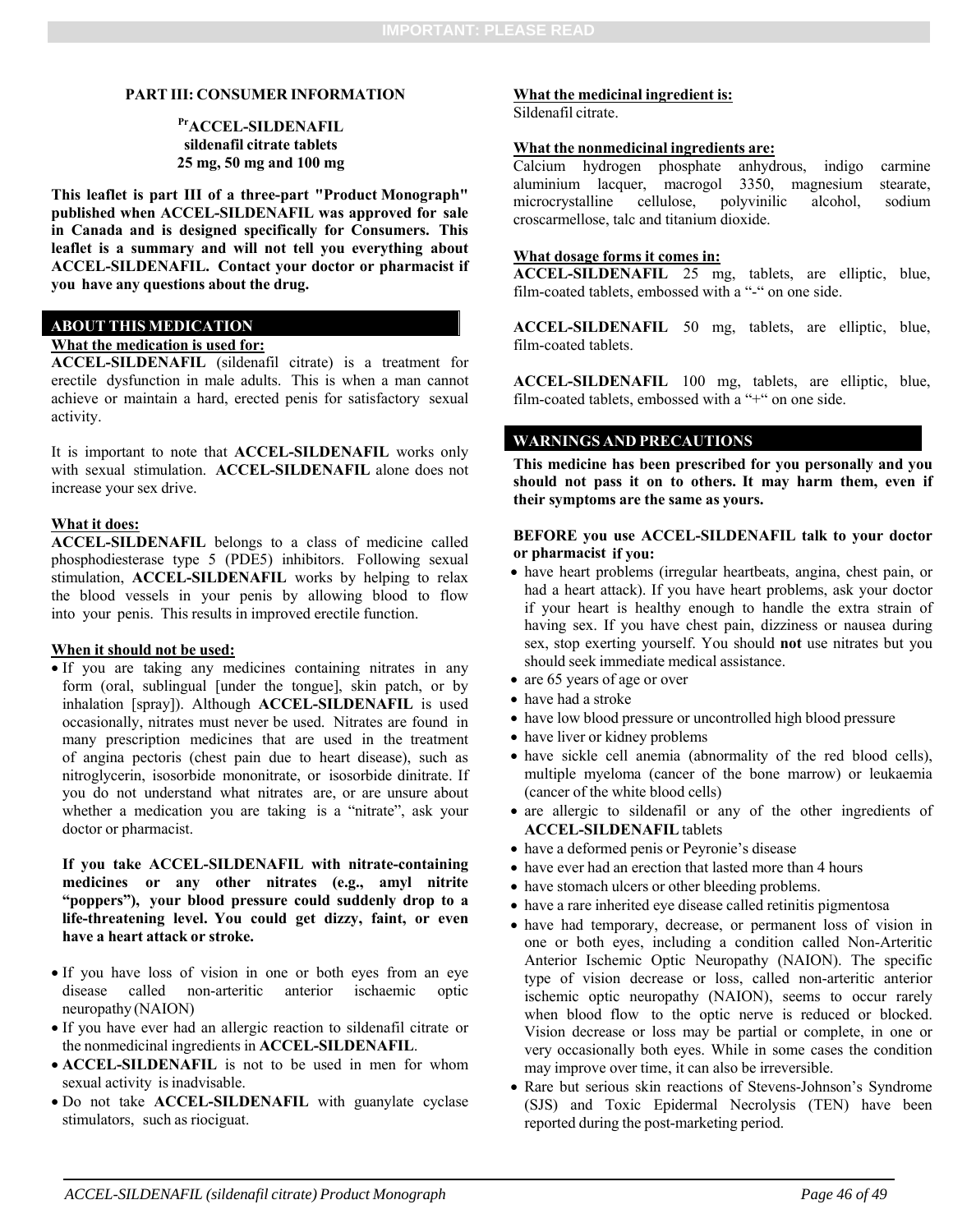#### **PART III: CONSUMER INFORMATION**

#### **PrACCEL-SILDENAFIL sildenafil citrate tablets 25 mg, 50 mg and 100 mg**

**This leaflet is part III of a three-part "Product Monograph" published when ACCEL-SILDENAFIL was approved for sale in Canada and is designed specifically for Consumers. This leaflet is a summary and will not tell you everything about ACCEL-SILDENAFIL. Contact your doctor or pharmacist if you have any questions about the drug.** 

#### **ABOUT THIS MEDICATION**

#### **What the medication is used for:**

**ACCEL-SILDENAFIL** (sildenafil citrate) is a treatment for erectile dysfunction in male adults. This is when a man cannot achieve or maintain a hard, erected penis for satisfactory sexual activity.

It is important to note that **ACCEL-SILDENAFIL** works only with sexual stimulation. **ACCEL-SILDENAFIL** alone does not increase your sex drive.

#### **What it does:**

**ACCEL-SILDENAFIL** belongs to a class of medicine called phosphodiesterase type 5 (PDE5) inhibitors. Following sexual stimulation, **ACCEL-SILDENAFIL** works by helping to relax the blood vessels in your penis by allowing blood to flow into your penis. This results in improved erectile function.

#### **When it should not be used:**

 If you are taking any medicines containing nitrates in any form (oral, sublingual [under the tongue], skin patch, or by inhalation [spray]). Although **ACCEL-SILDENAFIL** is used occasionally, nitrates must never be used. Nitrates are found in many prescription medicines that are used in the treatment of angina pectoris (chest pain due to heart disease), such as nitroglycerin, isosorbide mononitrate, or isosorbide dinitrate. If you do not understand what nitrates are, or are unsure about whether a medication you are taking is a "nitrate", ask your doctor or pharmacist.

#### **If you take ACCEL-SILDENAFIL with nitrate-containing medicines or any other nitrates (e.g., amyl nitrite "poppers"), your blood pressure could suddenly drop to a life-threatening level. You could get dizzy, faint, or even have a heart attack or stroke.**

- If you have loss of vision in one or both eyes from an eye disease called non-arteritic anterior ischaemic optic neuropathy (NAION)
- If you have ever had an allergic reaction to sildenafil citrate or the nonmedicinal ingredients in **ACCEL-SILDENAFIL**.
- **ACCEL-SILDENAFIL** is not to be used in men for whom sexual activity is inadvisable.
- Do not take **ACCEL-SILDENAFIL** with guanylate cyclase stimulators, such as riociguat.

#### **What the medicinal ingredient is:**

Sildenafil citrate.

#### **What the nonmedicinal ingredients are:**

Calcium hydrogen phosphate anhydrous, indigo carmine aluminium lacquer, macrogol 3350, magnesium stearate, microcrystalline cellulose, polyvinilic alcohol, sodium croscarmellose, talc and titanium dioxide.

#### **What dosage forms it comes in:**

**ACCEL-SILDENAFIL** 25 mg, tablets, are elliptic, blue, film-coated tablets, embossed with a "-" on one side.

**ACCEL-SILDENAFIL** 50 mg, tablets, are elliptic, blue, film-coated tablets.

**ACCEL-SILDENAFIL** 100 mg, tablets, are elliptic, blue, film-coated tablets, embossed with a "+" on one side.

#### **WARNINGS AND PRECAUTIONS**

**This medicine has been prescribed for you personally and you should not pass it on to others. It may harm them, even if their symptoms are the same as yours.**

#### **BEFORE you use ACCEL-SILDENAFIL talk to your doctor or pharmacist if you:**

- have heart problems (irregular heartbeats, angina, chest pain, or had a heart attack). If you have heart problems, ask your doctor if your heart is healthy enough to handle the extra strain of having sex. If you have chest pain, dizziness or nausea during sex, stop exerting yourself. You should **not** use nitrates but you should seek immediate medical assistance.
- are 65 years of age or over
- have had a stroke
- have low blood pressure or uncontrolled high blood pressure
- have liver or kidney problems
- have sickle cell anemia (abnormality of the red blood cells), multiple myeloma (cancer of the bone marrow) or leukaemia (cancer of the white blood cells)
- are allergic to sildenafil or any of the other ingredients of **ACCEL-SILDENAFIL** tablets
- have a deformed penis or Peyronie's disease
- have ever had an erection that lasted more than 4 hours
- have stomach ulcers or other bleeding problems.
- have a rare inherited eye disease called retinitis pigmentosa
- have had temporary, decrease, or permanent loss of vision in one or both eyes, including a condition called Non-Arteritic Anterior Ischemic Optic Neuropathy (NAION). The specific type of vision decrease or loss, called non-arteritic anterior ischemic optic neuropathy (NAION), seems to occur rarely when blood flow to the optic nerve is reduced or blocked. Vision decrease or loss may be partial or complete, in one or very occasionally both eyes. While in some cases the condition may improve over time, it can also be irreversible.
- Rare but serious skin reactions of Stevens-Johnson's Syndrome (SJS) and Toxic Epidermal Necrolysis (TEN) have been reported during the post-marketing period.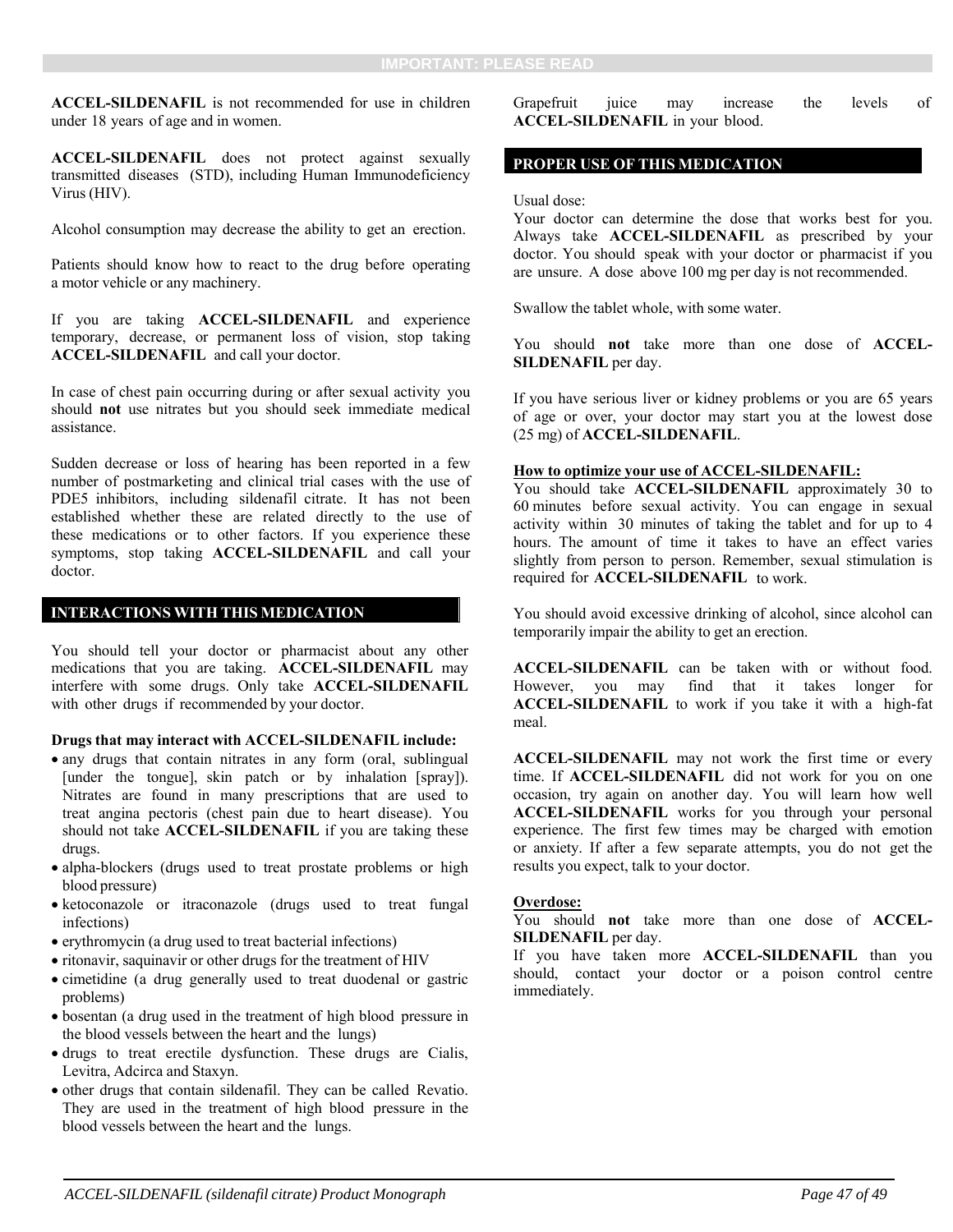**ACCEL-SILDENAFIL** is not recommended for use in children under 18 years of age and in women.

**ACCEL-SILDENAFIL** does not protect against sexually transmitted diseases (STD), including Human Immunodeficiency Virus (HIV).

Alcohol consumption may decrease the ability to get an erection.

Patients should know how to react to the drug before operating a motor vehicle or any machinery.

If you are taking **ACCEL-SILDENAFIL** and experience temporary, decrease, or permanent loss of vision, stop taking **ACCEL-SILDENAFIL** and call your doctor.

In case of chest pain occurring during or after sexual activity you should **not** use nitrates but you should seek immediate medical assistance.

Sudden decrease or loss of hearing has been reported in a few number of postmarketing and clinical trial cases with the use of PDE5 inhibitors, including sildenafil citrate. It has not been established whether these are related directly to the use of these medications or to other factors. If you experience these symptoms, stop taking **ACCEL-SILDENAFIL** and call your doctor.

#### **INTERACTIONS WITH THIS MEDICATION**

You should tell your doctor or pharmacist about any other medications that you are taking. **ACCEL-SILDENAFIL** may interfere with some drugs. Only take **ACCEL-SILDENAFIL**  with other drugs if recommended by your doctor.

**Drugs that may interact with ACCEL-SILDENAFIL include:** 

- any drugs that contain nitrates in any form (oral, sublingual [under the tongue], skin patch or by inhalation [spray]). Nitrates are found in many prescriptions that are used to treat angina pectoris (chest pain due to heart disease). You should not take **ACCEL-SILDENAFIL** if you are taking these drugs.
- alpha-blockers (drugs used to treat prostate problems or high blood pressure)
- ketoconazole or itraconazole (drugs used to treat fungal infections)
- erythromycin (a drug used to treat bacterial infections)
- ritonavir, saquinavir or other drugs for the treatment of HIV
- cimetidine (a drug generally used to treat duodenal or gastric problems)
- bosentan (a drug used in the treatment of high blood pressure in the blood vessels between the heart and the lungs)
- drugs to treat erectile dysfunction. These drugs are Cialis, Levitra, Adcirca and Staxyn.
- other drugs that contain sildenafil. They can be called Revatio. They are used in the treatment of high blood pressure in the blood vessels between the heart and the lungs.

Grapefruit juice may increase the levels of **ACCEL-SILDENAFIL** in your blood.

#### **PROPER USE OF THIS MEDICATION**

Usual dose:

Your doctor can determine the dose that works best for you. Always take **ACCEL-SILDENAFIL** as prescribed by your doctor. You should speak with your doctor or pharmacist if you are unsure. A dose above 100 mg per day is not recommended.

Swallow the tablet whole, with some water.

You should **not** take more than one dose of **ACCEL-SILDENAFIL** per day.

If you have serious liver or kidney problems or you are 65 years of age or over, your doctor may start you at the lowest dose (25 mg) of **ACCEL-SILDENAFIL**.

#### **How to optimize your use of ACCEL-SILDENAFIL:**

You should take **ACCEL-SILDENAFIL** approximately 30 to 60 minutes before sexual activity. You can engage in sexual activity within 30 minutes of taking the tablet and for up to 4 hours. The amount of time it takes to have an effect varies slightly from person to person. Remember, sexual stimulation is required for **ACCEL-SILDENAFIL** to work.

You should avoid excessive drinking of alcohol, since alcohol can temporarily impair the ability to get an erection.

**ACCEL-SILDENAFIL** can be taken with or without food. However, you may find that it takes longer for **ACCEL-SILDENAFIL** to work if you take it with a high-fat meal.

**ACCEL-SILDENAFIL** may not work the first time or every time. If **ACCEL-SILDENAFIL** did not work for you on one occasion, try again on another day. You will learn how well **ACCEL-SILDENAFIL** works for you through your personal experience. The first few times may be charged with emotion or anxiety. If after a few separate attempts, you do not get the results you expect, talk to your doctor.

#### **Overdose:**

You should **not** take more than one dose of **ACCEL-SILDENAFIL** per day.

If you have taken more **ACCEL-SILDENAFIL** than you should, contact your doctor or a poison control centre immediately.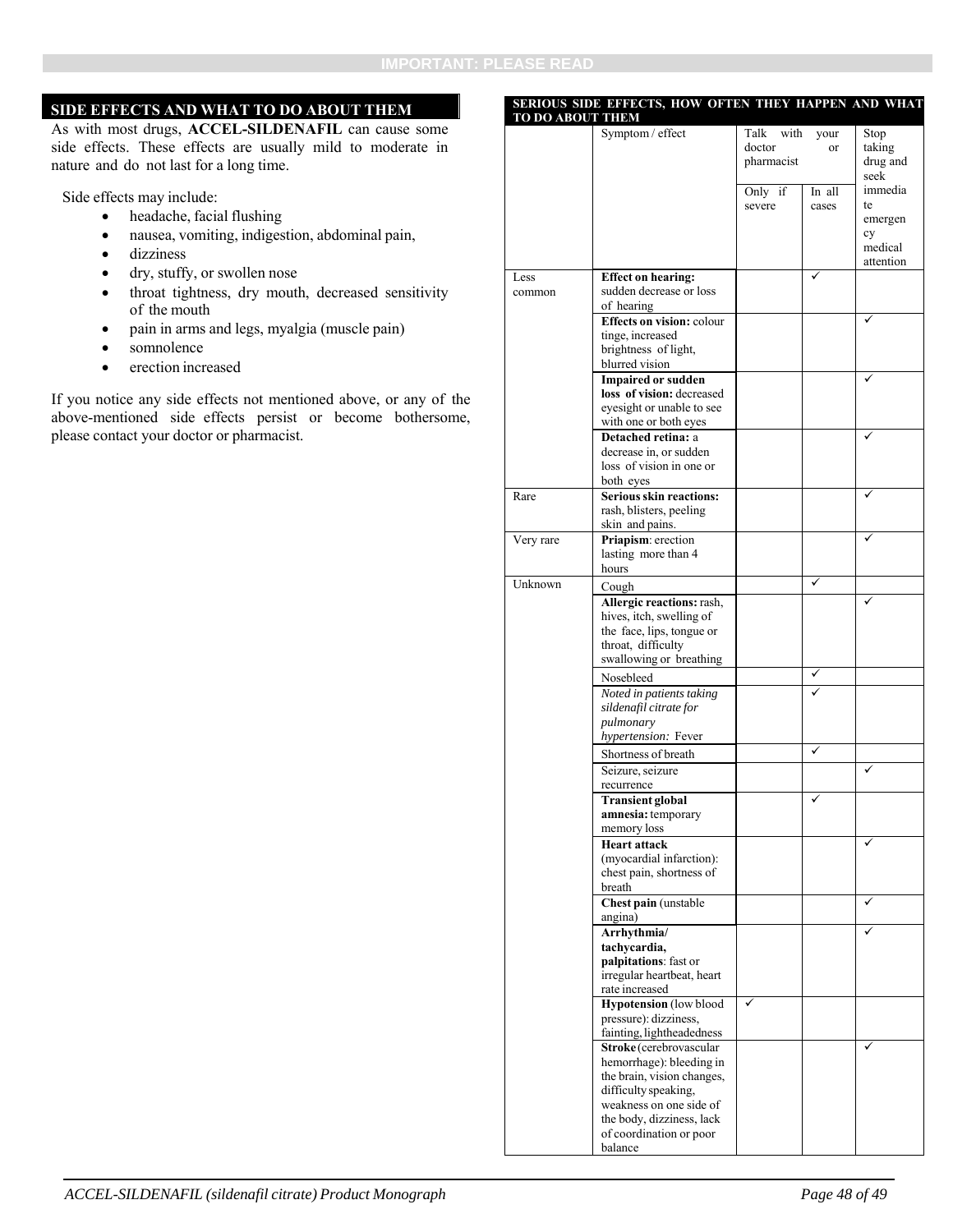#### **SIDE EFFECTS AND WHAT TO DO ABOUT THEM**

As with most drugs, **ACCEL-SILDENAFIL** can cause some side effects. These effects are usually mild to moderate in nature and do not last for a long time.

Side effects may include:

- headache, facial flushing
- nausea, vomiting, indigestion, abdominal pain,
- dizziness
- dry, stuffy, or swollen nose
- throat tightness, dry mouth, decreased sensitivity of the mouth
- pain in arms and legs, myalgia (muscle pain)
- somnolence
- erection increased

If you notice any side effects not mentioned above, or any of the above-mentioned side effects persist or become bothersome, please contact your doctor or pharmacist.

| TO DO ABOUT THEM | <b>SERIOUS SIDE EFFECTS, HOW OFTEN THEY HAPPEN AND WHAT</b> |              |        |                      |
|------------------|-------------------------------------------------------------|--------------|--------|----------------------|
|                  | Symptom / effect                                            | Talk<br>with | your   | Stop                 |
|                  |                                                             | doctor       | or     | taking               |
|                  |                                                             | pharmacist   |        | drug and             |
|                  |                                                             | Only if      | In all | seek<br>immedia      |
|                  |                                                             | severe       | cases  | te                   |
|                  |                                                             |              |        | emergen              |
|                  |                                                             |              |        | cy                   |
|                  |                                                             |              |        | medical<br>attention |
| Less             | <b>Effect on hearing:</b>                                   |              |        |                      |
| common           | sudden decrease or loss                                     |              |        |                      |
|                  | of hearing                                                  |              |        |                      |
|                  | <b>Effects on vision: colour</b>                            |              |        |                      |
|                  | tinge, increased<br>brightness of light,                    |              |        |                      |
|                  | blurred vision                                              |              |        |                      |
|                  | <b>Impaired or sudden</b>                                   |              |        |                      |
|                  | loss of vision: decreased                                   |              |        |                      |
|                  | eyesight or unable to see<br>with one or both eyes          |              |        |                      |
|                  | Detached retina: a                                          |              |        |                      |
|                  | decrease in, or sudden                                      |              |        |                      |
|                  | loss of vision in one or                                    |              |        |                      |
| Rare             | both eyes<br><b>Serious skin reactions:</b>                 |              |        |                      |
|                  | rash, blisters, peeling                                     |              |        |                      |
|                  | skin and pains.                                             |              |        |                      |
| Very rare        | Priapism: erection                                          |              |        |                      |
|                  | lasting more than 4                                         |              |        |                      |
| Unknown          | hours                                                       |              | ✓      |                      |
|                  | Cough<br>Allergic reactions: rash,                          |              |        |                      |
|                  | hives, itch, swelling of                                    |              |        |                      |
|                  | the face, lips, tongue or                                   |              |        |                      |
|                  | throat, difficulty                                          |              |        |                      |
|                  | swallowing or breathing                                     |              | ✓      |                      |
|                  | Nosebleed                                                   |              |        |                      |
|                  | Noted in patients taking<br>sildenafil citrate for          |              |        |                      |
|                  | pulmonary                                                   |              |        |                      |
|                  | hypertension: Fever                                         |              |        |                      |
|                  | Shortness of breath                                         |              | ✓      |                      |
|                  | Seizure, seizure                                            |              |        | ✓                    |
|                  | recurrence                                                  |              |        |                      |
|                  | Transient global<br>amnesia: temporary                      |              |        |                      |
|                  | memory loss                                                 |              |        |                      |
|                  | <b>Heart attack</b>                                         |              |        |                      |
|                  | (myocardial infarction):                                    |              |        |                      |
|                  | chest pain, shortness of<br>breath                          |              |        |                      |
|                  | Chest pain (unstable                                        |              |        |                      |
|                  | angina)                                                     |              |        |                      |
|                  | Arrhythmia/                                                 |              |        |                      |
|                  | tachycardia,<br>palpitations: fast or                       |              |        |                      |
|                  | irregular heartbeat, heart                                  |              |        |                      |
|                  | rate increased                                              |              |        |                      |
|                  | <b>Hypotension</b> (low blood                               | ✓            |        |                      |
|                  | pressure): dizziness,<br>fainting, lightheadedness          |              |        |                      |
|                  | Stroke (cerebrovascular                                     |              |        |                      |
|                  | hemorrhage): bleeding in                                    |              |        |                      |
|                  | the brain, vision changes,                                  |              |        |                      |
|                  | difficulty speaking,<br>weakness on one side of             |              |        |                      |
|                  | the body, dizziness, lack                                   |              |        |                      |
|                  | of coordination or poor                                     |              |        |                      |
|                  | balance                                                     |              |        |                      |